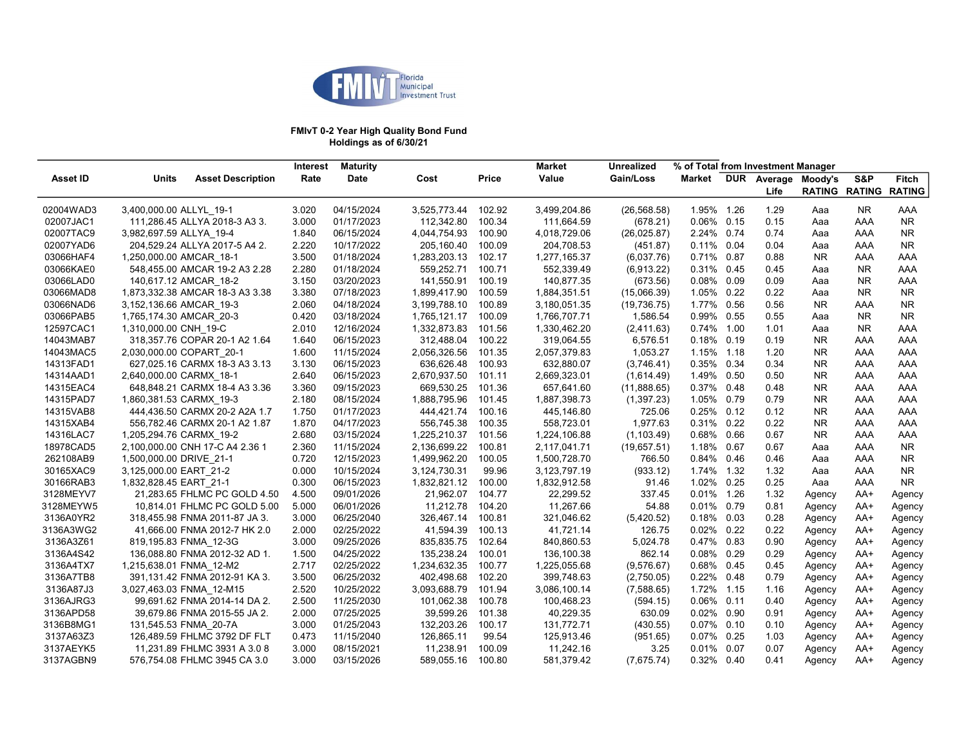

#### FMIvT 0-2 Year High Quality Bond Fund Holdings as of 6/30/21

|           |                                 |                              | <b>Interest</b> | <b>Maturity</b> |              |              | <b>Market</b> | Unrealized   | % of Total from Investment Manager |      |                     |           |                      |               |
|-----------|---------------------------------|------------------------------|-----------------|-----------------|--------------|--------------|---------------|--------------|------------------------------------|------|---------------------|-----------|----------------------|---------------|
| Asset ID  | Units                           | <b>Asset Description</b>     | Rate            | Date            | Cost         | <b>Price</b> | Value         | Gain/Loss    | Market                             |      | DUR Average Moody's |           | S&P                  | <b>Fitch</b>  |
|           |                                 |                              |                 |                 |              |              |               |              |                                    |      | Life                |           | <b>RATING RATING</b> | <b>RATING</b> |
| 02004WAD3 | 3,400,000.00 ALLYL_19-1         |                              | 3.020           | 04/15/2024      | 3.525.773.44 | 102.92       | 3,499,204.86  | (26, 568.58) | 1.95% 1.26                         |      | 1.29                | Aaa       | <b>NR</b>            | AAA           |
| 02007JAC1 | 111,286.45 ALLYA 2018-3 A3 3.   |                              | 3.000           | 01/17/2023      | 112,342.80   | 100.34       | 111,664.59    | (678.21)     | 0.06% 0.15                         |      | 0.15                | Aaa       | AAA                  | <b>NR</b>     |
| 02007TAC9 | 3,982,697.59 ALLYA 19-4         |                              | 1.840           | 06/15/2024      | 4,044,754.93 | 100.90       | 4,018,729.06  | (26, 025.87) | 2.24% 0.74                         |      | 0.74                | Aaa       | AAA                  | <b>NR</b>     |
| 02007YAD6 | 204,529.24 ALLYA 2017-5 A4 2.   |                              | 2.220           | 10/17/2022      | 205,160.40   | 100.09       | 204,708.53    | (451.87)     | 0.11% 0.04                         |      | 0.04                | Aaa       | AAA                  | NR.           |
| 03066HAF4 | 1,250,000.00 AMCAR 18-1         |                              | 3.500           | 01/18/2024      | 1,283,203.13 | 102.17       | 1,277,165.37  | (6,037.76)   | 0.71% 0.87                         |      | 0.88                | <b>NR</b> | AAA                  | AAA           |
| 03066KAE0 | 548,455.00 AMCAR 19-2 A3 2.28   |                              | 2.280           | 01/18/2024      | 559,252.71   | 100.71       | 552,339.49    | (6,913.22)   | 0.31% 0.45                         |      | 0.45                | Aaa       | <b>NR</b>            | AAA           |
| 03066LAD0 | 140,617.12 AMCAR 18-2           |                              | 3.150           | 03/20/2023      | 141,550.91   | 100.19       | 140,877.35    | (673.56)     | 0.08%                              | 0.09 | 0.09                | Aaa       | <b>NR</b>            | AAA           |
| 03066MAD8 | 1,873,332.38 AMCAR 18-3 A3 3.38 |                              | 3.380           | 07/18/2023      | 1,899,417.90 | 100.59       | 1,884,351.51  | (15,066.39)  | 1.05% 0.22                         |      | 0.22                | Aaa       | NR.                  | NR.           |
| 03066NAD6 | 3,152,136.66 AMCAR 19-3         |                              | 2.060           | 04/18/2024      | 3,199,788.10 | 100.89       | 3,180,051.35  | (19, 736.75) | 1.77% 0.56                         |      | 0.56                | NR.       | AAA                  | NR.           |
| 03066PAB5 | 1,765,174.30 AMCAR 20-3         |                              | 0.420           | 03/18/2024      | 1,765,121.17 | 100.09       | 1,766,707.71  | 1,586.54     | 0.99% 0.55                         |      | 0.55                | Aaa       | NR.                  | <b>NR</b>     |
| 12597CAC1 | 1,310,000.00 CNH 19-C           |                              | 2.010           | 12/16/2024      | 1,332,873.83 | 101.56       | 1,330,462.20  | (2,411.63)   | 0.74% 1.00                         |      | 1.01                | Aaa       | <b>NR</b>            | AAA           |
| 14043MAB7 | 318,357.76 COPAR 20-1 A2 1.64   |                              | 1.640           | 06/15/2023      | 312,488.04   | 100.22       | 319,064.55    | 6,576.51     | 0.18% 0.19                         |      | 0.19                | NR.       | AAA                  | AAA           |
| 14043MAC5 | 2,030,000.00 COPART 20-1        |                              | 1.600           | 11/15/2024      | 2,056,326.56 | 101.35       | 2,057,379.83  | 1,053.27     | 1.15% 1.18                         |      | 1.20                | NR.       | AAA                  | AAA           |
| 14313FAD1 | 627,025.16 CARMX 18-3 A3 3.13   |                              | 3.130           | 06/15/2023      | 636,626.48   | 100.93       | 632,880.07    | (3,746.41)   | 0.35%                              | 0.34 | 0.34                | <b>NR</b> | AAA                  | AAA           |
| 14314AAD1 | 2,640,000.00 CARMX 18-1         |                              | 2.640           | 06/15/2023      | 2,670,937.50 | 101.11       | 2,669,323.01  | (1,614.49)   | 1.49% 0.50                         |      | 0.50                | <b>NR</b> | AAA                  | AAA           |
| 14315EAC4 | 648,848.21 CARMX 18-4 A3 3.36   |                              | 3.360           | 09/15/2023      | 669,530.25   | 101.36       | 657,641.60    | (11,888.65)  | 0.37%                              | 0.48 | 0.48                | NR.       | AAA                  | AAA           |
| 14315PAD7 | 1,860,381.53 CARMX 19-3         |                              | 2.180           | 08/15/2024      | 1,888,795.96 | 101.45       | 1,887,398.73  | (1,397.23)   | 1.05% 0.79                         |      | 0.79                | NR.       | AAA                  | AAA           |
| 14315VAB8 | 444,436.50 CARMX 20-2 A2A 1.7   |                              | 1.750           | 01/17/2023      | 444,421.74   | 100.16       | 445,146.80    | 725.06       | $0.25\%$ 0.12                      |      | 0.12                | NR.       | AAA                  | AAA           |
| 14315XAB4 | 556,782.46 CARMX 20-1 A2 1.87   |                              | 1.870           | 04/17/2023      | 556,745.38   | 100.35       | 558,723.01    | 1.977.63     | 0.31% 0.22                         |      | 0.22                | <b>NR</b> | AAA                  | AAA           |
| 14316LAC7 | 1,205,294.76 CARMX 19-2         |                              | 2.680           | 03/15/2024      | 1,225,210.37 | 101.56       | 1,224,106.88  | (1, 103.49)  | $0.68\%$ 0.66                      |      | 0.67                | <b>NR</b> | AAA                  | AAA           |
| 18978CAD5 | 2,100,000.00 CNH 17-C A4 2.36 1 |                              | 2.360           | 11/15/2024      | 2,136,699.22 | 100.81       | 2,117,041.71  | (19,657.51)  | 1.18% 0.67                         |      | 0.67                | Aaa       | AAA                  | NR.           |
| 262108AB9 | 1,500,000.00 DRIVE 21-1         |                              | 0.720           | 12/15/2023      | 1,499,962.20 | 100.05       | 1,500,728.70  | 766.50       | 0.84% 0.46                         |      | 0.46                | Aaa       | AAA                  | <b>NR</b>     |
| 30165XAC9 | 3,125,000.00 EART 21-2          |                              | 0.000           | 10/15/2024      | 3,124,730.31 | 99.96        | 3,123,797.19  | (933.12)     | 1.74% 1.32                         |      | 1.32                | Aaa       | AAA                  | <b>NR</b>     |
| 30166RAB3 | 1,832,828.45 EART 21-1          |                              | 0.300           | 06/15/2023      | 1,832,821.12 | 100.00       | 1,832,912.58  | 91.46        | 1.02%                              | 0.25 | 0.25                | Aaa       | AAA                  | NR.           |
| 3128MEYV7 |                                 | 21,283.65 FHLMC PC GOLD 4.50 | 4.500           | 09/01/2026      | 21,962.07    | 104.77       | 22,299.52     | 337.45       | 0.01% 1.26                         |      | 1.32                | Agency    | AA+                  | Agency        |
| 3128MEYW5 |                                 | 10,814.01 FHLMC PC GOLD 5.00 | 5.000           | 06/01/2026      | 11,212.78    | 104.20       | 11,267.66     | 54.88        | 0.01%                              | 0.79 | 0.81                | Agency    | AA+                  | Agency        |
| 3136A0YR2 | 318,455.98 FNMA 2011-87 JA 3.   |                              | 3.000           | 06/25/2040      | 326,467.14   | 100.81       | 321,046.62    | (5,420.52)   | 0.18% 0.03                         |      | 0.28                | Agency    | AA+                  | Agency        |
| 3136A3WG2 |                                 | 41,666.00 FNMA 2012-7 HK 2.0 | 2.000           | 02/25/2022      | 41,594.39    | 100.13       | 41,721.14     | 126.75       | $0.02\%$ 0.22                      |      | 0.22                | Agency    | AA+                  | Agency        |
| 3136A3Z61 | 819,195.83 FNMA 12-3G           |                              | 3.000           | 09/25/2026      | 835,835.75   | 102.64       | 840,860.53    | 5,024.78     | $0.47\%$ 0.83                      |      | 0.90                | Agency    | AA+                  | Agency        |
| 3136A4S42 | 136,088.80 FNMA 2012-32 AD 1.   |                              | 1.500           | 04/25/2022      | 135,238.24   | 100.01       | 136,100.38    | 862.14       | 0.08% 0.29                         |      | 0.29                | Agency    | AA+                  | Agency        |
| 3136A4TX7 | 1,215,638.01 FNMA 12-M2         |                              | 2.717           | 02/25/2022      | 1,234,632.35 | 100.77       | 1,225,055.68  | (9,576.67)   | 0.68% 0.45                         |      | 0.45                | Agency    | AA+                  | Agency        |
| 3136A7TB8 | 391,131.42 FNMA 2012-91 KA 3.   |                              | 3.500           | 06/25/2032      | 402,498.68   | 102.20       | 399,748.63    | (2,750.05)   | 0.22% 0.48                         |      | 0.79                | Agency    | AA+                  | Agency        |
| 3136A87J3 | 3,027,463.03 FNMA 12-M15        |                              | 2.520           | 10/25/2022      | 3,093,688.79 | 101.94       | 3,086,100.14  | (7,588.65)   | 1.72% 1.15                         |      | 1.16                | Agency    | AA+                  | Agency        |
| 3136AJRG3 |                                 | 99,691.62 FNMA 2014-14 DA 2. | 2.500           | 11/25/2030      | 101,062.38   | 100.78       | 100,468.23    | (594.15)     | $0.06\%$ 0.11                      |      | 0.40                | Agency    | AA+                  | Agency        |
| 3136APD58 |                                 | 39.679.86 FNMA 2015-55 JA 2. | 2.000           | 07/25/2025      | 39,599.26    | 101.38       | 40,229.35     | 630.09       | $0.02\%$ 0.90                      |      | 0.91                | Agency    | AA+                  | Agency        |
| 3136B8MG1 | 131,545.53 FNMA_20-7A           |                              | 3.000           | 01/25/2043      | 132,203.26   | 100.17       | 131,772.71    | (430.55)     | 0.07% 0.10                         |      | 0.10                | Agency    | AA+                  | Agency        |
| 3137A63Z3 | 126,489.59 FHLMC 3792 DF FLT    |                              | 0.473           | 11/15/2040      | 126,865.11   | 99.54        | 125,913.46    | (951.65)     | 0.07% 0.25                         |      | 1.03                | Agency    | AA+                  | Agency        |
| 3137AEYK5 |                                 | 11,231.89 FHLMC 3931 A 3.0 8 | 3.000           | 08/15/2021      | 11,238.91    | 100.09       | 11,242.16     | 3.25         | 0.01% 0.07                         |      | 0.07                | Agency    | AA+                  | Agency        |
| 3137AGBN9 | 576,754.08 FHLMC 3945 CA 3.0    |                              | 3.000           | 03/15/2026      | 589,055.16   | 100.80       | 581,379.42    | (7,675.74)   | 0.32% 0.40                         |      | 0.41                | Agency    | AA+                  | Agency        |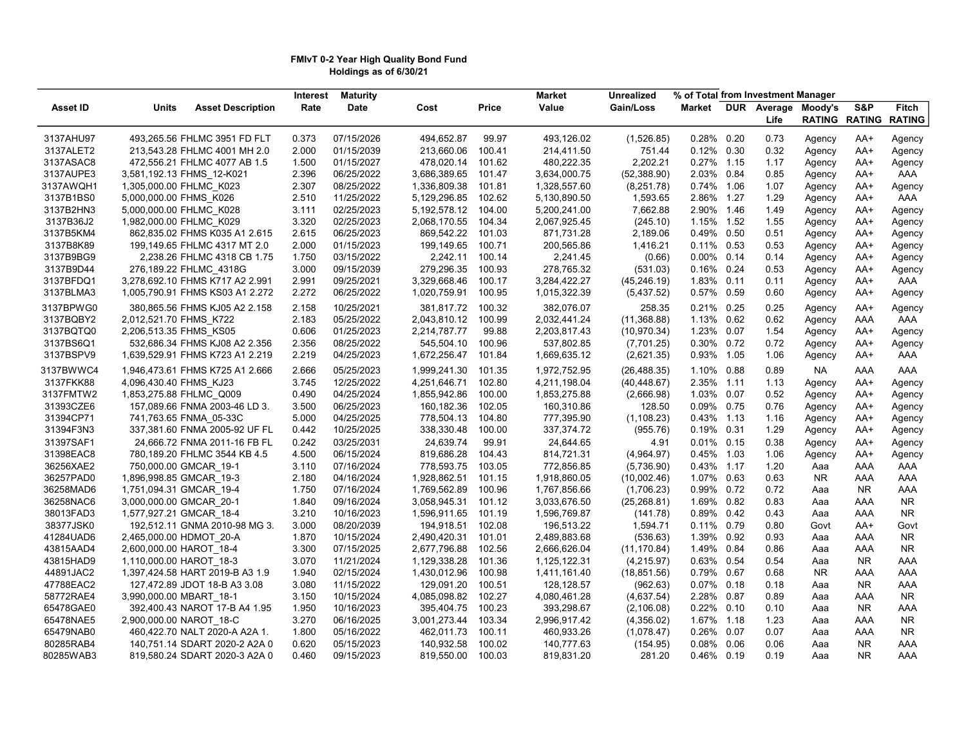#### FMIvT 0-2 Year High Quality Bond Fund Holdings as of 6/30/21

| S&P<br><b>Units</b><br><b>Asset Description</b><br>Rate<br>Date<br>Price<br>Value<br>Gain/Loss<br><b>Market</b><br>DUR Average<br>Moody's<br><b>Asset ID</b><br>Cost<br><b>RATING RATING</b><br>Life<br>3137AHU97<br>493,265.56 FHLMC 3951 FD FLT<br>0.373<br>07/15/2026<br>494,652.87<br>99.97<br>493,126.02<br>(1,526.85)<br>0.28% 0.20<br>0.73<br>AA+<br>Agency<br>2.000<br>213,660.06<br>100.41<br>214,411.50<br>751.44<br>0.12% 0.30<br>0.32<br>3137ALET2<br>213,543.28 FHLMC 4001 MH 2.0<br>01/15/2039<br>AA+<br>Agency<br>3137ASAC8<br>1.500<br>01/15/2027<br>478,020.14<br>480,222.35<br>2.202.21<br>0.27%<br>472,556.21 FHLMC 4077 AB 1.5<br>101.62<br>1.15<br>1.17<br>Agency<br>AA+<br>3,581,192.13 FHMS_12-K021<br>(52, 388.90) | <b>Fitch</b><br><b>RATING</b><br>Agency<br>Agency<br>Agency<br>AAA<br>Agency<br>AAA<br>Agency<br>Agency<br>Agency |
|--------------------------------------------------------------------------------------------------------------------------------------------------------------------------------------------------------------------------------------------------------------------------------------------------------------------------------------------------------------------------------------------------------------------------------------------------------------------------------------------------------------------------------------------------------------------------------------------------------------------------------------------------------------------------------------------------------------------------------------------|-------------------------------------------------------------------------------------------------------------------|
|                                                                                                                                                                                                                                                                                                                                                                                                                                                                                                                                                                                                                                                                                                                                            |                                                                                                                   |
|                                                                                                                                                                                                                                                                                                                                                                                                                                                                                                                                                                                                                                                                                                                                            |                                                                                                                   |
|                                                                                                                                                                                                                                                                                                                                                                                                                                                                                                                                                                                                                                                                                                                                            |                                                                                                                   |
|                                                                                                                                                                                                                                                                                                                                                                                                                                                                                                                                                                                                                                                                                                                                            |                                                                                                                   |
|                                                                                                                                                                                                                                                                                                                                                                                                                                                                                                                                                                                                                                                                                                                                            |                                                                                                                   |
| 3137AUPE3<br>2.396<br>06/25/2022<br>3,686,389.65<br>3,634,000.75<br>2.03% 0.84<br>0.85<br>101.47<br>AA+<br>Agency                                                                                                                                                                                                                                                                                                                                                                                                                                                                                                                                                                                                                          |                                                                                                                   |
| 3137AWQH1<br>1,305,000.00 FHLMC K023<br>2.307<br>08/25/2022<br>1,336,809.38<br>101.81<br>1,328,557.60<br>0.74% 1.06<br>1.07<br>(8,251.78)<br>AA+<br>Agency                                                                                                                                                                                                                                                                                                                                                                                                                                                                                                                                                                                 |                                                                                                                   |
| 3137B1BS0<br>5,000,000.00 FHMS K026<br>2.510<br>11/25/2022<br>5,129,296.85<br>102.62<br>5,130,890.50<br>1,593.65<br>2.86% 1.27<br>1.29<br>AA+<br>Agency                                                                                                                                                                                                                                                                                                                                                                                                                                                                                                                                                                                    |                                                                                                                   |
| 3137B2HN3<br>5,000,000.00 FHLMC_K028<br>3.111<br>02/25/2023<br>5, 192, 578. 12<br>7,662.88<br>2.90% 1.46<br>104.00<br>5,200,241.00<br>1.49<br>AA+                                                                                                                                                                                                                                                                                                                                                                                                                                                                                                                                                                                          |                                                                                                                   |
| Agency<br>3137B36J2<br>1,982,000.00 FHLMC_K029<br>3.320<br>02/25/2023<br>2,068,170.55<br>104.34<br>2,067,925.45<br>(245.10)<br>1.15% 1.52<br>1.55<br>AA+<br>Agency                                                                                                                                                                                                                                                                                                                                                                                                                                                                                                                                                                         |                                                                                                                   |
| 3137B5KM4<br>06/25/2023<br>869,542.22<br>0.50<br>862,835.02 FHMS K035 A1 2.615<br>2.615<br>101.03<br>871,731.28<br>2,189.06<br>0.49%<br>0.51<br>AA+                                                                                                                                                                                                                                                                                                                                                                                                                                                                                                                                                                                        |                                                                                                                   |
| Agency<br>3137B8K89<br>2.000<br>01/15/2023<br>199,149.65<br>100.71<br>200,565.86<br>1,416.21<br>0.11% 0.53<br>0.53<br>AA+                                                                                                                                                                                                                                                                                                                                                                                                                                                                                                                                                                                                                  |                                                                                                                   |
| 199,149.65 FHLMC 4317 MT 2.0<br>Agency<br>2,242.11<br>3137B9BG9<br>2,238.26 FHLMC 4318 CB 1.75<br>1.750<br>03/15/2022<br>100.14<br>2,241.45<br>$0.00\%$ 0.14<br>0.14                                                                                                                                                                                                                                                                                                                                                                                                                                                                                                                                                                       | Agency                                                                                                            |
| (0.66)<br>AA+<br>Agency<br>3137B9D44<br>3.000<br>279,296.35<br>278,765.32<br>0.16% 0.24<br>09/15/2039                                                                                                                                                                                                                                                                                                                                                                                                                                                                                                                                                                                                                                      | Agency                                                                                                            |
| 276,189.22 FHLMC_4318G<br>100.93<br>(531.03)<br>0.53<br>AA+<br>Agency                                                                                                                                                                                                                                                                                                                                                                                                                                                                                                                                                                                                                                                                      | Agency                                                                                                            |
| 3137BFDQ1<br>3,278,692.10 FHMS K717 A2 2.991<br>2.991<br>09/25/2021<br>3,329,668.46<br>100.17<br>3,284,422.27<br>1.83% 0.11<br>(45, 246.19)<br>0.11<br>AA+<br>Agency                                                                                                                                                                                                                                                                                                                                                                                                                                                                                                                                                                       | AAA                                                                                                               |
| 3137BLMA3<br>1,005,790.91 FHMS KS03 A1 2.272<br>2.272<br>06/25/2022<br>1,020,759.91<br>100.95<br>1,015,322.39<br>0.57% 0.59<br>(5,437.52)<br>0.60<br>Agency<br>AA+                                                                                                                                                                                                                                                                                                                                                                                                                                                                                                                                                                         | Agency                                                                                                            |
| 3137BPWG0<br>380,865.56 FHMS KJ05 A2 2.158<br>2.158<br>10/25/2021<br>381,817.72<br>100.32<br>382,076.07<br>258.35<br>0.21% 0.25<br>0.25<br>Agency<br>AA+                                                                                                                                                                                                                                                                                                                                                                                                                                                                                                                                                                                   | Agency                                                                                                            |
| 3137BQBY2<br>2.183<br>05/25/2022<br>2,043,810.12<br>100.99<br>2,032,441.24<br>(11, 368.88)<br>1.13%<br>0.62<br>0.62<br>2,012,521.70 FHMS K722<br>AAA<br>Agency                                                                                                                                                                                                                                                                                                                                                                                                                                                                                                                                                                             | AAA                                                                                                               |
| 0.606<br>3137BQTQ0<br>01/25/2023<br>2,214,787.77<br>99.88<br>2,203,817.43<br>(10, 970.34)<br>1.23%<br>0.07<br>1.54<br>2,206,513.35 FHMS KS05<br>AA+<br>Agency                                                                                                                                                                                                                                                                                                                                                                                                                                                                                                                                                                              | Agency                                                                                                            |
| 3137BS6Q1<br>545,504.10<br>100.96<br>0.30% 0.72<br>0.72<br>532,686.34 FHMS KJ08 A2 2.356<br>2.356<br>08/25/2022<br>537,802.85<br>(7,701.25)<br>AA+<br>Agency                                                                                                                                                                                                                                                                                                                                                                                                                                                                                                                                                                               | Agency                                                                                                            |
| 3137BSPV9<br>1,639,529.91 FHMS K723 A1 2.219<br>2.219<br>04/25/2023<br>1,672,256.47<br>1,669,635.12<br>0.93% 1.05<br>1.06<br>101.84<br>(2,621.35)<br>AA+<br>Agency                                                                                                                                                                                                                                                                                                                                                                                                                                                                                                                                                                         | AAA                                                                                                               |
| 3137BWWC4<br>1,946,473.61 FHMS K725 A1 2.666<br>2.666<br>05/25/2023<br>1,999,241.30<br>101.35<br>1,972,752.95<br>(26, 488.35)<br>1.10% 0.88<br>0.89<br><b>NA</b><br>AAA                                                                                                                                                                                                                                                                                                                                                                                                                                                                                                                                                                    | AAA                                                                                                               |
| 3137FKK88<br>4,096,430.40 FHMS KJ23<br>3.745<br>12/25/2022<br>4,251,646.71<br>102.80<br>4,211,198.04<br>2.35%<br>1.11<br>1.13<br>(40, 448.67)<br>AA+<br>Agency                                                                                                                                                                                                                                                                                                                                                                                                                                                                                                                                                                             | Agency                                                                                                            |
| 3137FMTW2<br>1,853,275.88 FHLMC_Q009<br>04/25/2024<br>0.07<br>0.490<br>1,855,942.86<br>100.00<br>1,853,275.88<br>(2,666.98)<br>1.03%<br>0.52<br>AA+<br>Agency                                                                                                                                                                                                                                                                                                                                                                                                                                                                                                                                                                              | Agency                                                                                                            |
| 31393CZE6<br>157,089.66 FNMA 2003-46 LD 3.<br>3.500<br>06/25/2023<br>160,182.36<br>102.05<br>160,310.86<br>128.50<br>0.09% 0.75<br>0.76<br>AA+<br>Agency                                                                                                                                                                                                                                                                                                                                                                                                                                                                                                                                                                                   | Agency                                                                                                            |
| 31394CP71<br>778,504.13<br>741,763.65 FNMA 05-33C<br>5.000<br>04/25/2025<br>104.80<br>777,395.90<br>(1, 108.23)<br>0.43% 1.13<br>1.16<br>Agency<br>AA+                                                                                                                                                                                                                                                                                                                                                                                                                                                                                                                                                                                     | Agency                                                                                                            |
| 31394F3N3<br>337,381.60 FNMA 2005-92 UF FL<br>0.442<br>10/25/2025<br>338,330.48<br>337,374.72<br>0.19% 0.31<br>100.00<br>(955.76)<br>1.29<br>AA+<br>Agency                                                                                                                                                                                                                                                                                                                                                                                                                                                                                                                                                                                 | Agency                                                                                                            |
| 31397SAF1<br>24,639.74<br>24,666.72 FNMA 2011-16 FB FL<br>0.242<br>03/25/2031<br>99.91<br>24,644.65<br>4.91<br>0.01% 0.15<br>0.38<br>AA+<br>Agency                                                                                                                                                                                                                                                                                                                                                                                                                                                                                                                                                                                         | Agency                                                                                                            |
| 31398EAC8<br>780,189.20 FHLMC 3544 KB 4.5<br>4.500<br>06/15/2024<br>819,686.28<br>104.43<br>814,721.31<br>(4,964.97)<br>0.45% 1.03<br>1.06<br>AA+<br>Agency                                                                                                                                                                                                                                                                                                                                                                                                                                                                                                                                                                                | Agency                                                                                                            |
| 778,593.75<br>36256XAE2<br>750,000.00 GMCAR 19-1<br>3.110<br>07/16/2024<br>103.05<br>772,856.85<br>(5,736.90)<br>0.43% 1.17<br>1.20<br>Aaa<br>AAA                                                                                                                                                                                                                                                                                                                                                                                                                                                                                                                                                                                          | AAA                                                                                                               |
| 1,928,862.51<br>36257PAD0<br>1,896,998.85 GMCAR 19-3<br>2.180<br>04/16/2024<br>101.15<br>1,918,860.05<br>(10,002.46)<br>1.07% 0.63<br>0.63<br>NR<br>AAA                                                                                                                                                                                                                                                                                                                                                                                                                                                                                                                                                                                    | AAA                                                                                                               |
| 36258MAD6<br>1,751,094.31 GMCAR_19-4<br>1,769,562.89<br>1,767,856.66<br>0.99% 0.72<br>0.72<br>1.750<br>07/16/2024<br>100.96<br>(1,706.23)<br>NR.<br>Aaa                                                                                                                                                                                                                                                                                                                                                                                                                                                                                                                                                                                    | AAA                                                                                                               |
| 36258NAC6<br>3,000,000.00 GMCAR 20-1<br>1.840<br>09/16/2024<br>3,058,945.31<br>101.12<br>3,033,676.50<br>(25, 268.81)<br>1.69%<br>0.82<br>0.83<br>Aaa<br>AAA                                                                                                                                                                                                                                                                                                                                                                                                                                                                                                                                                                               | NR.                                                                                                               |
| 38013FAD3<br>3.210<br>0.42<br>1,577,927.21 GMCAR 18-4<br>10/16/2023<br>1,596,911.65<br>101.19<br>1,596,769.87<br>(141.78)<br>0.89%<br>0.43<br>AAA<br>Aaa                                                                                                                                                                                                                                                                                                                                                                                                                                                                                                                                                                                   | NR.                                                                                                               |
| 38377JSK0<br>3.000<br>08/20/2039<br>194,918.51<br>102.08<br>1,594.71<br>0.11%<br>0.79<br>0.80<br>192,512.11 GNMA 2010-98 MG 3.<br>196,513.22<br>AA+<br>Govt                                                                                                                                                                                                                                                                                                                                                                                                                                                                                                                                                                                | Govt                                                                                                              |
| 2,490,420.31<br>1.39%<br>41284UAD6<br>2,465,000.00 HDMOT 20-A<br>1.870<br>10/15/2024<br>101.01<br>2,489,883.68<br>(536.63)<br>0.92<br>0.93<br>AAA<br>Aaa                                                                                                                                                                                                                                                                                                                                                                                                                                                                                                                                                                                   | NR.                                                                                                               |
| 2,600,000.00 HAROT 18-4<br>3.300<br>07/15/2025<br>2,677,796.88<br>102.56<br>2,666,626.04<br>(11, 170.84)<br>1.49%<br>0.84<br>0.86<br>43815AAD4<br>AAA<br>Aaa                                                                                                                                                                                                                                                                                                                                                                                                                                                                                                                                                                               | NR.                                                                                                               |
| 43815HAD9<br>1,110,000.00 HAROT 18-3<br>3.070<br>11/21/2024<br>1,129,338.28<br>101.36<br>(4,215.97)<br>0.63%<br>0.54<br>0.54<br><b>NR</b><br>1,125,122.31<br>Aaa                                                                                                                                                                                                                                                                                                                                                                                                                                                                                                                                                                           | AAA                                                                                                               |
| 44891JAC2<br>1.940<br>02/15/2024<br>1,430,012.96<br>100.98<br>(18, 851.56)<br>0.79% 0.67<br>0.68<br>NR<br>1,397,424.58 HART 2019-B A3 1.9<br>1,411,161.40<br>AAA                                                                                                                                                                                                                                                                                                                                                                                                                                                                                                                                                                           | AAA                                                                                                               |
| 47788EAC2<br>127,472.89 JDOT 18-B A3 3.08<br>3.080<br>11/15/2022<br>129,091.20<br>100.51<br>128,128.57<br>(962.63)<br>$0.07\%$ 0.18<br>0.18<br><b>NR</b><br>Aaa                                                                                                                                                                                                                                                                                                                                                                                                                                                                                                                                                                            | AAA                                                                                                               |
| 58772RAE4<br>3,990,000.00 MBART 18-1<br>3.150<br>10/15/2024<br>4,085,098.82<br>102.27<br>4,080,461.28<br>(4,637.54)<br>2.28% 0.87<br>0.89<br>AAA<br>Aaa                                                                                                                                                                                                                                                                                                                                                                                                                                                                                                                                                                                    | NR.                                                                                                               |
| 65478GAE0<br>1.950<br>395,404.75<br>100.23<br>393,298.67<br>0.22% 0.10<br>0.10<br><b>NR</b><br>392,400.43 NAROT 17-B A4 1.95<br>10/16/2023<br>(2, 106.08)<br>Aaa                                                                                                                                                                                                                                                                                                                                                                                                                                                                                                                                                                           | AAA                                                                                                               |
| 65478NAE5<br>2,900,000.00 NAROT 18-C<br>3.270<br>06/16/2025<br>3,001,273.44<br>103.34<br>2,996,917.42<br>1.67%<br>1.23<br>(4,356.02)<br>1.18<br>AAA<br>Aaa                                                                                                                                                                                                                                                                                                                                                                                                                                                                                                                                                                                 | NR.                                                                                                               |
| 65479NAB0<br>460,422.70 NALT 2020-A A2A 1.<br>1.800<br>05/16/2022<br>462,011.73<br>100.11<br>460,933.26<br>(1,078.47)<br>0.26%<br>0.07<br>0.07<br>AAA<br>Aaa                                                                                                                                                                                                                                                                                                                                                                                                                                                                                                                                                                               | NR.                                                                                                               |
| 80285RAB4<br>0.620<br>140,932.58<br>140,751.14 SDART 2020-2 A2A 0<br>05/15/2023<br>100.02<br>140,777.63<br>(154.95)<br>0.08%<br>0.06<br>0.06<br><b>NR</b><br>Aaa                                                                                                                                                                                                                                                                                                                                                                                                                                                                                                                                                                           | AAA                                                                                                               |
| 819,580.24 SDART 2020-3 A2A 0<br>819,550.00<br>100.03<br>281.20<br>0.46% 0.19<br>0.19<br><b>NR</b><br>80285WAB3<br>0.460<br>09/15/2023<br>819,831.20<br>Aaa                                                                                                                                                                                                                                                                                                                                                                                                                                                                                                                                                                                | <b>AAA</b>                                                                                                        |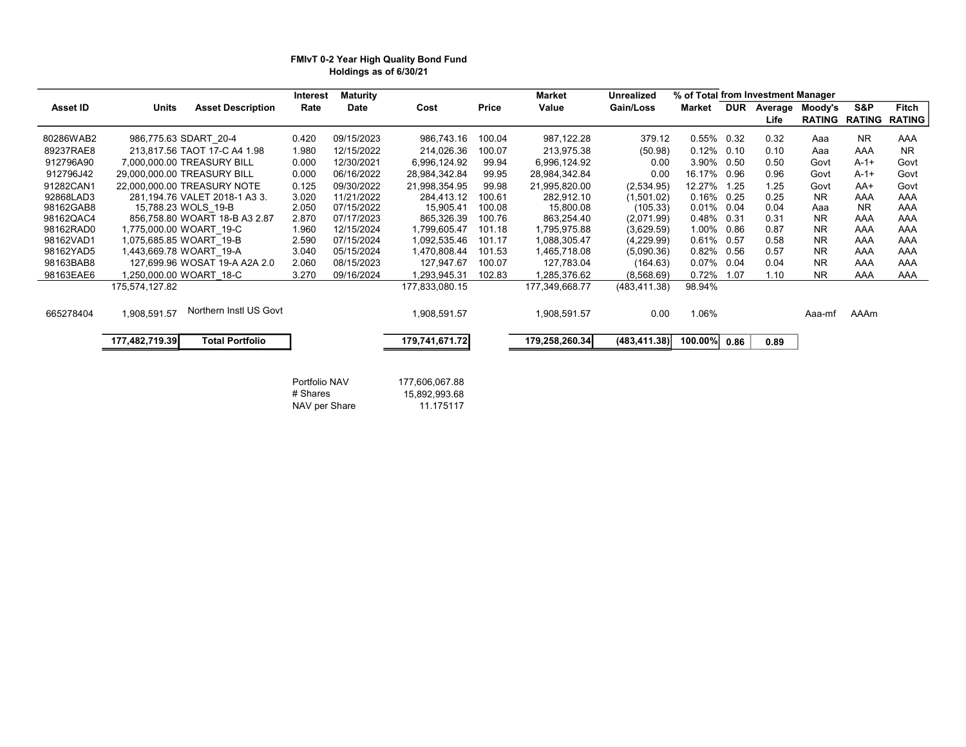### FMIvT 0-2 Year High Quality Bond Fund Holdings as of 6/30/21

|           |                                          | Interest | <b>Maturity</b> |                |        | <b>Market</b>  | <b>Unrealized</b> | % of Total from Investment Manager |            |         |               |               |               |
|-----------|------------------------------------------|----------|-----------------|----------------|--------|----------------|-------------------|------------------------------------|------------|---------|---------------|---------------|---------------|
| Asset ID  | <b>Units</b><br><b>Asset Description</b> | Rate     | Date            | Cost           | Price  | Value          | Gain/Loss         | Market                             | <b>DUR</b> | Average | Moody's       | S&P           | Fitch         |
|           |                                          |          |                 |                |        |                |                   |                                    |            | Life    | <b>RATING</b> | <b>RATING</b> | <b>RATING</b> |
| 80286WAB2 | 986,775.63 SDART 20-4                    | 0.420    | 09/15/2023      | 986,743.16     | 100.04 | 987,122.28     | 379.12            | $0.55\%$ 0.32                      |            | 0.32    | Aaa           | NR.           | AAA           |
| 89237RAE8 | 213,817.56 TAOT 17-C A4 1.98             | 1.980    | 12/15/2022      | 214,026.36     | 100.07 | 213,975.38     | (50.98)           | 0.12%                              | 0.10       | 0.10    | Aaa           | AAA           | <b>NR</b>     |
| 912796A90 | 7.000.000.00 TREASURY BILL               | 0.000    | 12/30/2021      | 6,996,124.92   | 99.94  | 6,996,124.92   | 0.00              | 3.90%                              | 0.50       | 0.50    | Govt          | $A-1+$        | Govt          |
| 912796J42 | 29,000,000.00 TREASURY BILL              | 0.000    | 06/16/2022      | 28,984,342.84  | 99.95  | 28,984,342.84  | 0.00              | 16.17%                             | 0.96       | 0.96    | Govt          | $A - 1 +$     | Govt          |
| 91282CAN1 | 22,000,000,00 TREASURY NOTE              | 0.125    | 09/30/2022      | 21,998,354.95  | 99.98  | 21,995,820.00  | (2,534.95)        | 12.27%                             | 1.25       | 1.25    | Govt          | AA+           | Govt          |
| 92868LAD3 | 281,194.76 VALET 2018-1 A3 3.            | 3.020    | 11/21/2022      | 284,413.12     | 100.61 | 282,912.10     | (1,501.02)        | 0.16%                              | 0.25       | 0.25    | <b>NR</b>     | AAA           | AAA           |
| 98162GAB8 | 15,788.23 WOLS 19-B                      | 2.050    | 07/15/2022      | 15,905.41      | 100.08 | 15,800.08      | (105.33)          | 0.01%                              | 0.04       | 0.04    | Aaa           | NR.           | AAA           |
| 98162QAC4 | 856,758.80 WOART 18-B A3 2.87            | 2.870    | 07/17/2023      | 865,326.39     | 100.76 | 863,254.40     | (2,071.99)        | 0.48%                              | 0.31       | 0.31    | <b>NR</b>     | AAA           | AAA           |
| 98162RAD0 | 1,775,000.00 WOART 19-C                  | 1.960    | 12/15/2024      | 1,799,605.47   | 101.18 | 1,795,975.88   | (3,629.59)        | 1.00%                              | 0.86       | 0.87    | <b>NR</b>     | AAA           | AAA           |
| 98162VAD1 | 1,075,685.85 WOART 19-B                  | 2.590    | 07/15/2024      | 1,092,535.46   | 101.17 | 1,088,305.47   | (4,229.99)        | 0.61%                              | 0.57       | 0.58    | <b>NR</b>     | AAA           | AAA           |
| 98162YAD5 | 1,443,669.78 WOART 19-A                  | 3.040    | 05/15/2024      | 1,470,808.44   | 101.53 | 1,465,718.08   | (5,090.36)        | 0.82% 0.56                         |            | 0.57    | <b>NR</b>     | AAA           | AAA           |
| 98163BAB8 | 127,699.96 WOSAT 19-A A2A 2.0            | 2.060    | 08/15/2023      | 127,947.67     | 100.07 | 127,783.04     | (164.63)          | 0.07%                              | 0.04       | 0.04    | <b>NR</b>     | AAA           | AAA           |
| 98163EAE6 | .250,000.00 WOART 18-C                   | 3.270    | 09/16/2024      | 1,293,945.31   | 102.83 | 1,285,376.62   | (8,568.69)        | 0.72%                              | 1.07       | 1.10    | <b>NR</b>     | AAA           | AAA           |
|           | 175,574,127.82                           |          |                 | 177,833,080.15 |        | 177,349,668.77 | (483, 411.38)     | 98.94%                             |            |         |               |               |               |
|           |                                          |          |                 |                |        |                |                   |                                    |            |         |               |               |               |
| 665278404 | Northern Instl US Govt<br>1,908,591.57   |          |                 | 1,908,591.57   |        | 1,908,591.57   | 0.00              | 1.06%                              |            |         | Aaa-mf        | AAAm          |               |
|           |                                          |          |                 |                |        |                |                   |                                    |            |         |               |               |               |
|           | 177,482,719.39<br><b>Total Portfolio</b> |          |                 | 179,741,671.72 |        | 179,258,260.34 | (483, 411.38)     | 100.00%                            | 0.86       | 0.89    |               |               |               |
|           |                                          |          |                 |                |        |                |                   |                                    |            |         |               |               |               |
|           |                                          |          |                 |                |        |                |                   |                                    |            |         |               |               |               |

Portfolio NAV 177,606,067.88<br># Shares 15,892,993.68 15,892,993.68<br>11.175117 NAV per Share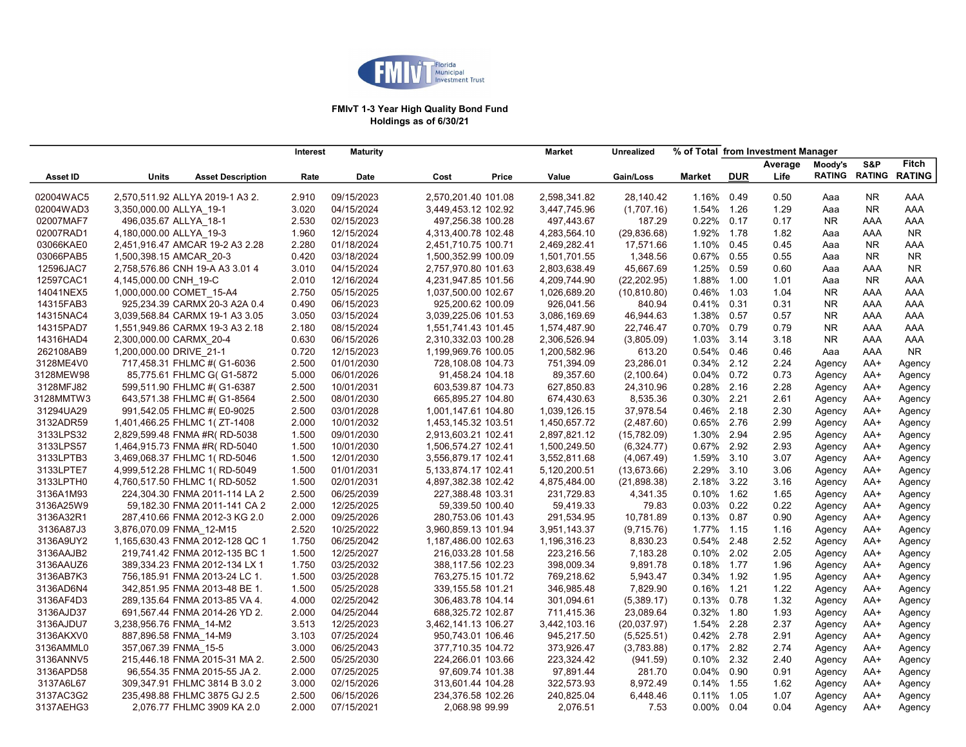

### FMIvT 1-3 Year High Quality Bond Fund Holdings as of 6/30/21

|                 | <b>Maturity</b><br>Interest |                                 |       |            |                     |       | <b>Market</b> | <b>Unrealized</b> |               |            | % of Total from Investment Manager |           |                      |               |
|-----------------|-----------------------------|---------------------------------|-------|------------|---------------------|-------|---------------|-------------------|---------------|------------|------------------------------------|-----------|----------------------|---------------|
|                 |                             |                                 |       |            |                     |       |               |                   |               |            | Average                            | Moody's   | S&P                  | <b>Fitch</b>  |
| <b>Asset ID</b> | <b>Units</b>                | <b>Asset Description</b>        | Rate  | Date       | Cost                | Price | Value         | Gain/Loss         | Market        | <b>DUR</b> | Life                               |           | <b>RATING RATING</b> | <b>RATING</b> |
| 02004WAC5       |                             | 2,570,511.92 ALLYA 2019-1 A3 2. | 2.910 | 09/15/2023 | 2,570,201.40 101.08 |       | 2,598,341.82  | 28,140.42         | 1.16%         | 0.49       | 0.50                               | Aaa       | <b>NR</b>            | AAA           |
| 02004WAD3       | 3,350,000.00 ALLYA 19-1     |                                 | 3.020 | 04/15/2024 | 3,449,453.12 102.92 |       | 3,447,745.96  | (1,707.16)        | 1.54%         | 1.26       | 1.29                               | Aaa       | <b>NR</b>            | AAA           |
| 02007MAF7       | 496,035.67 ALLYA 18-1       |                                 | 2.530 | 02/15/2023 | 497,256.38 100.28   |       | 497,443.67    | 187.29            | 0.22% 0.17    |            | 0.17                               | <b>NR</b> | AAA                  | AAA           |
| 02007RAD1       | 4,180,000.00 ALLYA 19-3     |                                 | 1.960 | 12/15/2024 | 4,313,400.78 102.48 |       | 4,283,564.10  | (29, 836.68)      | 1.92%         | 1.78       | 1.82                               | Aaa       | AAA                  | <b>NR</b>     |
| 03066KAE0       |                             | 2,451,916.47 AMCAR 19-2 A3 2.28 | 2.280 | 01/18/2024 | 2,451,710.75 100.71 |       | 2,469,282.41  | 17,571.66         | 1.10% 0.45    |            | 0.45                               | Aaa       | <b>NR</b>            | AAA           |
| 03066PAB5       | 1,500,398.15 AMCAR 20-3     |                                 | 0.420 | 03/18/2024 | 1,500,352.99 100.09 |       | 1,501,701.55  | 1,348.56          | 0.67% 0.55    |            | 0.55                               | Aaa       | <b>NR</b>            | NR.           |
| 12596JAC7       |                             | 2,758,576.86 CNH 19-A A3 3.01 4 | 3.010 | 04/15/2024 | 2,757,970.80 101.63 |       | 2,803,638.49  | 45,667.69         | 1.25%         | 0.59       | 0.60                               | Aaa       | AAA                  | NR.           |
| 12597CAC1       | 4,145,000.00 CNH 19-C       |                                 | 2.010 | 12/16/2024 | 4,231,947.85 101.56 |       | 4,209,744.90  | (22, 202.95)      | 1.88%         | 1.00       | 1.01                               | Aaa       | <b>NR</b>            | AAA           |
| 14041NEX5       | 1,000,000.00 COMET 15-A4    |                                 | 2.750 | 05/15/2025 | 1,037,500.00 102.67 |       | 1,026,689.20  | (10, 810.80)      | 0.46%         | 1.03       | 1.04                               | <b>NR</b> | AAA                  | AAA           |
| 14315FAB3       |                             | 925,234.39 CARMX 20-3 A2A 0.4   | 0.490 | 06/15/2023 | 925,200.62 100.09   |       | 926,041.56    | 840.94            | 0.41%         | 0.31       | 0.31                               | <b>NR</b> | AAA                  | AAA           |
| 14315NAC4       |                             | 3,039,568.84 CARMX 19-1 A3 3.05 | 3.050 | 03/15/2024 | 3,039,225.06 101.53 |       | 3,086,169.69  | 46,944.63         | 1.38% 0.57    |            | 0.57                               | <b>NR</b> | AAA                  | AAA           |
| 14315PAD7       |                             | 1,551,949.86 CARMX 19-3 A3 2.18 | 2.180 | 08/15/2024 | 1,551,741.43 101.45 |       | 1,574,487.90  | 22,746.47         | $0.70\%$      | 0.79       | 0.79                               | <b>NR</b> | AAA                  | AAA           |
| 14316HAD4       | 2,300,000.00 CARMX 20-4     |                                 | 0.630 | 06/15/2026 | 2,310,332.03 100.28 |       | 2,306,526.94  | (3,805.09)        | 1.03%         | 3.14       | 3.18                               | <b>NR</b> | AAA                  | AAA           |
| 262108AB9       | 1,200,000.00 DRIVE 21-1     |                                 | 0.720 | 12/15/2023 | 1,199,969.76 100.05 |       | 1,200,582.96  | 613.20            | 0.54% 0.46    |            | 0.46                               | Aaa       | AAA                  | NR.           |
| 3128ME4V0       |                             | 717,458.31 FHLMC #( G1-6036     | 2.500 | 01/01/2030 | 728,108.08 104.73   |       | 751,394.09    | 23,286.01         | 0.34% 2.12    |            | 2.24                               | Agency    | AA+                  | Agency        |
| 3128MEW98       |                             | 85,775.61 FHLMC G( G1-5872      | 5.000 | 06/01/2026 | 91,458.24 104.18    |       | 89,357.60     | (2,100.64)        | $0.04\%$ 0.72 |            | 0.73                               | Agency    | AA+                  | Agency        |
| 3128MFJ82       |                             | 599,511.90 FHLMC #( G1-6387     | 2.500 | 10/01/2031 | 603,539.87 104.73   |       | 627,850.83    | 24,310.96         | 0.28%         | 2.16       | 2.28                               | Agency    | AA+                  | Agency        |
| 3128MMTW3       |                             | 643,571.38 FHLMC #( G1-8564     | 2.500 | 08/01/2030 | 665,895.27 104.80   |       | 674,430.63    | 8,535.36          | 0.30% 2.21    |            | 2.61                               | Agency    | AA+                  | Agency        |
| 31294UA29       |                             | 991,542.05 FHLMC #(E0-9025      | 2.500 | 03/01/2028 | 1,001,147.61 104.80 |       | 1,039,126.15  | 37,978.54         | 0.46%         | 2.18       | 2.30                               | Agency    | AA+                  | Agency        |
| 3132ADR59       |                             | 1,401,466.25 FHLMC 1(ZT-1408    | 2.000 | 10/01/2032 | 1,453,145.32 103.51 |       | 1,450,657.72  | (2,487.60)        | 0.65%         | 2.76       | 2.99                               | Agency    | AA+                  | Agency        |
| 3133LPS32       |                             | 2,829,599.48 FNMA #R(RD-5038    | 1.500 | 09/01/2030 | 2,913,603.21 102.41 |       | 2,897,821.12  | (15,782.09)       | 1.30%         | 2.94       | 2.95                               | Agency    | AA+                  | Agency        |
| 3133LPS57       |                             | 1,464,915.73 FNMA #R(RD-5040    | 1.500 | 10/01/2030 | 1,506,574.27 102.41 |       | 1,500,249.50  | (6,324.77)        | 0.67%         | 2.92       | 2.93                               | Agency    | AA+                  | Agency        |
| 3133LPTB3       |                             | 3,469,068.37 FHLMC 1(RD-5046    | 1.500 | 12/01/2030 | 3,556,879.17 102.41 |       | 3,552,811.68  | (4,067.49)        | 1.59% 3.10    |            | 3.07                               | Agency    | AA+                  | Agency        |
| 3133LPTE7       |                             | 4,999,512.28 FHLMC 1(RD-5049    | 1.500 | 01/01/2031 | 5,133,874.17 102.41 |       | 5,120,200.51  | (13,673.66)       | 2.29%         | 3.10       | 3.06                               | Agency    | AA+                  | Agency        |
| 3133LPTH0       |                             | 4,760,517.50 FHLMC 1(RD-5052    | 1.500 | 02/01/2031 | 4,897,382.38 102.42 |       | 4,875,484.00  | (21,898.38)       | 2.18%         | 3.22       | 3.16                               | Agency    | AA+                  | Agency        |
| 3136A1M93       |                             | 224,304.30 FNMA 2011-114 LA 2   | 2.500 | 06/25/2039 | 227,388.48 103.31   |       | 231,729.83    | 4,341.35          | 0.10%         | 1.62       | 1.65                               | Agency    | AA+                  | Agency        |
| 3136A25W9       |                             | 59,182.30 FNMA 2011-141 CA 2    | 2.000 | 12/25/2025 | 59,339.50 100.40    |       | 59,419.33     | 79.83             | 0.03%         | 0.22       | 0.22                               | Agency    | AA+                  | Agency        |
| 3136A32R1       |                             | 287,410.66 FNMA 2012-3 KG 2.0   | 2.000 | 09/25/2026 | 280,753.06 101.43   |       | 291,534.95    | 10,781.89         | 0.13%         | 0.87       | 0.90                               | Agency    | AA+                  | Agency        |
| 3136A87J3       | 3,876,070.09 FNMA 12-M15    |                                 | 2.520 | 10/25/2022 | 3,960,859.13 101.94 |       | 3,951,143.37  | (9,715.76)        | 1.77% 1.15    |            | 1.16                               | Agency    | AA+                  | Agency        |
| 3136A9UY2       |                             | 1,165,630.43 FNMA 2012-128 QC 1 | 1.750 | 06/25/2042 | 1,187,486.00 102.63 |       | 1,196,316.23  | 8,830.23          | 0.54% 2.48    |            | 2.52                               | Agency    | AA+                  | Agency        |
| 3136AAJB2       |                             | 219,741.42 FNMA 2012-135 BC 1   | 1.500 | 12/25/2027 | 216,033.28 101.58   |       | 223,216.56    | 7,183.28          | 0.10% 2.02    |            | 2.05                               | Agency    | AA+                  | Agency        |
| 3136AAUZ6       |                             | 389,334.23 FNMA 2012-134 LX 1   | 1.750 | 03/25/2032 | 388,117.56 102.23   |       | 398,009.34    | 9,891.78          | 0.18% 1.77    |            | 1.96                               | Agency    | AA+                  | Agency        |
| 3136AB7K3       |                             | 756,185.91 FNMA 2013-24 LC 1.   | 1.500 | 03/25/2028 | 763,275.15 101.72   |       | 769,218.62    | 5,943.47          | 0.34% 1.92    |            | 1.95                               | Agency    | AA+                  | Agency        |
| 3136AD6N4       |                             | 342,851.95 FNMA 2013-48 BE 1.   | 1.500 | 05/25/2028 | 339, 155.58 101.21  |       | 346,985.48    | 7,829.90          | 0.16% 1.21    |            | 1.22                               | Agency    | AA+                  | Agency        |
| 3136AF4D3       |                             | 289,135.64 FNMA 2013-85 VA 4.   | 4.000 | 02/25/2042 | 306,483.78 104.14   |       | 301,094.61    | (5,389.17)        | 0.13%         | 0.78       | 1.32                               | Agency    | AA+                  | Agency        |
| 3136AJD37       |                             | 691,567.44 FNMA 2014-26 YD 2.   | 2.000 | 04/25/2044 | 688,325.72 102.87   |       | 711,415.36    | 23,089.64         | 0.32%         | 1.80       | 1.93                               | Agency    | AA+                  | Agency        |
| 3136AJDU7       | 3,238,956.76 FNMA_14-M2     |                                 | 3.513 | 12/25/2023 | 3,462,141.13 106.27 |       | 3,442,103.16  | (20,037.97)       | 1.54% 2.28    |            | 2.37                               | Agency    | AA+                  | Agency        |
| 3136AKXV0       | 887,896.58 FNMA 14-M9       |                                 | 3.103 | 07/25/2024 | 950,743.01 106.46   |       | 945,217.50    | (5,525.51)        | 0.42% 2.78    |            | 2.91                               | Agency    | AA+                  | Agency        |
| 3136AMML0       | 357,067.39 FNMA 15-5        |                                 | 3.000 | 06/25/2043 | 377,710.35 104.72   |       | 373,926.47    | (3,783.88)        | 0.17% 2.82    |            | 2.74                               | Agency    | AA+                  | Agency        |
| 3136ANNV5       |                             | 215,446.18 FNMA 2015-31 MA 2.   | 2.500 | 05/25/2030 | 224,266.01 103.66   |       | 223,324.42    | (941.59)          | $0.10\%$      | 2.32       | 2.40                               | Agency    | AA+                  | Agency        |
| 3136APD58       |                             | 96,554.35 FNMA 2015-55 JA 2.    | 2.000 | 07/25/2025 | 97,609.74 101.38    |       | 97,891.44     | 281.70            | $0.04\%$ 0.90 |            | 0.91                               | Agency    | AA+                  | Agency        |
| 3137A6L67       |                             | 309,347.91 FHLMC 3814 B 3.0 2   | 3.000 | 02/15/2026 | 313,601.44 104.28   |       | 322,573.93    | 8,972.49          | 0.14%         | 1.55       | 1.62                               | Agency    | AA+                  | Agency        |
| 3137AC3G2       |                             | 235,498.88 FHLMC 3875 GJ 2.5    | 2.500 | 06/15/2026 | 234,376.58 102.26   |       | 240,825.04    | 6,448.46          | 0.11%         | 1.05       | 1.07                               | Agency    | AA+                  | Agency        |
| 3137AEHG3       |                             | 2,076.77 FHLMC 3909 KA 2.0      | 2.000 | 07/15/2021 | 2,068.98 99.99      |       | 2,076.51      | 7.53              | $0.00\%$ 0.04 |            | 0.04                               | Agency    | $AA+$                | Agency        |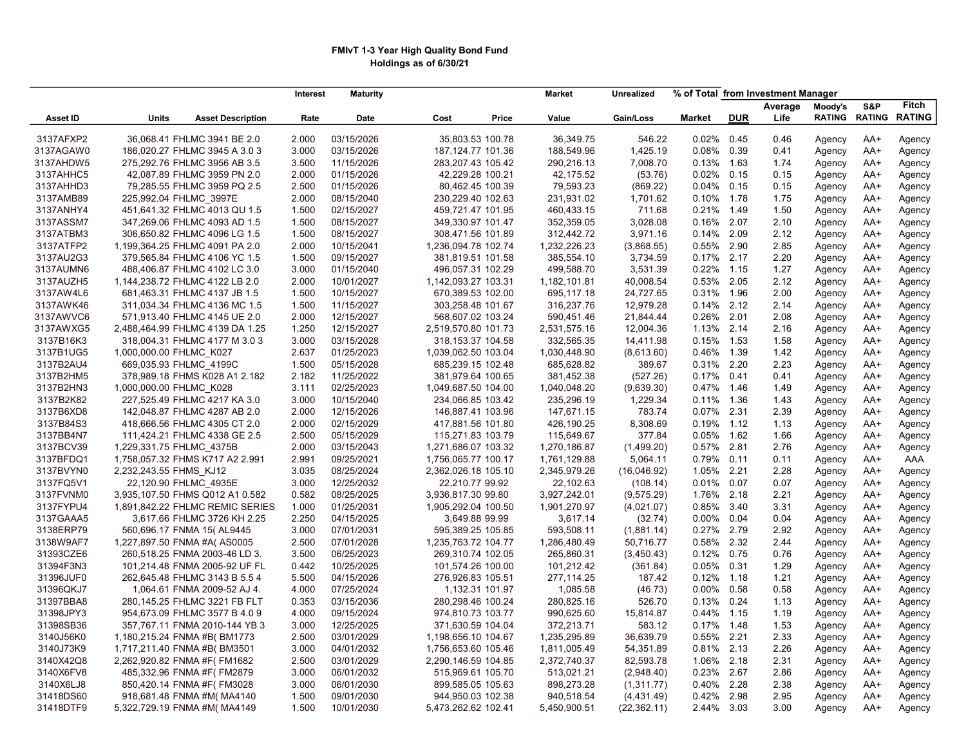## FMIvT 1-3 Year High Quality Bond Fund Holdings as of 6/30/21

|                        |                          |                                 | <b>Interest</b> | <b>Maturity</b>          |                                        |       | <b>Market</b> | <b>Unrealized</b>  |                |              | % of Total from Investment Manager |               |               |               |
|------------------------|--------------------------|---------------------------------|-----------------|--------------------------|----------------------------------------|-------|---------------|--------------------|----------------|--------------|------------------------------------|---------------|---------------|---------------|
|                        |                          |                                 |                 |                          |                                        |       |               |                    |                |              | Average                            | Moody's       | S&P           | <b>Fitch</b>  |
| <b>Asset ID</b>        | <b>Units</b>             | <b>Asset Description</b>        | Rate            | <b>Date</b>              | Cost                                   | Price | Value         | Gain/Loss          | <b>Market</b>  | <b>DUR</b>   | Life                               | <b>RATING</b> | <b>RATING</b> | <b>RATING</b> |
| 3137AFXP2              |                          | 36.068.41 FHLMC 3941 BE 2.0     | 2.000           | 03/15/2026               | 35,803.53 100.78                       |       | 36.349.75     | 546.22             | 0.02%          | 0.45         | 0.46                               | Agency        | $AA+$         | Agency        |
| 3137AGAW0              |                          | 186,020.27 FHLMC 3945 A 3.0 3   | 3.000           | 03/15/2026               | 187, 124. 77 101. 36                   |       | 188,549.96    | 1,425.19           | 0.08%          | 0.39         | 0.41                               | Agency        | AA+           | Agency        |
| 3137AHDW5              |                          | 275,292.76 FHLMC 3956 AB 3.5    | 3.500           | 11/15/2026               | 283,207.43 105.42                      |       | 290,216.13    | 7,008.70           | 0.13%          | 1.63         | 1.74                               | Agency        | AA+           | Agency        |
| 3137AHHC5              |                          | 42,087.89 FHLMC 3959 PN 2.0     | 2.000           | 01/15/2026               | 42,229.28 100.21                       |       | 42,175.52     | (53.76)            | 0.02%          | 0.15         | 0.15                               | Agency        | AA+           | Agency        |
| 3137AHHD3              |                          | 79,285.55 FHLMC 3959 PQ 2.5     | 2.500           | 01/15/2026               | 80,462.45 100.39                       |       | 79,593.23     | (869.22)           | 0.04%          | 0.15         | 0.15                               | Agency        | AA+           | Agency        |
| 3137AMB89              | 225,992.04 FHLMC 3997E   |                                 | 2.000           | 08/15/2040               | 230,229.40 102.63                      |       | 231,931.02    | 1,701.62           | 0.10%          | 1.78         | 1.75                               | Agency        | AA+           | Agency        |
| 3137ANHY4              |                          | 451,641.32 FHLMC 4013 QU 1.5    | 1.500           | 02/15/2027               | 459,721.47 101.95                      |       | 460,433.15    | 711.68             | 0.21%          | 1.49         | 1.50                               | Agency        | AA+           | Agency        |
| 3137ASSM7              |                          | 347,269.06 FHLMC 4093 AD 1.5    | 1.500           | 08/15/2027               | 349,330.97 101.47                      |       | 352,359.05    | 3,028.08           | 0.16%          | 2.07         | 2.10                               | Agency        | AA+           | Agency        |
| 3137ATBM3              |                          | 306,650.82 FHLMC 4096 LG 1.5    | 1.500           | 08/15/2027               | 308,471.56 101.89                      |       | 312,442.72    | 3,971.16           | 0.14%          | 2.09         | 2.12                               | Agency        | AA+           | Agency        |
| 3137ATFP2              |                          | 1,199,364.25 FHLMC 4091 PA 2.0  | 2.000           | 10/15/2041               | 1,236,094.78 102.74                    |       | 1,232,226.23  | (3,868.55)         | 0.55%          | 2.90         | 2.85                               | Agency        | AA+           | Agency        |
| 3137AU2G3              |                          | 379,565.84 FHLMC 4106 YC 1.5    | 1.500           | 09/15/2027               | 381,819.51 101.58                      |       | 385,554.10    | 3,734.59           | 0.17%          | 2.17         | 2.20                               | Agency        | AA+           | Agency        |
| 3137AUMN6              |                          | 488,406.87 FHLMC 4102 LC 3.0    | 3.000           | 01/15/2040               | 496,057.31 102.29                      |       | 499,588.70    | 3,531.39           | 0.22%          | 1.15         | 1.27                               | Agency        | AA+           | Agency        |
| 3137AUZH5              |                          | 1,144,238.72 FHLMC 4122 LB 2.0  | 2.000           | 10/01/2027               | 1,142,093.27 103.31                    |       | 1,182,101.81  | 40,008.54          | 0.53%          | 2.05         | 2.12                               | Agency        | AA+           | Agency        |
| 3137AW4L6              |                          | 681,463.31 FHLMC 4137 JB 1.5    | 1.500           | 10/15/2027               | 670,389.53 102.00                      |       | 695,117.18    | 24,727.65          | 0.31%          | 1.96         | 2.00                               | Agency        | AA+           | Agency        |
| 3137AWK46              |                          | 311,034.34 FHLMC 4136 MC 1.5    | 1.500           | 11/15/2027               | 303,258.48 101.67                      |       | 316,237.76    | 12,979.28          | 0.14%          | 2.12         | 2.14                               | Agency        | AA+           | Agency        |
| 3137AWVC6              |                          | 571,913.40 FHLMC 4145 UE 2.0    | 2.000           | 12/15/2027               | 568,607.02 103.24                      |       | 590,451.46    | 21,844.44          | 0.26%          | 2.01         | 2.08                               | Agency        | AA+           | Agency        |
| 3137AWXG5              |                          | 2,488,464.99 FHLMC 4139 DA 1.25 | 1.250           | 12/15/2027               | 2,519,570.80 101.73                    |       | 2,531,575.16  | 12,004.36          | 1.13%          | 2.14         | 2.16                               | Agency        | AA+           | Agency        |
| 3137B16K3              |                          | 318,004.31 FHLMC 4177 M 3.0 3   | 3.000           | 03/15/2028               | 318, 153.37 104.58                     |       | 332,565.35    | 14,411.98          | 0.15%          | 1.53         | 1.58                               | Agency        | AA+           | Agency        |
| 3137B1UG5              | 1,000,000.00 FHLMC K027  |                                 | 2.637           | 01/25/2023               | 1,039,062.50 103.04                    |       | 1,030,448.90  | (8,613.60)         | 0.46%          | 1.39         | 1.42                               | Agency        | AA+           | Agency        |
| 3137B2AU4              | 669,035.93 FHLMC 4199C   |                                 | 1.500           | 05/15/2028               | 685,239.15 102.48                      |       | 685,628.82    | 389.67             | 0.31%          | 2.20         | 2.23                               | Agency        | AA+           | Agency        |
| 3137B2HM5              |                          | 378,989.18 FHMS K028 A1 2.182   | 2.182           | 11/25/2022               | 381,979.64 100.65                      |       | 381,452.38    | (527.26)           | 0.17%          | 0.41         | 0.41                               | Agency        | AA+           | Agency        |
| 3137B2HN3              | 1,000,000.00 FHLMC_K028  |                                 | 3.111           | 02/25/2023               | 1,049,687.50 104.00                    |       | 1,040,048.20  | (9,639.30)         | 0.47%          | 1.46         | 1.49                               | Agency        | AA+           | Agency        |
| 3137B2K82              |                          | 227,525.49 FHLMC 4217 KA 3.0    | 3.000           | 10/15/2040               | 234,066.85 103.42                      |       | 235,296.19    | 1,229.34           | 0.11%          | 1.36         | 1.43                               |               | AA+           |               |
| 3137B6XD8              |                          | 142,048.87 FHLMC 4287 AB 2.0    | 2.000           | 12/15/2026               | 146,887.41 103.96                      |       | 147,671.15    | 783.74             | 0.07%          | 2.31         | 2.39                               | Agency        | $AA+$         | Agency        |
| 3137B84S3              |                          | 418,666.56 FHLMC 4305 CT 2.0    | 2.000           | 02/15/2029               |                                        |       | 426,190.25    |                    | 0.19%          | 1.12         |                                    | Agency        |               | Agency        |
| 3137BB4N7              |                          | 111,424.21 FHLMC 4338 GE 2.5    | 2.500           | 05/15/2029               | 417,881.56 101.80<br>115,271.83 103.79 |       | 115,649.67    | 8,308.69<br>377.84 | 0.05%          | 1.62         | 1.13<br>1.66                       | Agency        | AA+<br>AA+    | Agency        |
|                        |                          |                                 |                 |                          |                                        |       |               |                    |                |              |                                    | Agency        |               | Agency        |
| 3137BCV39              | 1,229,331.75 FHLMC 4375B | 1,758,057.32 FHMS K717 A2 2.991 | 2.000<br>2.991  | 03/15/2043<br>09/25/2021 | 1,271,686.07 103.32                    |       | 1,270,186.87  | (1,499.20)         | 0.57%<br>0.79% | 2.81<br>0.11 | 2.76                               | Agency        | AA+           | Agency        |
| 3137BFDQ1<br>3137BVYN0 |                          |                                 | 3.035           |                          | 1,756,065.77 100.17                    |       | 1,761,129.88  | 5,064.11           | 1.05%          | 2.21         | 0.11                               | Agency        | AA+           | AAA           |
|                        | 2,232,243.55 FHMS KJ12   |                                 |                 | 08/25/2024               | 2,362,026.18 105.10                    |       | 2,345,979.26  | (16,046.92)        |                |              | 2.28                               | Agency        | AA+           | Agency        |
| 3137FQ5V1              |                          | 22,120.90 FHLMC 4935E           | 3.000           | 12/25/2032               | 22,210.77 99.92                        |       | 22,102.63     | (108.14)           | 0.01%          | 0.07         | 0.07                               | Agency        | AA+           | Agency        |
| 3137FVNM0              |                          | 3,935,107.50 FHMS Q012 A1 0.582 | 0.582           | 08/25/2025               | 3,936,817.30 99.80                     |       | 3,927,242.01  | (9,575.29)         | 1.76%          | 2.18         | 2.21                               | Agency        | AA+           | Agency        |
| 3137FYPU4              |                          | 1,891,842.22 FHLMC REMIC SERIES | 1.000           | 01/25/2031               | 1,905,292.04 100.50                    |       | 1,901,270.97  | (4,021.07)         | 0.85%          | 3.40         | 3.31                               | Agency        | AA+           | Agency        |
| 3137GAAA5              |                          | 3,617.66 FHLMC 3726 KH 2.25     | 2.250           | 04/15/2025               | 3,649.88 99.99                         |       | 3,617.14      | (32.74)            | 0.00%          | 0.04         | 0.04                               | Agency        | AA+           | Agency        |
| 3138ERP79              |                          | 560,696.17 FNMA 15(AL9445       | 3.000           | 07/01/2031               | 595,389.25 105.85                      |       | 593,508.11    | (1,881.14)         | 0.27%          | 2.79         | 2.92                               | Agency        | AA+           | Agency        |
| 3138W9AF7              |                          | 1,227,897.50 FNMA #A(AS0005     | 2.500           | 07/01/2028               | 1,235,763.72 104.77                    |       | 1,286,480.49  | 50,716.77          | 0.58%          | 2.32         | 2.44                               | Agency        | AA+           | Agency        |
| 31393CZE6              |                          | 260,518.25 FNMA 2003-46 LD 3.   | 3.500           | 06/25/2023               | 269,310.74 102.05                      |       | 265,860.31    | (3,450.43)         | 0.12%          | 0.75         | 0.76                               | Agency        | AA+           | Agency        |
| 31394F3N3              |                          | 101,214.48 FNMA 2005-92 UF FL   | 0.442           | 10/25/2025               | 101,574.26 100.00                      |       | 101,212.42    | (361.84)           | 0.05%          | 0.31         | 1.29                               | Agency        | AA+           | Agency        |
| 31396JUF0              |                          | 262,645.48 FHLMC 3143 B 5.5 4   | 5.500           | 04/15/2026               | 276,926.83 105.51                      |       | 277,114.25    | 187.42             | 0.12%          | 1.18         | 1.21                               | Agency        | AA+           | Agency        |
| 31396QKJ7              |                          | 1,064.61 FNMA 2009-52 AJ 4.     | 4.000           | 07/25/2024               | 1,132.31 101.97                        |       | 1,085.58      | (46.73)            | 0.00%          | 0.58         | 0.58                               | Agency        | AA+           | Agency        |
| 31397BBA8              |                          | 280,145.25 FHLMC 3221 FB FLT    | 0.353           | 03/15/2036               | 280,298.46 100.24                      |       | 280,825.16    | 526.70             | 0.13%          | 0.24         | 1.13                               | Agency        | AA+           | Agency        |
| 31398JPY3              |                          | 954,673.09 FHLMC 3577 B 4.0 9   | 4.000           | 09/15/2024               | 974,810.73 103.77                      |       | 990,625.60    | 15,814.87          | 0.44%          | 1.15         | 1.19                               | Agency        | AA+           | Agency        |
| 31398SB36              |                          | 357,767.11 FNMA 2010-144 YB 3   | 3.000           | 12/25/2025               | 371,630.59 104.04                      |       | 372,213.71    | 583.12             | 0.17%          | 1.48         | 1.53                               | Agency        | AA+           | Agency        |
| 3140J56K0              |                          | 1,180,215.24 FNMA #B(BM1773     | 2.500           | 03/01/2029               | 1,198,656.10 104.67                    |       | 1,235,295.89  | 36,639.79          | 0.55%          | 2.21         | 2.33                               | Agency        | AA+           | Agency        |
| 3140J73K9              |                          | 1,717,211.40 FNMA #B(BM3501     | 3.000           | 04/01/2032               | 1,756,653.60 105.46                    |       | 1,811,005.49  | 54,351.89          | 0.81%          | 2.13         | 2.26                               | Agency        | AA+           | Agency        |
| 3140X42Q8              |                          | 2,262,920.82 FNMA #F(FM1682     | 2.500           | 03/01/2029               | 2,290,146.59 104.85                    |       | 2,372,740.37  | 82,593.78          | 1.06%          | 2.18         | 2.31                               | Agency        | AA+           | Agency        |
| 3140X6FV8              |                          | 485,332.96 FNMA #F(FM2879       | 3.000           | 06/01/2032               | 515,969.61 105.70                      |       | 513,021.21    | (2,948.40)         | 0.23%          | 2.67         | 2.86                               | Agency        | AA+           | Agency        |
| 3140X6LJ8              |                          | 850,420.14 FNMA #F(FM3028       | 3.000           | 06/01/2030               | 899,585.05 105.63                      |       | 898,273.28    | (1,311.77)         | 0.40%          | 2.28         | 2.38                               | Agency        | AA+           | Agency        |
| 31418DS60              |                          | 918,681.48 FNMA #M(MA4140       | 1.500           | 09/01/2030               | 944,950.03 102.38                      |       | 940,518.54    | (4,431.49)         | 0.42%          | 2.98         | 2.95                               | Agency        | AA+           | Agency        |
| 31418DTF9              |                          | 5,322,729.19 FNMA #M( MA4149    | 1.500           | 10/01/2030               | 5,473,262.62 102.41                    |       | 5,450,900.51  | (22, 362.11)       | 2.44%          | 3.03         | 3.00                               | Agency        | $AA+$         | Agency        |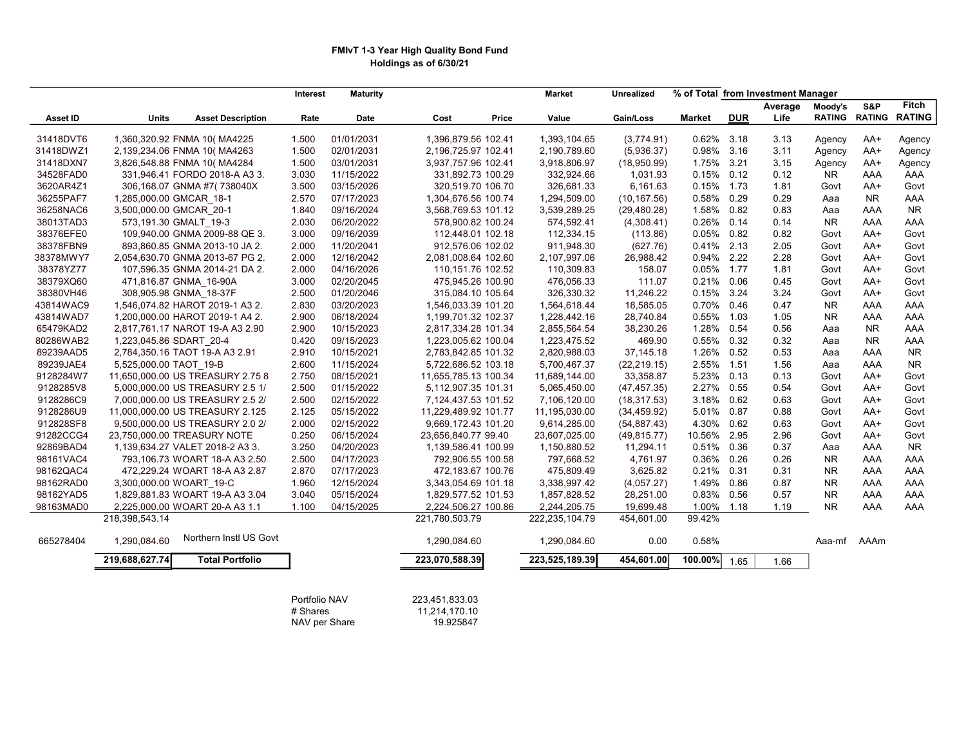## FMIvT 1-3 Year High Quality Bond Fund Holdings as of 6/30/21

|           |                                          |       | <b>Maturity</b><br>Interest |                      | <b>Market</b>  | <b>Unrealized</b> |               |            | % of Total from Investment Manager |                     |           |                      |
|-----------|------------------------------------------|-------|-----------------------------|----------------------|----------------|-------------------|---------------|------------|------------------------------------|---------------------|-----------|----------------------|
|           |                                          |       |                             |                      |                |                   |               |            | Average                            | Moody's             | S&P       | <b>Fitch</b>         |
| Asset ID  | Units<br><b>Asset Description</b>        |       | Date<br>Rate                | Cost                 | Value<br>Price | Gain/Loss         | <b>Market</b> | <b>DUR</b> | Life                               | <b>RATING</b>       |           | <b>RATING RATING</b> |
| 31418DVT6 | 1,360,320.92 FNMA 10( MA4225             | 1.500 | 01/01/2031                  | 1,396,879.56 102.41  | 1,393,104.65   | (3,774.91)        | 0.62%         | 3.18       | 3.13                               | Agency              | AA+       | Agency               |
| 31418DWZ1 | 2,139,234.06 FNMA 10( MA4263             | 1.500 | 02/01/2031                  | 2,196,725.97 102.41  | 2,190,789.60   | (5,936.37)        | 0.98%         | 3.16       | 3.11                               | Agency              | AA+       |                      |
| 31418DXN7 | 3,826,548.88 FNMA 10( MA4284             | 1.500 | 03/01/2031                  | 3,937,757.96 102.41  | 3,918,806.97   | (18,950.99)       | 1.75%         | 3.21       | 3.15                               |                     | AA+       | Agency               |
| 34528FAD0 | 331,946.41 FORDO 2018-A A3 3.            | 3.030 | 11/15/2022                  | 331,892.73 100.29    | 332,924.66     | 1,031.93          | 0.15%         | 0.12       | 0.12                               | Agency<br><b>NR</b> | AAA       | Agency<br>AAA        |
| 3620AR4Z1 |                                          | 3.500 | 03/15/2026                  | 320,519.70 106.70    | 326,681.33     | 6,161.63          | 0.15%         | 1.73       | 1.81                               | Govt                | $AA+$     | Govt                 |
|           | 306,168.07 GNMA #7(738040X               |       |                             |                      |                |                   | 0.58%         | 0.29       |                                    |                     |           |                      |
| 36255PAF7 | 1,285,000.00 GMCAR 18-1                  | 2.570 | 07/17/2023                  | 1,304,676.56 100.74  | 1,294,509.00   | (10, 167.56)      |               |            | 0.29                               | Aaa                 | <b>NR</b> | AAA                  |
| 36258NAC6 | 3,500,000.00 GMCAR 20-1                  | 1.840 | 09/16/2024                  | 3,568,769.53 101.12  | 3,539,289.25   | (29, 480.28)      | 1.58%         | 0.82       | 0.83                               | Aaa                 | AAA       | <b>NR</b>            |
| 38013TAD3 | 573,191.30 GMALT 19-3                    | 2.030 | 06/20/2022                  | 578,900.82 100.24    | 574,592.41     | (4,308.41)        | 0.26%         | 0.14       | 0.14                               | NR.                 | AAA       | AAA                  |
| 38376EFE0 | 109,940.00 GNMA 2009-88 QE 3.            | 3.000 | 09/16/2039                  | 112,448.01 102.18    | 112,334.15     | (113.86)          | 0.05%         | 0.82       | 0.82                               | Govt                | AA+       | Govt                 |
| 38378FBN9 | 893,860.85 GNMA 2013-10 JA 2.            | 2.000 | 11/20/2041                  | 912,576.06 102.02    | 911,948.30     | (627.76)          | 0.41%         | 2.13       | 2.05                               | Govt                | AA+       | Govt                 |
| 38378MWY7 | 2,054,630.70 GNMA 2013-67 PG 2.          | 2.000 | 12/16/2042                  | 2,081,008.64 102.60  | 2,107,997.06   | 26,988.42         | 0.94%         | 2.22       | 2.28                               | Govt                | AA+       | Govt                 |
| 38378YZ77 | 107,596.35 GNMA 2014-21 DA 2.            | 2.000 | 04/16/2026                  | 110,151.76 102.52    | 110,309.83     | 158.07            | 0.05%         | 1.77       | 1.81                               | Govt                | AA+       | Govt                 |
| 38379XQ60 | 471,816.87 GNMA 16-90A                   | 3.000 | 02/20/2045                  | 475,945.26 100.90    | 476,056.33     | 111.07            | 0.21%         | 0.06       | 0.45                               | Govt                | $AA+$     | Govt                 |
| 38380VH46 | 308,905.98 GNMA 18-37F                   | 2.500 | 01/20/2046                  | 315,084.10 105.64    | 326,330.32     | 11,246.22         | 0.15%         | 3.24       | 3.24                               | Govt                | AA+       | Govt                 |
| 43814WAC9 | 1,546,074.82 HAROT 2019-1 A3 2.          | 2.830 | 03/20/2023                  | 1,546,033.39 101.20  | 1,564,618.44   | 18,585.05         | 0.70%         | 0.46       | 0.47                               | <b>NR</b>           | AAA       | AAA                  |
| 43814WAD7 | 1,200,000.00 HAROT 2019-1 A4 2.          | 2.900 | 06/18/2024                  | 1,199,701.32 102.37  | 1,228,442.16   | 28,740.84         | 0.55%         | 1.03       | 1.05                               | <b>NR</b>           | AAA       | AAA                  |
| 65479KAD2 | 2,817,761.17 NAROT 19-A A3 2.90          | 2.900 | 10/15/2023                  | 2,817,334.28 101.34  | 2,855,564.54   | 38,230.26         | 1.28%         | 0.54       | 0.56                               | Aaa                 | <b>NR</b> | AAA                  |
| 80286WAB2 | 1,223,045.86 SDART 20-4                  | 0.420 | 09/15/2023                  | 1,223,005.62 100.04  | 1,223,475.52   | 469.90            | 0.55%         | 0.32       | 0.32                               | Aaa                 | <b>NR</b> | AAA                  |
| 89239AAD5 | 2,784,350.16 TAOT 19-A A3 2.91           | 2.910 | 10/15/2021                  | 2,783,842.85 101.32  | 2,820,988.03   | 37,145.18         | 1.26%         | 0.52       | 0.53                               | Aaa                 | AAA       | <b>NR</b>            |
| 89239JAE4 | 5,525,000.00 TAOT 19-B                   | 2.600 | 11/15/2024                  | 5,722,686.52 103.18  | 5,700,467.37   | (22, 219.15)      | 2.55%         | 1.51       | 1.56                               | Aaa                 | AAA       | <b>NR</b>            |
| 9128284W7 | 11,650,000.00 US TREASURY 2.75 8         | 2.750 | 08/15/2021                  | 11,655,785.13 100.34 | 11,689,144.00  | 33,358.87         | 5.23%         | 0.13       | 0.13                               | Govt                | $AA+$     | Govt                 |
| 9128285V8 | 5,000,000.00 US TREASURY 2.5 1/          | 2.500 | 01/15/2022                  | 5,112,907.35 101.31  | 5,065,450.00   | (47, 457.35)      | 2.27%         | 0.55       | 0.54                               | Govt                | AA+       | Govt                 |
| 9128286C9 | 7,000,000.00 US TREASURY 2.5 2/          | 2.500 | 02/15/2022                  | 7,124,437.53 101.52  | 7,106,120.00   | (18, 317.53)      | 3.18%         | 0.62       | 0.63                               | Govt                | $AA+$     | Govt                 |
| 9128286U9 | 11,000,000.00 US TREASURY 2.125          | 2.125 | 05/15/2022                  | 11,229,489.92 101.77 | 11,195,030.00  | (34, 459.92)      | 5.01%         | 0.87       | 0.88                               | Govt                | AA+       | Govt                 |
| 912828SF8 | 9,500,000.00 US TREASURY 2.0 2/          | 2.000 | 02/15/2022                  | 9,669,172.43 101.20  | 9,614,285.00   | (54, 887.43)      | 4.30%         | 0.62       | 0.63                               | Govt                | AA+       | Govt                 |
| 91282CCG4 | 23,750,000.00 TREASURY NOTE              | 0.250 | 06/15/2024                  | 23,656,840.77 99.40  | 23,607,025.00  | (49, 815.77)      | 10.56%        | 2.95       | 2.96                               | Govt                | AA+       | Govt                 |
| 92869BAD4 | 1,139,634.27 VALET 2018-2 A3 3.          | 3.250 | 04/20/2023                  | 1,139,586.41 100.99  | 1,150,880.52   | 11,294.11         | 0.51%         | 0.36       | 0.37                               | Aaa                 | AAA       | <b>NR</b>            |
| 98161VAC4 | 793,106.73 WOART 18-A A3 2.50            | 2.500 | 04/17/2023                  | 792,906.55 100.58    | 797,668.52     | 4,761.97          | 0.36%         | 0.26       | 0.26                               | NR.                 | AAA       | AAA                  |
| 98162QAC4 | 472,229.24 WOART 18-A A3 2.87            | 2.870 | 07/17/2023                  | 472,183.67 100.76    | 475,809.49     | 3,625.82          | 0.21%         | 0.31       | 0.31                               | NR.                 | AAA       | AAA                  |
| 98162RAD0 | 3,300,000.00 WOART 19-C                  | 1.960 | 12/15/2024                  | 3,343,054.69 101.18  | 3,338,997.42   | (4,057.27)        | 1.49%         | 0.86       | 0.87                               | <b>NR</b>           | AAA       | AAA                  |
| 98162YAD5 | 1,829,881.83 WOART 19-A A3 3.04          | 3.040 | 05/15/2024                  | 1,829,577.52 101.53  | 1,857,828.52   | 28,251.00         | 0.83%         | 0.56       | 0.57                               | <b>NR</b>           | AAA       | AAA                  |
| 98163MAD0 | 2,225,000.00 WOART 20-A A3 1.1           | 1.100 | 04/15/2025                  | 2,224,506.27 100.86  | 2,244,205.75   | 19,699.48         | 1.00%         | 1.18       | 1.19                               | <b>NR</b>           | AAA       | AAA                  |
|           | 218,398,543.14                           |       |                             | 221,780,503.79       | 222,235,104.79 | 454,601.00        | 99.42%        |            |                                    |                     |           |                      |
|           |                                          |       |                             |                      |                |                   |               |            |                                    |                     |           |                      |
| 665278404 | Northern Instl US Govt<br>1,290,084.60   |       |                             | 1,290,084.60         | 1,290,084.60   | 0.00              | 0.58%         |            |                                    | Aaa-mf              | AAAm      |                      |
|           | <b>Total Portfolio</b><br>219,688,627.74 |       |                             | 223,070,588.39       | 223,525,189.39 | 454,601.00        | 100.00%       | 1.65       | 1.66                               |                     |           |                      |
|           |                                          |       | Portfolio NAV               | 223,451,833.03       |                |                   |               |            |                                    |                     |           |                      |

# Shares 11,214,170.10 NAV per Share 19.925847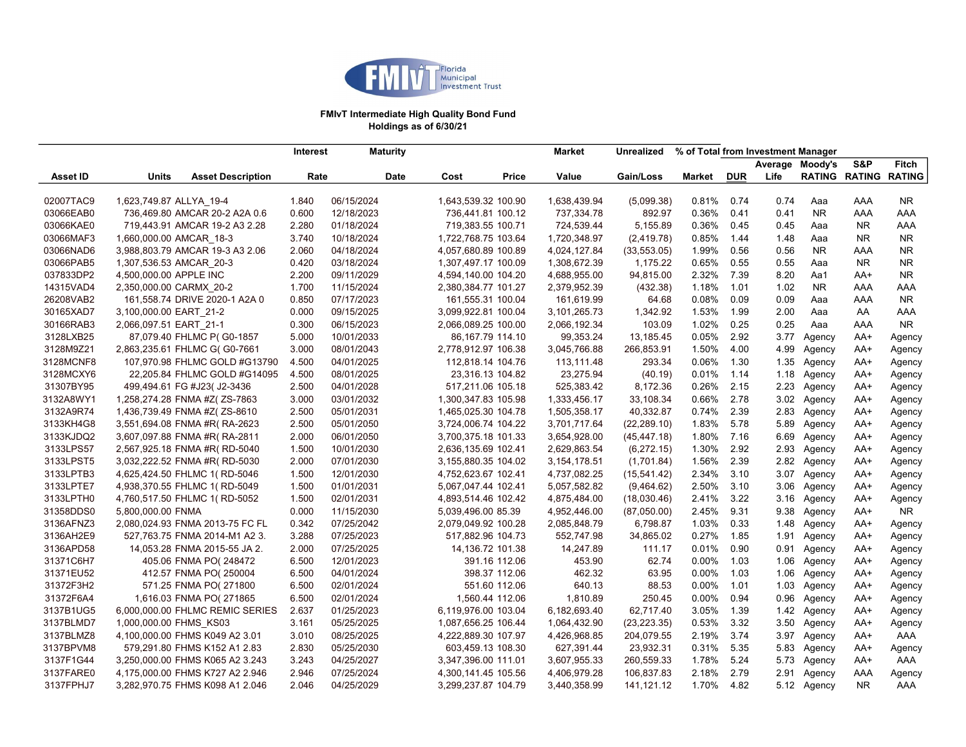

### FMIvT Intermediate High Quality Bond Fund Holdings as of 6/30/21

|           |                         |                                 | <b>Interest</b> |            | <b>Maturity</b>     |                     | Market         | Unrealized   | % of Total from Investment Manager |            |                 |             |                      |                |
|-----------|-------------------------|---------------------------------|-----------------|------------|---------------------|---------------------|----------------|--------------|------------------------------------|------------|-----------------|-------------|----------------------|----------------|
|           |                         |                                 |                 |            |                     |                     |                |              |                                    |            | Average Moody's |             | S&P                  | Fitch          |
| Asset ID  | Units                   | <b>Asset Description</b>        | Rate            |            | <b>Date</b><br>Cost | Price               | Value          | Gain/Loss    | Market                             | <b>DUR</b> | Life            |             | <b>RATING RATING</b> | <b>RATING</b>  |
|           |                         |                                 |                 | 06/15/2024 |                     |                     |                |              |                                    |            |                 |             |                      |                |
| 02007TAC9 | 1,623,749.87 ALLYA 19-4 |                                 | 1.840           |            |                     | 1,643,539.32 100.90 | 1,638,439.94   | (5,099.38)   | 0.81%                              | 0.74       | 0.74            | Aaa         | AAA                  | NR.            |
| 03066EAB0 |                         | 736,469.80 AMCAR 20-2 A2A 0.6   | 0.600           | 12/18/2023 |                     | 736,441.81 100.12   | 737,334.78     | 892.97       | 0.36%                              | 0.41       | 0.41            | <b>NR</b>   | AAA                  | AAA            |
| 03066KAE0 |                         | 719,443.91 AMCAR 19-2 A3 2.28   | 2.280           | 01/18/2024 |                     | 719,383.55 100.71   | 724,539.44     | 5,155.89     | 0.36%                              | 0.45       | 0.45            | Aaa         | <b>NR</b>            | AAA            |
| 03066MAF3 | 1,660,000.00 AMCAR 18-3 |                                 | 3.740           | 10/18/2024 |                     | 1,722,768.75 103.64 | 1,720,348.97   | (2,419.78)   | 0.85%                              | 1.44       | 1.48            | Aaa         | <b>NR</b>            | NR.            |
| 03066NAD6 |                         | 3,988,803.79 AMCAR 19-3 A3 2.06 | 2.060           | 04/18/2024 |                     | 4,057,680.89 100.89 | 4,024,127.84   | (33, 553.05) | 1.99%                              | 0.56       | 0.56            | <b>NR</b>   | AAA                  | NR.            |
| 03066PAB5 | 1,307,536.53 AMCAR_20-3 |                                 | 0.420           | 03/18/2024 |                     | 1,307,497.17 100.09 | 1,308,672.39   | 1,175.22     | 0.65%                              | 0.55       | 0.55            | Aaa         | <b>NR</b>            | <b>NR</b>      |
| 037833DP2 | 4,500,000.00 APPLE INC  |                                 | 2.200           | 09/11/2029 |                     | 4,594,140.00 104.20 | 4,688,955.00   | 94,815.00    | 2.32%                              | 7.39       | 8.20            | Aa1         | AA+                  | N <sub>R</sub> |
| 14315VAD4 | 2,350,000.00 CARMX 20-2 |                                 | 1.700           | 11/15/2024 |                     | 2,380,384.77 101.27 | 2,379,952.39   | (432.38)     | 1.18%                              | 1.01       | 1.02            | <b>NR</b>   | AAA                  | AAA            |
| 26208VAB2 |                         | 161,558.74 DRIVE 2020-1 A2A 0   | 0.850           | 07/17/2023 |                     | 161,555.31 100.04   | 161,619.99     | 64.68        | 0.08%                              | 0.09       | 0.09            | Aaa         | AAA                  | <b>NR</b>      |
| 30165XAD7 | 3,100,000.00 EART 21-2  |                                 | 0.000           | 09/15/2025 |                     | 3,099,922.81 100.04 | 3,101,265.73   | 1,342.92     | 1.53%                              | 1.99       | 2.00            | Aaa         | AA                   | AAA            |
| 30166RAB3 | 2,066,097.51 EART 21-1  |                                 | 0.300           | 06/15/2023 |                     | 2,066,089.25 100.00 | 2,066,192.34   | 103.09       | 1.02%                              | 0.25       | 0.25            | Aaa         | AAA                  | <b>NR</b>      |
| 3128LXB25 |                         | 87,079.40 FHLMC P(G0-1857       | 5.000           | 10/01/2033 |                     | 86, 167. 79 114. 10 | 99,353.24      | 13,185.45    | 0.05%                              | 2.92       | 3.77            | Agency      | AA+                  | Agency         |
| 3128M9Z21 |                         | 2,863,235.61 FHLMC G(G0-7661    | 3.000           | 08/01/2043 |                     | 2,778,912.97 106.38 | 3,045,766.88   | 266,853.91   | 1.50%                              | 4.00       | 4.99            | Agency      | AA+                  | Agency         |
| 3128MCNF8 |                         | 107,970.98 FHLMC GOLD #G13790   | 4.500           | 04/01/2025 |                     | 112,818.14 104.76   | 113,111.48     | 293.34       | 0.06%                              | 1.30       | 1.35            | Agency      | AA+                  | Agency         |
| 3128MCXY6 |                         | 22,205.84 FHLMC GOLD #G14095    | 4.500           | 08/01/2025 |                     | 23,316.13 104.82    | 23,275.94      | (40.19)      | 0.01%                              | 1.14       | 1.18            | Agency      | AA+                  | Agency         |
| 31307BY95 |                         | 499,494.61 FG #J23( J2-3436     | 2.500           | 04/01/2028 |                     | 517,211.06 105.18   | 525,383.42     | 8,172.36     | 0.26%                              | 2.15       | 2.23            | Agency      | AA+                  | Agency         |
| 3132A8WY1 |                         | 1,258,274.28 FNMA #Z(ZS-7863    | 3.000           | 03/01/2032 |                     | 1,300,347.83 105.98 | 1,333,456.17   | 33,108.34    | 0.66%                              | 2.78       | 3.02            | Agency      | AA+                  | Agency         |
| 3132A9R74 |                         | 1,436,739.49 FNMA #Z(ZS-8610    | 2.500           | 05/01/2031 |                     | 1,465,025.30 104.78 | 1,505,358.17   | 40,332.87    | 0.74%                              | 2.39       | 2.83            | Agency      | AA+                  | Agency         |
| 3133KH4G8 |                         | 3,551,694.08 FNMA #R(RA-2623    | 2.500           | 05/01/2050 |                     | 3,724,006.74 104.22 | 3,701,717.64   | (22, 289.10) | 1.83%                              | 5.78       | 5.89            | Agency      | AA+                  | Agency         |
| 3133KJDQ2 |                         | 3,607,097.88 FNMA #R(RA-2811    | 2.000           | 06/01/2050 |                     | 3,700,375.18 101.33 | 3,654,928.00   | (45, 447.18) | 1.80%                              | 7.16       | 6.69            | Agency      | AA+                  | Agency         |
| 3133LPS57 |                         | 2,567,925.18 FNMA #R(RD-5040    | 1.500           | 10/01/2030 |                     | 2,636,135.69 102.41 | 2,629,863.54   | (6, 272.15)  | 1.30%                              | 2.92       | 2.93            | Agency      | AA+                  | Agency         |
| 3133LPST5 |                         | 3,032,222.52 FNMA #R(RD-5030    | 2.000           | 07/01/2030 |                     | 3,155,880.35 104.02 | 3, 154, 178.51 | (1,701.84)   | 1.56%                              | 2.39       | 2.82            | Agency      | AA+                  | Agency         |
| 3133LPTB3 |                         | 4,625,424.50 FHLMC 1(RD-5046    | 1.500           | 12/01/2030 |                     | 4,752,623.67 102.41 | 4,737,082.25   | (15, 541.42) | 2.34%                              | 3.10       | 3.07            | Agency      | AA+                  | Agency         |
| 3133LPTE7 |                         | 4,938,370.55 FHLMC 1(RD-5049    | 1.500           | 01/01/2031 |                     | 5,067,047.44 102.41 | 5,057,582.82   | (9,464.62)   | 2.50%                              | 3.10       | 3.06            | Agency      | AA+                  | Agency         |
| 3133LPTH0 |                         | 4,760,517.50 FHLMC 1(RD-5052    | 1.500           | 02/01/2031 |                     | 4,893,514.46 102.42 | 4,875,484.00   | (18,030.46)  | 2.41%                              | 3.22       | 3.16            | Agency      | AA+                  | Agency         |
| 31358DDS0 | 5,800,000.00 FNMA       |                                 | 0.000           | 11/15/2030 |                     | 5,039,496.00 85.39  | 4,952,446.00   | (87,050.00)  | 2.45%                              | 9.31       | 9.38            | Agency      | AA+                  | NR.            |
| 3136AFNZ3 |                         | 2,080,024.93 FNMA 2013-75 FC FL | 0.342           | 07/25/2042 |                     | 2,079,049.92 100.28 | 2,085,848.79   | 6,798.87     | 1.03%                              | 0.33       | 1.48            | Agency      | AA+                  | Agency         |
| 3136AH2E9 |                         | 527,763.75 FNMA 2014-M1 A2 3.   | 3.288           | 07/25/2023 |                     | 517,882.96 104.73   | 552,747.98     | 34,865.02    | 0.27%                              | 1.85       | 1.91            | Agency      | AA+                  | Agency         |
| 3136APD58 |                         | 14,053.28 FNMA 2015-55 JA 2.    | 2.000           | 07/25/2025 |                     | 14,136.72 101.38    | 14,247.89      | 111.17       | 0.01%                              | 0.90       | 0.91            | Agency      | AA+                  | Agency         |
| 31371C6H7 |                         | 405.06 FNMA PO(248472           | 6.500           | 12/01/2023 |                     | 391.16 112.06       | 453.90         | 62.74        | 0.00%                              | 1.03       | 1.06            | Agency      | AA+                  | Agency         |
| 31371EU52 |                         | 412.57 FNMA PO(250004           | 6.500           | 04/01/2024 |                     | 398.37 112.06       | 462.32         | 63.95        | 0.00%                              | 1.03       | 1.06            | Agency      | AA+                  | Agency         |
| 31372F3H2 |                         | 571.25 FNMA PO(271800           | 6.500           | 02/01/2024 |                     | 551.60 112.06       | 640.13         | 88.53        | 0.00%                              | 1.01       | 1.03            | Agency      | AA+                  | Agency         |
| 31372F6A4 |                         | 1,616.03 FNMA PO(271865         | 6.500           | 02/01/2024 |                     | 1,560.44 112.06     | 1,810.89       | 250.45       | 0.00%                              | 0.94       | 0.96            | Agency      | AA+                  | Agency         |
| 3137B1UG5 |                         | 6,000,000.00 FHLMC REMIC SERIES | 2.637           | 01/25/2023 |                     | 6,119,976.00 103.04 | 6,182,693.40   | 62,717.40    | 3.05%                              | 1.39       | 1.42            | Agency      | AA+                  | Agency         |
| 3137BLMD7 | 1,000,000.00 FHMS KS03  |                                 | 3.161           | 05/25/2025 |                     | 1,087,656.25 106.44 | 1,064,432.90   | (23, 223.35) | 0.53%                              | 3.32       | 3.50            | Agency      | AA+                  | Agency         |
| 3137BLMZ8 |                         | 4,100,000.00 FHMS K049 A2 3.01  | 3.010           | 08/25/2025 |                     | 4,222,889.30 107.97 | 4,426,968.85   | 204,079.55   | 2.19%                              | 3.74       | 3.97            | Agency      | AA+                  | AAA            |
| 3137BPVM8 |                         | 579,291.80 FHMS K152 A1 2.83    | 2.830           | 05/25/2030 |                     | 603,459.13 108.30   | 627,391.44     | 23,932.31    | 0.31%                              | 5.35       | 5.83            | Agency      | AA+                  | Agency         |
| 3137F1G44 |                         | 3,250,000.00 FHMS K065 A2 3.243 | 3.243           | 04/25/2027 |                     | 3,347,396.00 111.01 | 3,607,955.33   | 260,559.33   | 1.78%                              | 5.24       | 5.73            | Agency      | AA+                  | AAA            |
| 3137FARE0 |                         | 4,175,000.00 FHMS K727 A2 2.946 | 2.946           | 07/25/2024 |                     | 4,300,141.45 105.56 | 4,406,979.28   | 106,837.83   | 2.18%                              | 2.79       | 2.91            | Agency      | AAA                  | Agency         |
| 3137FPHJ7 |                         | 3,282,970.75 FHMS K098 A1 2.046 | 2.046           | 04/25/2029 |                     | 3,299,237.87 104.79 | 3,440,358.99   | 141,121.12   | 1.70%                              | 4.82       |                 | 5.12 Agency | <b>NR</b>            | AAA            |
|           |                         |                                 |                 |            |                     |                     |                |              |                                    |            |                 |             |                      |                |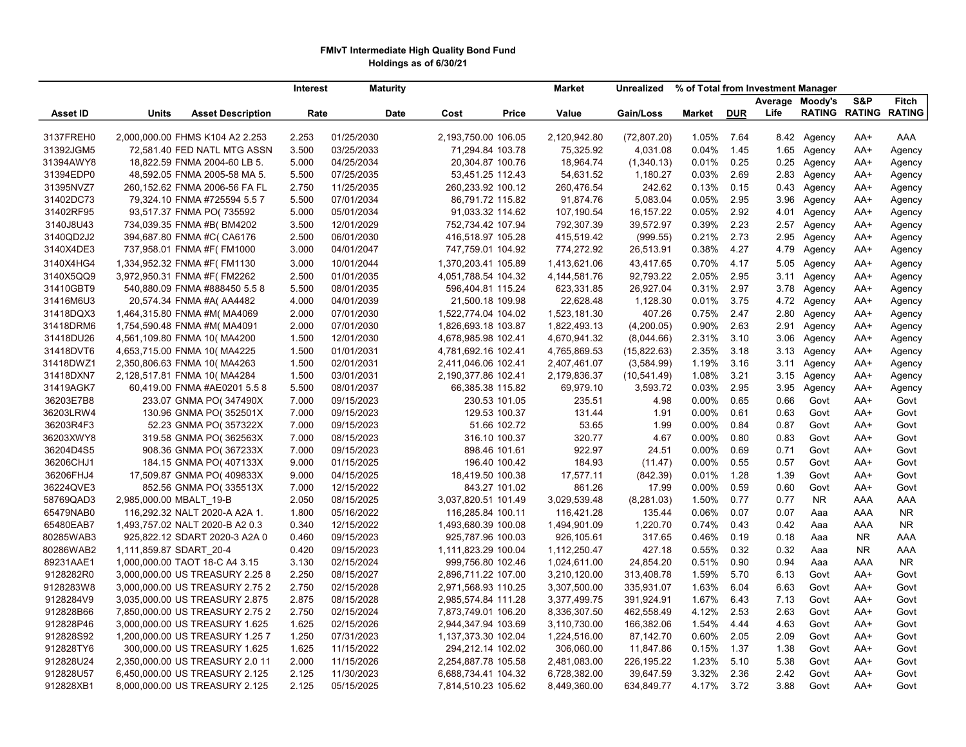## FMIvT Intermediate High Quality Bond Fund Holdings as of 6/30/21

|                 |                                   | Interest | <b>Maturity</b> |                     | <b>Market</b>   | Unrealized   | % of Total from Investment Manager |            |      |                 |                      |               |
|-----------------|-----------------------------------|----------|-----------------|---------------------|-----------------|--------------|------------------------------------|------------|------|-----------------|----------------------|---------------|
|                 |                                   |          |                 |                     |                 |              |                                    |            |      | Average Moody's | S&P                  | Fitch         |
| <b>Asset ID</b> | Units<br><b>Asset Description</b> | Rate     | Date            | Cost<br>Price       | Value           | Gain/Loss    | <b>Market</b>                      | <b>DUR</b> | Life |                 | <b>RATING RATING</b> | <b>RATING</b> |
|                 |                                   |          |                 |                     |                 |              |                                    |            |      |                 |                      |               |
| 3137FREH0       | 2,000,000.00 FHMS K104 A2 2.253   | 2.253    | 01/25/2030      | 2,193,750.00 106.05 | 2,120,942.80    | (72, 807.20) | 1.05%                              | 7.64       | 8.42 | Agency          | AA+                  | AAA           |
| 31392JGM5       | 72,581.40 FED NATL MTG ASSN       | 3.500    | 03/25/2033      | 71,294.84 103.78    | 75,325.92       | 4,031.08     | 0.04%                              | 1.45       | 1.65 | Agency          | AA+                  | Agency        |
| 31394AWY8       | 18,822.59 FNMA 2004-60 LB 5.      | 5.000    | 04/25/2034      | 20,304.87 100.76    | 18,964.74       | (1,340.13)   | 0.01%                              | 0.25       | 0.25 | Agency          | AA+                  | Agency        |
| 31394EDP0       | 48,592.05 FNMA 2005-58 MA 5.      | 5.500    | 07/25/2035      | 53,451.25 112.43    | 54,631.52       | 1,180.27     | 0.03%                              | 2.69       | 2.83 | Agency          | AA+                  | Agency        |
| 31395NVZ7       | 260,152.62 FNMA 2006-56 FA FL     | 2.750    | 11/25/2035      | 260,233.92 100.12   | 260,476.54      | 242.62       | 0.13%                              | 0.15       | 0.43 | Agency          | AA+                  | Agency        |
| 31402DC73       | 79,324.10 FNMA #725594 5.5 7      | 5.500    | 07/01/2034      | 86,791.72 115.82    | 91,874.76       | 5,083.04     | 0.05%                              | 2.95       | 3.96 | Agency          | AA+                  | Agency        |
| 31402RF95       | 93,517.37 FNMA PO(735592          | 5.000    | 05/01/2034      | 91,033.32 114.62    | 107,190.54      | 16,157.22    | 0.05%                              | 2.92       | 4.01 | Agency          | AA+                  | Agency        |
| 3140J8U43       | 734,039.35 FNMA #B(BM4202         | 3.500    | 12/01/2029      | 752,734.42 107.94   | 792,307.39      | 39,572.97    | 0.39%                              | 2.23       | 2.57 | Agency          | AA+                  | Agency        |
| 3140QD2J2       | 394,687.80 FNMA #C(CA6176         | 2.500    | 06/01/2030      | 416,518.97 105.28   | 415,519.42      | (999.55)     | 0.21%                              | 2.73       | 2.95 | Agency          | AA+                  | Agency        |
| 3140X4DE3       | 737,958.01 FNMA #F(FM1000         | 3.000    | 04/01/2047      | 747,759.01 104.92   | 774,272.92      | 26,513.91    | 0.38%                              | 4.27       | 4.79 | Agency          | AA+                  | Agency        |
| 3140X4HG4       | 1,334,952.32 FNMA #F(FM1130       | 3.000    | 10/01/2044      | 1,370,203.41 105.89 | 1,413,621.06    | 43,417.65    | 0.70%                              | 4.17       | 5.05 | Agency          | AA+                  | Agency        |
| 3140X5QQ9       | 3,972,950.31 FNMA #F(FM2262       | 2.500    | 01/01/2035      | 4,051,788.54 104.32 | 4, 144, 581. 76 | 92,793.22    | 2.05%                              | 2.95       | 3.11 | Agency          | AA+                  | Agency        |
| 31410GBT9       | 540,880.09 FNMA #888450 5.5 8     | 5.500    | 08/01/2035      | 596,404.81 115.24   | 623,331.85      | 26,927.04    | 0.31%                              | 2.97       | 3.78 | Agency          | AA+                  | Agency        |
| 31416M6U3       | 20,574.34 FNMA #A( AA4482         | 4.000    | 04/01/2039      | 21,500.18 109.98    | 22,628.48       | 1,128.30     | 0.01%                              | 3.75       | 4.72 | Agency          | AA+                  | Agency        |
| 31418DQX3       | 1,464,315.80 FNMA #M(MA4069       | 2.000    | 07/01/2030      | 1,522,774.04 104.02 | 1,523,181.30    | 407.26       | 0.75%                              | 2.47       | 2.80 | Agency          | AA+                  | Agency        |
| 31418DRM6       | 1,754,590.48 FNMA #M(MA4091       | 2.000    | 07/01/2030      | 1,826,693.18 103.87 | 1,822,493.13    | (4,200.05)   | 0.90%                              | 2.63       | 2.91 | Agency          | AA+                  | Agency        |
| 31418DU26       | 4,561,109.80 FNMA 10( MA4200      | 1.500    | 12/01/2030      | 4,678,985.98 102.41 | 4,670,941.32    | (8,044.66)   | 2.31%                              | 3.10       | 3.06 | Agency          | AA+                  | Agency        |
| 31418DVT6       | 4,653,715.00 FNMA 10( MA4225      | 1.500    | 01/01/2031      | 4,781,692.16 102.41 | 4,765,869.53    | (15,822.63)  | 2.35%                              | 3.18       | 3.13 | Agency          | AA+                  | Agency        |
| 31418DWZ1       | 2,350,806.63 FNMA 10( MA4263      | 1.500    | 02/01/2031      | 2,411,046.06 102.41 | 2,407,461.07    | (3,584.99)   | 1.19%                              | 3.16       | 3.11 | Agency          | AA+                  | Agency        |
| 31418DXN7       | 2,128,517.81 FNMA 10(MA4284       | 1.500    | 03/01/2031      | 2,190,377.86 102.41 | 2,179,836.37    | (10, 541.49) | 1.08%                              | 3.21       | 3.15 | Agency          | AA+                  | Agency        |
| 31419AGK7       | 60,419.00 FNMA #AE0201 5.58       | 5.500    | 08/01/2037      | 66,385.38 115.82    | 69,979.10       | 3,593.72     | 0.03%                              | 2.95       | 3.95 | Agency          | AA+                  | Agency        |
| 36203E7B8       | 233.07 GNMA PO(347490X            | 7.000    | 09/15/2023      | 230.53 101.05       | 235.51          | 4.98         | $0.00\%$                           | 0.65       | 0.66 | Govt            | $AA+$                | Govt          |
| 36203LRW4       | 130.96 GNMA PO(352501X            | 7.000    | 09/15/2023      | 129.53 100.37       | 131.44          | 1.91         | $0.00\%$                           | 0.61       | 0.63 | Govt            | AA+                  | Govt          |
| 36203R4F3       | 52.23 GNMA PO(357322X             | 7.000    | 09/15/2023      | 51.66 102.72        | 53.65           | 1.99         | 0.00%                              | 0.84       | 0.87 | Govt            | AA+                  | Govt          |
| 36203XWY8       | 319.58 GNMA PO(362563X            | 7.000    | 08/15/2023      | 316.10 100.37       | 320.77          | 4.67         | 0.00%                              | 0.80       | 0.83 | Govt            | AA+                  | Govt          |
| 36204D4S5       | 908.36 GNMA PO(367233X            | 7.000    | 09/15/2023      | 898.46 101.61       | 922.97          | 24.51        | 0.00%                              | 0.69       | 0.71 | Govt            | AA+                  | Govt          |
| 36206CHJ1       | 184.15 GNMA PO(407133X            | 9.000    | 01/15/2025      | 196.40 100.42       | 184.93          | (11.47)      | 0.00%                              | 0.55       | 0.57 | Govt            | $AA+$                | Govt          |
| 36206FHJ4       | 17,509.87 GNMA PO(409833X         | 9.000    | 04/15/2025      | 18,419.50 100.38    | 17,577.11       | (842.39)     | 0.01%                              | 1.28       | 1.39 | Govt            | $AA+$                | Govt          |
| 36224QVE3       | 852.56 GNMA PO(335513X            | 7.000    | 12/15/2022      | 843.27 101.02       | 861.26          | 17.99        | 0.00%                              | 0.59       | 0.60 | Govt            | $AA+$                | Govt          |
| 58769QAD3       | 2,985,000.00 MBALT_19-B           | 2.050    | 08/15/2025      | 3,037,820.51 101.49 | 3,029,539.48    | (8, 281.03)  | 1.50%                              | 0.77       | 0.77 | <b>NR</b>       | AAA                  | AAA           |
| 65479NAB0       | 116,292.32 NALT 2020-A A2A 1.     | 1.800    | 05/16/2022      | 116,285.84 100.11   | 116,421.28      | 135.44       | 0.06%                              | 0.07       | 0.07 | Aaa             | AAA                  | NR.           |
| 65480EAB7       | 1,493,757.02 NALT 2020-B A2 0.3   | 0.340    | 12/15/2022      | 1,493,680.39 100.08 | 1,494,901.09    | 1,220.70     | 0.74%                              | 0.43       | 0.42 | Aaa             | AAA                  | NR.           |
| 80285WAB3       | 925,822.12 SDART 2020-3 A2A 0     | 0.460    | 09/15/2023      | 925,787.96 100.03   | 926,105.61      | 317.65       | 0.46%                              | 0.19       | 0.18 | Aaa             | NR.                  | AAA           |
| 80286WAB2       | 1,111,859.87 SDART 20-4           | 0.420    | 09/15/2023      | 1,111,823.29 100.04 | 1,112,250.47    | 427.18       | 0.55%                              | 0.32       | 0.32 | Aaa             | NR.                  | AAA           |
| 89231AAE1       | 1,000,000.00 TAOT 18-C A4 3.15    | 3.130    | 02/15/2024      | 999,756.80 102.46   | 1,024,611.00    | 24,854.20    | 0.51%                              | 0.90       | 0.94 | Aaa             | AAA                  | NR.           |
| 9128282R0       | 3,000,000.00 US TREASURY 2.25 8   | 2.250    | 08/15/2027      | 2,896,711.22 107.00 | 3,210,120.00    | 313,408.78   | 1.59%                              | 5.70       | 6.13 | Govt            | AA+                  | Govt          |
| 9128283W8       | 3,000,000.00 US TREASURY 2.75 2   | 2.750    | 02/15/2028      | 2,971,568.93 110.25 | 3,307,500.00    | 335,931.07   | 1.63%                              | 6.04       | 6.63 | Govt            | AA+                  | Govt          |
| 9128284V9       | 3,035,000.00 US TREASURY 2.875    | 2.875    | 08/15/2028      | 2,985,574.84 111.28 | 3,377,499.75    | 391,924.91   | 1.67%                              | 6.43       | 7.13 | Govt            | AA+                  | Govt          |
| 912828B66       | 7,850,000.00 US TREASURY 2.75 2   | 2.750    | 02/15/2024      | 7,873,749.01 106.20 | 8,336,307.50    | 462,558.49   | 4.12%                              | 2.53       | 2.63 | Govt            | $AA+$                | Govt          |
| 912828P46       | 3,000,000.00 US TREASURY 1.625    | 1.625    | 02/15/2026      | 2,944,347.94 103.69 | 3,110,730.00    | 166,382.06   | 1.54%                              | 4.44       | 4.63 | Govt            | AA+                  | Govt          |
| 912828S92       | 1,200,000.00 US TREASURY 1.25 7   | 1.250    | 07/31/2023      | 1,137,373.30 102.04 | 1,224,516.00    | 87,142.70    | 0.60%                              | 2.05       | 2.09 | Govt            | $AA+$                | Govt          |
| 912828TY6       | 300,000.00 US TREASURY 1.625      | 1.625    | 11/15/2022      | 294,212.14 102.02   | 306,060.00      | 11,847.86    | 0.15%                              | 1.37       | 1.38 | Govt            | AA+                  | Govt          |
| 912828U24       | 2,350,000.00 US TREASURY 2.0 11   | 2.000    | 11/15/2026      | 2,254,887.78 105.58 | 2,481,083.00    | 226,195.22   | 1.23%                              | 5.10       | 5.38 | Govt            | $AA+$                | Govt          |
| 912828U57       | 6,450,000.00 US TREASURY 2.125    | 2.125    | 11/30/2023      | 6,688,734.41 104.32 | 6,728,382.00    | 39,647.59    | 3.32%                              | 2.36       | 2.42 | Govt            | AA+                  | Govt          |
| 912828XB1       | 8,000,000.00 US TREASURY 2.125    | 2.125    | 05/15/2025      | 7,814,510.23 105.62 | 8,449,360.00    | 634,849.77   | 4.17%                              | 3.72       | 3.88 | Govt            | $AA+$                | Govt          |
|                 |                                   |          |                 |                     |                 |              |                                    |            |      |                 |                      |               |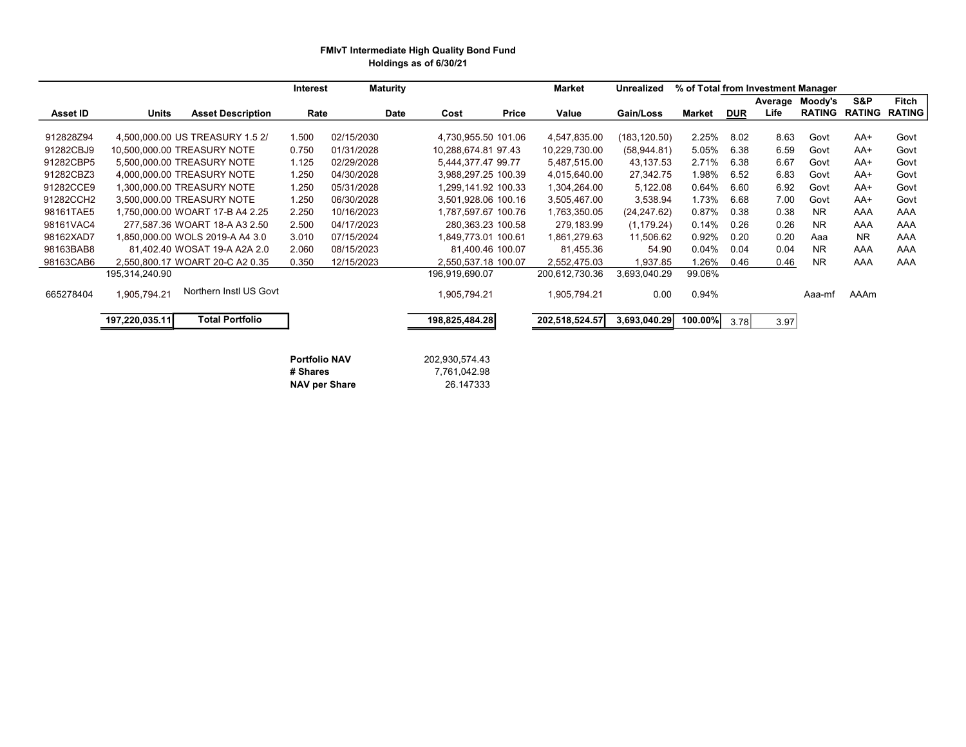### FMIvT Intermediate High Quality Bond Fund Holdings as of 6/30/21

|                 |                |                                 | Interest             |            | <b>Maturity</b> |                     |       | <b>Market</b>  | Unrealized    | % of Total from Investment Manager |            |      |                 |           |                             |
|-----------------|----------------|---------------------------------|----------------------|------------|-----------------|---------------------|-------|----------------|---------------|------------------------------------|------------|------|-----------------|-----------|-----------------------------|
|                 |                |                                 |                      |            |                 |                     |       |                |               |                                    |            |      | Average Moody's | S&P       | Fitch                       |
| <b>Asset ID</b> | Units          | <b>Asset Description</b>        | Rate                 |            | <b>Date</b>     | Cost                | Price | Value          | Gain/Loss     | <b>Market</b>                      | <b>DUR</b> | Life |                 |           | <b>RATING RATING RATING</b> |
|                 |                |                                 |                      |            |                 |                     |       |                |               |                                    |            |      |                 |           |                             |
| 912828Z94       |                | 4,500,000.00 US TREASURY 1.5 2/ | 1.500                | 02/15/2030 |                 | 4,730,955.50 101.06 |       | 4,547,835.00   | (183, 120.50) | 2.25%                              | 8.02       | 8.63 | Govt            | AA+       | Govt                        |
| 91282CBJ9       |                | 10,500,000.00 TREASURY NOTE     | 0.750                | 01/31/2028 |                 | 10,288,674.81 97.43 |       | 10,229,730.00  | (58, 944.81)  | 5.05%                              | 6.38       | 6.59 | Govt            | AA+       | Govt                        |
| 91282CBP5       |                | 5.500.000.00 TREASURY NOTE      | 1.125                | 02/29/2028 |                 | 5,444,377.47 99.77  |       | 5,487,515.00   | 43,137.53     | 2.71%                              | 6.38       | 6.67 | Govt            | AA+       | Govt                        |
| 91282CBZ3       |                | 4,000,000.00 TREASURY NOTE      | 1.250                | 04/30/2028 |                 | 3,988,297.25 100.39 |       | 4,015,640.00   | 27,342.75     | 1.98%                              | 6.52       | 6.83 | Govt            | AA+       | Govt                        |
| 91282CCE9       |                | 1,300,000.00 TREASURY NOTE      | 1.250                | 05/31/2028 |                 | 1,299,141.92 100.33 |       | 1,304,264.00   | 5,122.08      | 0.64%                              | 6.60       | 6.92 | Govt            | AA+       | Govt                        |
| 91282CCH2       |                | 3,500,000.00 TREASURY NOTE      | 1.250                | 06/30/2028 |                 | 3,501,928.06 100.16 |       | 3,505,467.00   | 3,538.94      | 1.73%                              | 6.68       | 7.00 | Govt            | AA+       | Govt                        |
| 98161TAE5       |                | 1,750,000.00 WOART 17-B A4 2.25 | 2.250                | 10/16/2023 |                 | 1,787,597.67 100.76 |       | 1,763,350.05   | (24, 247.62)  | 0.87%                              | 0.38       | 0.38 | NR.             | AAA       | AAA                         |
| 98161VAC4       |                | 277,587.36 WOART 18-A A3 2.50   | 2.500                | 04/17/2023 |                 | 280,363.23 100.58   |       | 279,183.99     | (1, 179.24)   | 0.14%                              | 0.26       | 0.26 | NR.             | AAA       | AAA                         |
| 98162XAD7       |                | 1.850.000.00 WOLS 2019-A A4 3.0 | 3.010                | 07/15/2024 |                 | 1.849.773.01 100.61 |       | 1,861,279.63   | 11,506.62     | 0.92%                              | 0.20       | 0.20 | Aaa             | <b>NR</b> | AAA                         |
| 98163BAB8       |                | 81,402.40 WOSAT 19-A A2A 2.0    | 2.060                | 08/15/2023 |                 | 81,400.46 100.07    |       | 81,455.36      | 54.90         | 0.04%                              | 0.04       | 0.04 | NR.             | AAA       | AAA                         |
| 98163CAB6       |                | 2,550,800.17 WOART 20-C A2 0.35 | 0.350                | 12/15/2023 |                 | 2,550,537.18 100.07 |       | 2,552,475.03   | 1,937.85      | 1.26%                              | 0.46       | 0.46 | NR.             | AAA       | AAA                         |
|                 | 195,314,240.90 |                                 |                      |            |                 | 196,919,690.07      |       | 200,612,730.36 | 3,693,040.29  | 99.06%                             |            |      |                 |           |                             |
| 665278404       | 1,905,794.21   | Northern Instl US Govt          |                      |            |                 | 1,905,794.21        |       | 1,905,794.21   | 0.00          | 0.94%                              |            |      | Aaa-mf          | AAAm      |                             |
|                 |                |                                 |                      |            |                 |                     |       |                |               |                                    |            |      |                 |           |                             |
|                 | 197,220,035.11 | <b>Total Portfolio</b>          |                      |            |                 | 198,825,484.28      |       | 202,518,524.57 | 3,693,040.29  | 100.00%                            | 3.78       | 3.97 |                 |           |                             |
|                 |                |                                 |                      |            |                 |                     |       |                |               |                                    |            |      |                 |           |                             |
|                 |                |                                 |                      |            |                 |                     |       |                |               |                                    |            |      |                 |           |                             |
|                 |                |                                 | <b>Portfolio NAV</b> |            |                 | 202,930,574.43      |       |                |               |                                    |            |      |                 |           |                             |
|                 |                |                                 | # Shares             |            |                 | 7,761,042.98        |       |                |               |                                    |            |      |                 |           |                             |
|                 |                |                                 | <b>NAV per Share</b> |            |                 | 26.147333           |       |                |               |                                    |            |      |                 |           |                             |

NAV per Share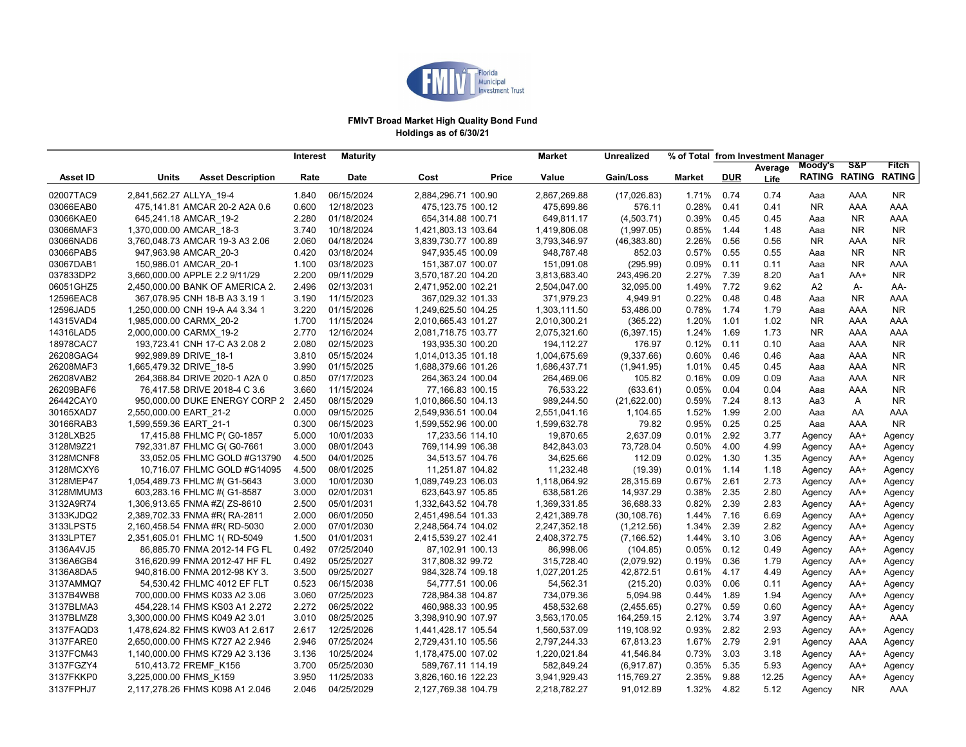

### FMIvT Broad Market High Quality Bond Fund Holdings as of 6/30/21

| S&P<br>Moody's<br>Fitch<br>Average<br><b>RATING RATING</b><br><b>RATING</b><br>Value<br>Gain/Loss<br><b>Market</b><br><b>DUR</b><br>Asset ID<br><b>Units</b><br><b>Asset Description</b><br>Rate<br><b>Date</b><br>Cost<br>Price<br>Life<br>02007TAC9<br>2,841,562.27 ALLYA 19-4<br>06/15/2024<br>2,884,296.71 100.90<br>2,867,269.88<br>1.71%<br>0.74<br>0.74<br>AAA<br>1.840<br>(17,026.83)<br>Aaa<br>NR<br>03066EAB0<br>475,141.81 AMCAR 20-2 A2A 0.6<br>0.600<br>12/18/2023<br>475.123.75 100.12<br>475.699.86<br>576.11<br>0.28%<br>0.41<br>0.41<br>NR.<br>AAA<br>AAA<br>03066KAE0<br>645,241.18 AMCAR 19-2<br>2.280<br>01/18/2024<br>654,314.88 100.71<br>649.811.17<br>(4,503.71)<br>0.39%<br>0.45<br>0.45<br><b>NR</b><br>AAA<br>Aaa<br>0.85%<br>03066MAF3<br>1,370,000.00 AMCAR 18-3<br>3.740<br>10/18/2024<br>1,421,803.13 103.64<br>1,419,806.08<br>(1,997.05)<br>1.44<br>1.48<br><b>NR</b><br><b>NR</b><br>Aaa<br>03066NAD6<br>3,760,048.73 AMCAR 19-3 A3 2.06<br>2.060<br>04/18/2024<br>3,839,730.77 100.89<br>3,793,346.97<br>2.26%<br>0.56<br>0.56<br><b>NR</b><br><b>NR</b><br>(46, 383.80)<br>AAA<br>03066PAB5<br>947,963.98 AMCAR 20-3<br>0.420<br>03/18/2024<br>947,935.45 100.09<br>948.787.48<br>0.57%<br>0.55<br>0.55<br><b>NR</b><br><b>NR</b><br>852.03<br>Aaa<br>03067DAB1<br>1.100<br>03/18/2023<br>151,387.07 100.07<br>151,091.08<br>(295.99)<br>0.09%<br>0.11<br>0.11<br><b>NR</b><br>AAA<br>150,986.01 AMCAR 20-1<br>Aaa<br>037833DP2<br>3,660,000.00 APPLE 2.2 9/11/29<br>2.200<br>09/11/2029<br>2.27%<br>7.39<br>8.20<br><b>NR</b><br>3,570,187.20 104.20<br>3,813,683.40<br>243,496.20<br>Aa1<br>$AA+$<br>06051GHZ5<br>02/13/2031<br>2,504,047.00<br>1.49%<br>7.72<br>9.62<br>2,450,000.00 BANK OF AMERICA 2.<br>2.496<br>2,471,952.00 102.21<br>32,095.00<br>A <sub>2</sub><br>A-<br>AA-<br>12596EAC8<br>3.190<br>11/15/2023<br>367,029.32 101.33<br>371,979.23<br>4,949.91<br>0.22%<br>0.48<br>0.48<br><b>NR</b><br>367,078.95 CNH 18-B A3 3.19 1<br>AAA<br>Aaa<br>3.220<br>01/15/2026<br>1,249,625.50 104.25<br>53,486.00<br>0.78%<br>1.74<br>1.79<br>12596JAD5<br>1,250,000.00 CNH 19-A A4 3.34 1<br>1,303,111.50<br>AAA<br>NR.<br>Aaa<br>14315VAD4<br>11/15/2024<br>2,010,665.43 101.27<br>2,010,300.21<br>1.20%<br>AAA<br>1,985,000.00 CARMX 20-2<br>1.700<br>(365.22)<br>1.01<br>1.02<br>NR.<br>AAA<br>14316LAD5<br>2,000,000.00 CARMX_19-2<br>2.770<br>12/16/2024<br>2,081,718.75 103.77<br>2,075,321.60<br>1.24%<br>1.69<br>1.73<br>NR.<br>AAA<br>(6, 397.15)<br>AAA<br>18978CAC7<br>02/15/2023<br>194,112.27<br>0.12%<br>0.11<br>0.10<br>193,723.41 CNH 17-C A3 2.08 2<br>2.080<br>193,935.30 100.20<br>176.97<br>AAA<br>NR.<br>Aaa<br>26208GAG4<br>05/15/2024<br>1,014,013.35 101.18<br>0.60%<br>0.46<br>N <sub>R</sub><br>992,989.89 DRIVE 18-1<br>3.810<br>1,004,675.69<br>(9,337.66)<br>0.46<br>AAA<br>Aaa<br>26208MAF3<br>3.990<br>01/15/2025<br>1,688,379.66 101.26<br>1.01%<br>0.45<br>0.45<br>AAA<br>1,665,479.32 DRIVE 18-5<br>1,686,437.71<br>(1,941.95)<br>NR.<br>Aaa<br>26208VAB2<br>07/17/2023<br>0.16%<br>0.09<br>0.09<br>264,368.84 DRIVE 2020-1 A2A 0<br>0.850<br>264,363.24 100.04<br>264,469.06<br>105.82<br>AAA<br>NR<br>Aaa<br>26209BAF6<br>11/15/2024<br>76,533.22<br>0.05%<br>0.04<br>0.04<br>76,417.58 DRIVE 2018-4 C 3.6<br>3.660<br>77,166.83 100.15<br>(633.61)<br>AAA<br>NR<br>Aaa<br>26442CAY0<br>08/15/2029<br>989,244.50<br>7.24<br>8.13<br>950,000.00 DUKE ENERGY CORP 2 2.450<br>1,010,866.50 104.13<br>(21,622.00)<br>0.59%<br>Aa3<br>A<br>NR.<br>30165XAD7<br>09/15/2025<br>2,551,041.16<br>1.52%<br>1.99<br>2.00<br>2,550,000.00 EART 21-2<br>0.000<br>2,549,936.51 100.04<br>1,104.65<br>AA<br>AAA<br>Aaa<br>30166RAB3<br>0.300<br>06/15/2023<br>1,599,632.78<br>79.82<br>0.95%<br>0.25<br>0.25<br><b>NR</b><br>1,599,559.36 EART 21-1<br>1,599,552.96 100.00<br>Aaa<br>AAA<br>0.01%<br>2.92<br>3128LXB25<br>17,415.88 FHLMC P(G0-1857<br>5.000<br>10/01/2033<br>17,233.56 114.10<br>19,870.65<br>2,637.09<br>3.77<br>AA+<br>Agency<br>Agency<br>3128M9Z21<br>769,114.99 106.38<br>842,843.03<br>73,728.04<br>0.50%<br>4.00<br>792,331.87 FHLMC G(G0-7661<br>3.000<br>08/01/2043<br>4.99<br>$AA+$<br>Agency<br>Agency<br>3128MCNF8<br>04/01/2025<br>34,625.66<br>112.09<br>0.02%<br>1.30<br>33,052.05 FHLMC GOLD #G13790<br>4.500<br>34,513.57 104.76<br>1.35<br>AA+<br>Agency<br>Agency<br>1.14<br>3128MCXY6<br>10,716.07 FHLMC GOLD #G14095<br>4.500<br>08/01/2025<br>11,251.87 104.82<br>11,232.48<br>(19.39)<br>0.01%<br>1.18<br>AA+<br>Agency<br>Agency<br>0.67%<br>2.61<br>3128MEP47<br>1,054,489.73 FHLMC #( G1-5643<br>3.000<br>10/01/2030<br>1,089,749.23 106.03<br>1,118,064.92<br>28,315.69<br>2.73<br>AA+ |
|------------------------------------------------------------------------------------------------------------------------------------------------------------------------------------------------------------------------------------------------------------------------------------------------------------------------------------------------------------------------------------------------------------------------------------------------------------------------------------------------------------------------------------------------------------------------------------------------------------------------------------------------------------------------------------------------------------------------------------------------------------------------------------------------------------------------------------------------------------------------------------------------------------------------------------------------------------------------------------------------------------------------------------------------------------------------------------------------------------------------------------------------------------------------------------------------------------------------------------------------------------------------------------------------------------------------------------------------------------------------------------------------------------------------------------------------------------------------------------------------------------------------------------------------------------------------------------------------------------------------------------------------------------------------------------------------------------------------------------------------------------------------------------------------------------------------------------------------------------------------------------------------------------------------------------------------------------------------------------------------------------------------------------------------------------------------------------------------------------------------------------------------------------------------------------------------------------------------------------------------------------------------------------------------------------------------------------------------------------------------------------------------------------------------------------------------------------------------------------------------------------------------------------------------------------------------------------------------------------------------------------------------------------------------------------------------------------------------------------------------------------------------------------------------------------------------------------------------------------------------------------------------------------------------------------------------------------------------------------------------------------------------------------------------------------------------------------------------------------------------------------------------------------------------------------------------------------------------------------------------------------------------------------------------------------------------------------------------------------------------------------------------------------------------------------------------------------------------------------------------------------------------------------------------------------------------------------------------------------------------------------------------------------------------------------------------------------------------------------------------------------------------------------------------------------------------------------------------------------------------------------------------------------------------------------------------------------------------------------------------------------------------------------------------------------------------------------------------------------------------------------------------------------------------------------------------------------------------------------------------------------------------------------------------------------------------------------------------------------------------------------------------------------------------------------------------------------------------------------------------------------------------------------------------------------------------------------------------------------------------------------------------------------------------------------------------------|
|                                                                                                                                                                                                                                                                                                                                                                                                                                                                                                                                                                                                                                                                                                                                                                                                                                                                                                                                                                                                                                                                                                                                                                                                                                                                                                                                                                                                                                                                                                                                                                                                                                                                                                                                                                                                                                                                                                                                                                                                                                                                                                                                                                                                                                                                                                                                                                                                                                                                                                                                                                                                                                                                                                                                                                                                                                                                                                                                                                                                                                                                                                                                                                                                                                                                                                                                                                                                                                                                                                                                                                                                                                                                                                                                                                                                                                                                                                                                                                                                                                                                                                                                                                                                                                                                                                                                                                                                                                                                                                                                                                                                                                                                                                      |
|                                                                                                                                                                                                                                                                                                                                                                                                                                                                                                                                                                                                                                                                                                                                                                                                                                                                                                                                                                                                                                                                                                                                                                                                                                                                                                                                                                                                                                                                                                                                                                                                                                                                                                                                                                                                                                                                                                                                                                                                                                                                                                                                                                                                                                                                                                                                                                                                                                                                                                                                                                                                                                                                                                                                                                                                                                                                                                                                                                                                                                                                                                                                                                                                                                                                                                                                                                                                                                                                                                                                                                                                                                                                                                                                                                                                                                                                                                                                                                                                                                                                                                                                                                                                                                                                                                                                                                                                                                                                                                                                                                                                                                                                                                      |
|                                                                                                                                                                                                                                                                                                                                                                                                                                                                                                                                                                                                                                                                                                                                                                                                                                                                                                                                                                                                                                                                                                                                                                                                                                                                                                                                                                                                                                                                                                                                                                                                                                                                                                                                                                                                                                                                                                                                                                                                                                                                                                                                                                                                                                                                                                                                                                                                                                                                                                                                                                                                                                                                                                                                                                                                                                                                                                                                                                                                                                                                                                                                                                                                                                                                                                                                                                                                                                                                                                                                                                                                                                                                                                                                                                                                                                                                                                                                                                                                                                                                                                                                                                                                                                                                                                                                                                                                                                                                                                                                                                                                                                                                                                      |
|                                                                                                                                                                                                                                                                                                                                                                                                                                                                                                                                                                                                                                                                                                                                                                                                                                                                                                                                                                                                                                                                                                                                                                                                                                                                                                                                                                                                                                                                                                                                                                                                                                                                                                                                                                                                                                                                                                                                                                                                                                                                                                                                                                                                                                                                                                                                                                                                                                                                                                                                                                                                                                                                                                                                                                                                                                                                                                                                                                                                                                                                                                                                                                                                                                                                                                                                                                                                                                                                                                                                                                                                                                                                                                                                                                                                                                                                                                                                                                                                                                                                                                                                                                                                                                                                                                                                                                                                                                                                                                                                                                                                                                                                                                      |
|                                                                                                                                                                                                                                                                                                                                                                                                                                                                                                                                                                                                                                                                                                                                                                                                                                                                                                                                                                                                                                                                                                                                                                                                                                                                                                                                                                                                                                                                                                                                                                                                                                                                                                                                                                                                                                                                                                                                                                                                                                                                                                                                                                                                                                                                                                                                                                                                                                                                                                                                                                                                                                                                                                                                                                                                                                                                                                                                                                                                                                                                                                                                                                                                                                                                                                                                                                                                                                                                                                                                                                                                                                                                                                                                                                                                                                                                                                                                                                                                                                                                                                                                                                                                                                                                                                                                                                                                                                                                                                                                                                                                                                                                                                      |
|                                                                                                                                                                                                                                                                                                                                                                                                                                                                                                                                                                                                                                                                                                                                                                                                                                                                                                                                                                                                                                                                                                                                                                                                                                                                                                                                                                                                                                                                                                                                                                                                                                                                                                                                                                                                                                                                                                                                                                                                                                                                                                                                                                                                                                                                                                                                                                                                                                                                                                                                                                                                                                                                                                                                                                                                                                                                                                                                                                                                                                                                                                                                                                                                                                                                                                                                                                                                                                                                                                                                                                                                                                                                                                                                                                                                                                                                                                                                                                                                                                                                                                                                                                                                                                                                                                                                                                                                                                                                                                                                                                                                                                                                                                      |
|                                                                                                                                                                                                                                                                                                                                                                                                                                                                                                                                                                                                                                                                                                                                                                                                                                                                                                                                                                                                                                                                                                                                                                                                                                                                                                                                                                                                                                                                                                                                                                                                                                                                                                                                                                                                                                                                                                                                                                                                                                                                                                                                                                                                                                                                                                                                                                                                                                                                                                                                                                                                                                                                                                                                                                                                                                                                                                                                                                                                                                                                                                                                                                                                                                                                                                                                                                                                                                                                                                                                                                                                                                                                                                                                                                                                                                                                                                                                                                                                                                                                                                                                                                                                                                                                                                                                                                                                                                                                                                                                                                                                                                                                                                      |
|                                                                                                                                                                                                                                                                                                                                                                                                                                                                                                                                                                                                                                                                                                                                                                                                                                                                                                                                                                                                                                                                                                                                                                                                                                                                                                                                                                                                                                                                                                                                                                                                                                                                                                                                                                                                                                                                                                                                                                                                                                                                                                                                                                                                                                                                                                                                                                                                                                                                                                                                                                                                                                                                                                                                                                                                                                                                                                                                                                                                                                                                                                                                                                                                                                                                                                                                                                                                                                                                                                                                                                                                                                                                                                                                                                                                                                                                                                                                                                                                                                                                                                                                                                                                                                                                                                                                                                                                                                                                                                                                                                                                                                                                                                      |
|                                                                                                                                                                                                                                                                                                                                                                                                                                                                                                                                                                                                                                                                                                                                                                                                                                                                                                                                                                                                                                                                                                                                                                                                                                                                                                                                                                                                                                                                                                                                                                                                                                                                                                                                                                                                                                                                                                                                                                                                                                                                                                                                                                                                                                                                                                                                                                                                                                                                                                                                                                                                                                                                                                                                                                                                                                                                                                                                                                                                                                                                                                                                                                                                                                                                                                                                                                                                                                                                                                                                                                                                                                                                                                                                                                                                                                                                                                                                                                                                                                                                                                                                                                                                                                                                                                                                                                                                                                                                                                                                                                                                                                                                                                      |
|                                                                                                                                                                                                                                                                                                                                                                                                                                                                                                                                                                                                                                                                                                                                                                                                                                                                                                                                                                                                                                                                                                                                                                                                                                                                                                                                                                                                                                                                                                                                                                                                                                                                                                                                                                                                                                                                                                                                                                                                                                                                                                                                                                                                                                                                                                                                                                                                                                                                                                                                                                                                                                                                                                                                                                                                                                                                                                                                                                                                                                                                                                                                                                                                                                                                                                                                                                                                                                                                                                                                                                                                                                                                                                                                                                                                                                                                                                                                                                                                                                                                                                                                                                                                                                                                                                                                                                                                                                                                                                                                                                                                                                                                                                      |
|                                                                                                                                                                                                                                                                                                                                                                                                                                                                                                                                                                                                                                                                                                                                                                                                                                                                                                                                                                                                                                                                                                                                                                                                                                                                                                                                                                                                                                                                                                                                                                                                                                                                                                                                                                                                                                                                                                                                                                                                                                                                                                                                                                                                                                                                                                                                                                                                                                                                                                                                                                                                                                                                                                                                                                                                                                                                                                                                                                                                                                                                                                                                                                                                                                                                                                                                                                                                                                                                                                                                                                                                                                                                                                                                                                                                                                                                                                                                                                                                                                                                                                                                                                                                                                                                                                                                                                                                                                                                                                                                                                                                                                                                                                      |
|                                                                                                                                                                                                                                                                                                                                                                                                                                                                                                                                                                                                                                                                                                                                                                                                                                                                                                                                                                                                                                                                                                                                                                                                                                                                                                                                                                                                                                                                                                                                                                                                                                                                                                                                                                                                                                                                                                                                                                                                                                                                                                                                                                                                                                                                                                                                                                                                                                                                                                                                                                                                                                                                                                                                                                                                                                                                                                                                                                                                                                                                                                                                                                                                                                                                                                                                                                                                                                                                                                                                                                                                                                                                                                                                                                                                                                                                                                                                                                                                                                                                                                                                                                                                                                                                                                                                                                                                                                                                                                                                                                                                                                                                                                      |
|                                                                                                                                                                                                                                                                                                                                                                                                                                                                                                                                                                                                                                                                                                                                                                                                                                                                                                                                                                                                                                                                                                                                                                                                                                                                                                                                                                                                                                                                                                                                                                                                                                                                                                                                                                                                                                                                                                                                                                                                                                                                                                                                                                                                                                                                                                                                                                                                                                                                                                                                                                                                                                                                                                                                                                                                                                                                                                                                                                                                                                                                                                                                                                                                                                                                                                                                                                                                                                                                                                                                                                                                                                                                                                                                                                                                                                                                                                                                                                                                                                                                                                                                                                                                                                                                                                                                                                                                                                                                                                                                                                                                                                                                                                      |
|                                                                                                                                                                                                                                                                                                                                                                                                                                                                                                                                                                                                                                                                                                                                                                                                                                                                                                                                                                                                                                                                                                                                                                                                                                                                                                                                                                                                                                                                                                                                                                                                                                                                                                                                                                                                                                                                                                                                                                                                                                                                                                                                                                                                                                                                                                                                                                                                                                                                                                                                                                                                                                                                                                                                                                                                                                                                                                                                                                                                                                                                                                                                                                                                                                                                                                                                                                                                                                                                                                                                                                                                                                                                                                                                                                                                                                                                                                                                                                                                                                                                                                                                                                                                                                                                                                                                                                                                                                                                                                                                                                                                                                                                                                      |
|                                                                                                                                                                                                                                                                                                                                                                                                                                                                                                                                                                                                                                                                                                                                                                                                                                                                                                                                                                                                                                                                                                                                                                                                                                                                                                                                                                                                                                                                                                                                                                                                                                                                                                                                                                                                                                                                                                                                                                                                                                                                                                                                                                                                                                                                                                                                                                                                                                                                                                                                                                                                                                                                                                                                                                                                                                                                                                                                                                                                                                                                                                                                                                                                                                                                                                                                                                                                                                                                                                                                                                                                                                                                                                                                                                                                                                                                                                                                                                                                                                                                                                                                                                                                                                                                                                                                                                                                                                                                                                                                                                                                                                                                                                      |
|                                                                                                                                                                                                                                                                                                                                                                                                                                                                                                                                                                                                                                                                                                                                                                                                                                                                                                                                                                                                                                                                                                                                                                                                                                                                                                                                                                                                                                                                                                                                                                                                                                                                                                                                                                                                                                                                                                                                                                                                                                                                                                                                                                                                                                                                                                                                                                                                                                                                                                                                                                                                                                                                                                                                                                                                                                                                                                                                                                                                                                                                                                                                                                                                                                                                                                                                                                                                                                                                                                                                                                                                                                                                                                                                                                                                                                                                                                                                                                                                                                                                                                                                                                                                                                                                                                                                                                                                                                                                                                                                                                                                                                                                                                      |
|                                                                                                                                                                                                                                                                                                                                                                                                                                                                                                                                                                                                                                                                                                                                                                                                                                                                                                                                                                                                                                                                                                                                                                                                                                                                                                                                                                                                                                                                                                                                                                                                                                                                                                                                                                                                                                                                                                                                                                                                                                                                                                                                                                                                                                                                                                                                                                                                                                                                                                                                                                                                                                                                                                                                                                                                                                                                                                                                                                                                                                                                                                                                                                                                                                                                                                                                                                                                                                                                                                                                                                                                                                                                                                                                                                                                                                                                                                                                                                                                                                                                                                                                                                                                                                                                                                                                                                                                                                                                                                                                                                                                                                                                                                      |
|                                                                                                                                                                                                                                                                                                                                                                                                                                                                                                                                                                                                                                                                                                                                                                                                                                                                                                                                                                                                                                                                                                                                                                                                                                                                                                                                                                                                                                                                                                                                                                                                                                                                                                                                                                                                                                                                                                                                                                                                                                                                                                                                                                                                                                                                                                                                                                                                                                                                                                                                                                                                                                                                                                                                                                                                                                                                                                                                                                                                                                                                                                                                                                                                                                                                                                                                                                                                                                                                                                                                                                                                                                                                                                                                                                                                                                                                                                                                                                                                                                                                                                                                                                                                                                                                                                                                                                                                                                                                                                                                                                                                                                                                                                      |
|                                                                                                                                                                                                                                                                                                                                                                                                                                                                                                                                                                                                                                                                                                                                                                                                                                                                                                                                                                                                                                                                                                                                                                                                                                                                                                                                                                                                                                                                                                                                                                                                                                                                                                                                                                                                                                                                                                                                                                                                                                                                                                                                                                                                                                                                                                                                                                                                                                                                                                                                                                                                                                                                                                                                                                                                                                                                                                                                                                                                                                                                                                                                                                                                                                                                                                                                                                                                                                                                                                                                                                                                                                                                                                                                                                                                                                                                                                                                                                                                                                                                                                                                                                                                                                                                                                                                                                                                                                                                                                                                                                                                                                                                                                      |
|                                                                                                                                                                                                                                                                                                                                                                                                                                                                                                                                                                                                                                                                                                                                                                                                                                                                                                                                                                                                                                                                                                                                                                                                                                                                                                                                                                                                                                                                                                                                                                                                                                                                                                                                                                                                                                                                                                                                                                                                                                                                                                                                                                                                                                                                                                                                                                                                                                                                                                                                                                                                                                                                                                                                                                                                                                                                                                                                                                                                                                                                                                                                                                                                                                                                                                                                                                                                                                                                                                                                                                                                                                                                                                                                                                                                                                                                                                                                                                                                                                                                                                                                                                                                                                                                                                                                                                                                                                                                                                                                                                                                                                                                                                      |
|                                                                                                                                                                                                                                                                                                                                                                                                                                                                                                                                                                                                                                                                                                                                                                                                                                                                                                                                                                                                                                                                                                                                                                                                                                                                                                                                                                                                                                                                                                                                                                                                                                                                                                                                                                                                                                                                                                                                                                                                                                                                                                                                                                                                                                                                                                                                                                                                                                                                                                                                                                                                                                                                                                                                                                                                                                                                                                                                                                                                                                                                                                                                                                                                                                                                                                                                                                                                                                                                                                                                                                                                                                                                                                                                                                                                                                                                                                                                                                                                                                                                                                                                                                                                                                                                                                                                                                                                                                                                                                                                                                                                                                                                                                      |
|                                                                                                                                                                                                                                                                                                                                                                                                                                                                                                                                                                                                                                                                                                                                                                                                                                                                                                                                                                                                                                                                                                                                                                                                                                                                                                                                                                                                                                                                                                                                                                                                                                                                                                                                                                                                                                                                                                                                                                                                                                                                                                                                                                                                                                                                                                                                                                                                                                                                                                                                                                                                                                                                                                                                                                                                                                                                                                                                                                                                                                                                                                                                                                                                                                                                                                                                                                                                                                                                                                                                                                                                                                                                                                                                                                                                                                                                                                                                                                                                                                                                                                                                                                                                                                                                                                                                                                                                                                                                                                                                                                                                                                                                                                      |
|                                                                                                                                                                                                                                                                                                                                                                                                                                                                                                                                                                                                                                                                                                                                                                                                                                                                                                                                                                                                                                                                                                                                                                                                                                                                                                                                                                                                                                                                                                                                                                                                                                                                                                                                                                                                                                                                                                                                                                                                                                                                                                                                                                                                                                                                                                                                                                                                                                                                                                                                                                                                                                                                                                                                                                                                                                                                                                                                                                                                                                                                                                                                                                                                                                                                                                                                                                                                                                                                                                                                                                                                                                                                                                                                                                                                                                                                                                                                                                                                                                                                                                                                                                                                                                                                                                                                                                                                                                                                                                                                                                                                                                                                                                      |
|                                                                                                                                                                                                                                                                                                                                                                                                                                                                                                                                                                                                                                                                                                                                                                                                                                                                                                                                                                                                                                                                                                                                                                                                                                                                                                                                                                                                                                                                                                                                                                                                                                                                                                                                                                                                                                                                                                                                                                                                                                                                                                                                                                                                                                                                                                                                                                                                                                                                                                                                                                                                                                                                                                                                                                                                                                                                                                                                                                                                                                                                                                                                                                                                                                                                                                                                                                                                                                                                                                                                                                                                                                                                                                                                                                                                                                                                                                                                                                                                                                                                                                                                                                                                                                                                                                                                                                                                                                                                                                                                                                                                                                                                                                      |
|                                                                                                                                                                                                                                                                                                                                                                                                                                                                                                                                                                                                                                                                                                                                                                                                                                                                                                                                                                                                                                                                                                                                                                                                                                                                                                                                                                                                                                                                                                                                                                                                                                                                                                                                                                                                                                                                                                                                                                                                                                                                                                                                                                                                                                                                                                                                                                                                                                                                                                                                                                                                                                                                                                                                                                                                                                                                                                                                                                                                                                                                                                                                                                                                                                                                                                                                                                                                                                                                                                                                                                                                                                                                                                                                                                                                                                                                                                                                                                                                                                                                                                                                                                                                                                                                                                                                                                                                                                                                                                                                                                                                                                                                                                      |
|                                                                                                                                                                                                                                                                                                                                                                                                                                                                                                                                                                                                                                                                                                                                                                                                                                                                                                                                                                                                                                                                                                                                                                                                                                                                                                                                                                                                                                                                                                                                                                                                                                                                                                                                                                                                                                                                                                                                                                                                                                                                                                                                                                                                                                                                                                                                                                                                                                                                                                                                                                                                                                                                                                                                                                                                                                                                                                                                                                                                                                                                                                                                                                                                                                                                                                                                                                                                                                                                                                                                                                                                                                                                                                                                                                                                                                                                                                                                                                                                                                                                                                                                                                                                                                                                                                                                                                                                                                                                                                                                                                                                                                                                                                      |
|                                                                                                                                                                                                                                                                                                                                                                                                                                                                                                                                                                                                                                                                                                                                                                                                                                                                                                                                                                                                                                                                                                                                                                                                                                                                                                                                                                                                                                                                                                                                                                                                                                                                                                                                                                                                                                                                                                                                                                                                                                                                                                                                                                                                                                                                                                                                                                                                                                                                                                                                                                                                                                                                                                                                                                                                                                                                                                                                                                                                                                                                                                                                                                                                                                                                                                                                                                                                                                                                                                                                                                                                                                                                                                                                                                                                                                                                                                                                                                                                                                                                                                                                                                                                                                                                                                                                                                                                                                                                                                                                                                                                                                                                                                      |
| Agency<br>Agency                                                                                                                                                                                                                                                                                                                                                                                                                                                                                                                                                                                                                                                                                                                                                                                                                                                                                                                                                                                                                                                                                                                                                                                                                                                                                                                                                                                                                                                                                                                                                                                                                                                                                                                                                                                                                                                                                                                                                                                                                                                                                                                                                                                                                                                                                                                                                                                                                                                                                                                                                                                                                                                                                                                                                                                                                                                                                                                                                                                                                                                                                                                                                                                                                                                                                                                                                                                                                                                                                                                                                                                                                                                                                                                                                                                                                                                                                                                                                                                                                                                                                                                                                                                                                                                                                                                                                                                                                                                                                                                                                                                                                                                                                     |
| 638,581.26<br>0.38%<br>2.35<br>3128MMUM3<br>603,283.16 FHLMC #( G1-8587<br>3.000<br>02/01/2031<br>623,643.97 105.85<br>14,937.29<br>2.80<br>$AA+$<br>Agency<br>Agency                                                                                                                                                                                                                                                                                                                                                                                                                                                                                                                                                                                                                                                                                                                                                                                                                                                                                                                                                                                                                                                                                                                                                                                                                                                                                                                                                                                                                                                                                                                                                                                                                                                                                                                                                                                                                                                                                                                                                                                                                                                                                                                                                                                                                                                                                                                                                                                                                                                                                                                                                                                                                                                                                                                                                                                                                                                                                                                                                                                                                                                                                                                                                                                                                                                                                                                                                                                                                                                                                                                                                                                                                                                                                                                                                                                                                                                                                                                                                                                                                                                                                                                                                                                                                                                                                                                                                                                                                                                                                                                                |
| 3132A9R74<br>05/01/2031<br>1,369,331.85<br>0.82%<br>2.39<br>1,306,913.65 FNMA #Z( ZS-8610<br>2.500<br>1,332,643.52 104.78<br>36,688.33<br>2.83<br>AA+<br>Agency<br>Agency                                                                                                                                                                                                                                                                                                                                                                                                                                                                                                                                                                                                                                                                                                                                                                                                                                                                                                                                                                                                                                                                                                                                                                                                                                                                                                                                                                                                                                                                                                                                                                                                                                                                                                                                                                                                                                                                                                                                                                                                                                                                                                                                                                                                                                                                                                                                                                                                                                                                                                                                                                                                                                                                                                                                                                                                                                                                                                                                                                                                                                                                                                                                                                                                                                                                                                                                                                                                                                                                                                                                                                                                                                                                                                                                                                                                                                                                                                                                                                                                                                                                                                                                                                                                                                                                                                                                                                                                                                                                                                                            |
| 3133KJDQ2<br>1.44%<br>7.16<br>2,389,702.33 FNMA #R(RA-2811<br>2.000<br>06/01/2050<br>2,451,498.54 101.33<br>2,421,389.78<br>(30, 108.76)<br>6.69<br>AA+<br>Agency<br>Agency                                                                                                                                                                                                                                                                                                                                                                                                                                                                                                                                                                                                                                                                                                                                                                                                                                                                                                                                                                                                                                                                                                                                                                                                                                                                                                                                                                                                                                                                                                                                                                                                                                                                                                                                                                                                                                                                                                                                                                                                                                                                                                                                                                                                                                                                                                                                                                                                                                                                                                                                                                                                                                                                                                                                                                                                                                                                                                                                                                                                                                                                                                                                                                                                                                                                                                                                                                                                                                                                                                                                                                                                                                                                                                                                                                                                                                                                                                                                                                                                                                                                                                                                                                                                                                                                                                                                                                                                                                                                                                                          |
| 2.39<br>3133LPST5<br>2,160,458.54 FNMA #R(RD-5030<br>2.000<br>07/01/2030<br>2,248,564.74 104.02<br>2,247,352.18<br>1.34%<br>2.82<br>AA+<br>(1,212.56)<br>Agency<br>Agency                                                                                                                                                                                                                                                                                                                                                                                                                                                                                                                                                                                                                                                                                                                                                                                                                                                                                                                                                                                                                                                                                                                                                                                                                                                                                                                                                                                                                                                                                                                                                                                                                                                                                                                                                                                                                                                                                                                                                                                                                                                                                                                                                                                                                                                                                                                                                                                                                                                                                                                                                                                                                                                                                                                                                                                                                                                                                                                                                                                                                                                                                                                                                                                                                                                                                                                                                                                                                                                                                                                                                                                                                                                                                                                                                                                                                                                                                                                                                                                                                                                                                                                                                                                                                                                                                                                                                                                                                                                                                                                            |
| 3133LPTE7<br>1.44%<br>2,351,605.01 FHLMC 1(RD-5049<br>1.500<br>01/01/2031<br>2,415,539.27 102.41<br>2,408,372.75<br>(7, 166.52)<br>3.10<br>3.06<br>AA+<br>Agency<br>Agency                                                                                                                                                                                                                                                                                                                                                                                                                                                                                                                                                                                                                                                                                                                                                                                                                                                                                                                                                                                                                                                                                                                                                                                                                                                                                                                                                                                                                                                                                                                                                                                                                                                                                                                                                                                                                                                                                                                                                                                                                                                                                                                                                                                                                                                                                                                                                                                                                                                                                                                                                                                                                                                                                                                                                                                                                                                                                                                                                                                                                                                                                                                                                                                                                                                                                                                                                                                                                                                                                                                                                                                                                                                                                                                                                                                                                                                                                                                                                                                                                                                                                                                                                                                                                                                                                                                                                                                                                                                                                                                           |
| 0.492<br>07/25/2040<br>86,998.06<br>0.05%<br>0.12<br>3136A4VJ5<br>86,885.70 FNMA 2012-14 FG FL<br>87,102.91 100.13<br>(104.85)<br>0.49<br>AA+<br>Agency<br>Agency                                                                                                                                                                                                                                                                                                                                                                                                                                                                                                                                                                                                                                                                                                                                                                                                                                                                                                                                                                                                                                                                                                                                                                                                                                                                                                                                                                                                                                                                                                                                                                                                                                                                                                                                                                                                                                                                                                                                                                                                                                                                                                                                                                                                                                                                                                                                                                                                                                                                                                                                                                                                                                                                                                                                                                                                                                                                                                                                                                                                                                                                                                                                                                                                                                                                                                                                                                                                                                                                                                                                                                                                                                                                                                                                                                                                                                                                                                                                                                                                                                                                                                                                                                                                                                                                                                                                                                                                                                                                                                                                    |
| 0.36<br>3136A6GB4<br>05/25/2027<br>317,808.32 99.72<br>315,728.40<br>0.19%<br>316,620.99 FNMA 2012-47 HF FL<br>0.492<br>(2,079.92)<br>1.79<br>AA+<br>Agency<br>Agency                                                                                                                                                                                                                                                                                                                                                                                                                                                                                                                                                                                                                                                                                                                                                                                                                                                                                                                                                                                                                                                                                                                                                                                                                                                                                                                                                                                                                                                                                                                                                                                                                                                                                                                                                                                                                                                                                                                                                                                                                                                                                                                                                                                                                                                                                                                                                                                                                                                                                                                                                                                                                                                                                                                                                                                                                                                                                                                                                                                                                                                                                                                                                                                                                                                                                                                                                                                                                                                                                                                                                                                                                                                                                                                                                                                                                                                                                                                                                                                                                                                                                                                                                                                                                                                                                                                                                                                                                                                                                                                                |
| 4.17<br>3136A8DA5<br>940,816.00 FNMA 2012-98 KY 3.<br>3.500<br>09/25/2027<br>984,328.74 109.18<br>1,027,201.25<br>42,872.51<br>0.61%<br>4.49<br>AA+<br>Agency<br>Agency                                                                                                                                                                                                                                                                                                                                                                                                                                                                                                                                                                                                                                                                                                                                                                                                                                                                                                                                                                                                                                                                                                                                                                                                                                                                                                                                                                                                                                                                                                                                                                                                                                                                                                                                                                                                                                                                                                                                                                                                                                                                                                                                                                                                                                                                                                                                                                                                                                                                                                                                                                                                                                                                                                                                                                                                                                                                                                                                                                                                                                                                                                                                                                                                                                                                                                                                                                                                                                                                                                                                                                                                                                                                                                                                                                                                                                                                                                                                                                                                                                                                                                                                                                                                                                                                                                                                                                                                                                                                                                                              |
| 06/15/2038<br>3137AMMQ7<br>54,530.42 FHLMC 4012 EF FLT<br>0.523<br>54,777.51 100.06<br>54,562.31<br>(215.20)<br>0.03%<br>0.06<br>0.11<br>AA+<br>Agency<br>Agency                                                                                                                                                                                                                                                                                                                                                                                                                                                                                                                                                                                                                                                                                                                                                                                                                                                                                                                                                                                                                                                                                                                                                                                                                                                                                                                                                                                                                                                                                                                                                                                                                                                                                                                                                                                                                                                                                                                                                                                                                                                                                                                                                                                                                                                                                                                                                                                                                                                                                                                                                                                                                                                                                                                                                                                                                                                                                                                                                                                                                                                                                                                                                                                                                                                                                                                                                                                                                                                                                                                                                                                                                                                                                                                                                                                                                                                                                                                                                                                                                                                                                                                                                                                                                                                                                                                                                                                                                                                                                                                                     |
| 3137B4WB8<br>700,000.00 FHMS K033 A2 3.06<br>3.060<br>07/25/2023<br>728,984.38 104.87<br>734,079.36<br>5,094.98<br>0.44%<br>1.89<br>1.94<br>AA+<br>Agency<br>Agency                                                                                                                                                                                                                                                                                                                                                                                                                                                                                                                                                                                                                                                                                                                                                                                                                                                                                                                                                                                                                                                                                                                                                                                                                                                                                                                                                                                                                                                                                                                                                                                                                                                                                                                                                                                                                                                                                                                                                                                                                                                                                                                                                                                                                                                                                                                                                                                                                                                                                                                                                                                                                                                                                                                                                                                                                                                                                                                                                                                                                                                                                                                                                                                                                                                                                                                                                                                                                                                                                                                                                                                                                                                                                                                                                                                                                                                                                                                                                                                                                                                                                                                                                                                                                                                                                                                                                                                                                                                                                                                                  |
| 3137BLMA3<br>2.272<br>06/25/2022<br>458,532.68<br>0.27%<br>454,228.14 FHMS KS03 A1 2.272<br>460,988.33 100.95<br>(2,455.65)<br>0.59<br>0.60<br>AA+<br>Agency<br>Agency                                                                                                                                                                                                                                                                                                                                                                                                                                                                                                                                                                                                                                                                                                                                                                                                                                                                                                                                                                                                                                                                                                                                                                                                                                                                                                                                                                                                                                                                                                                                                                                                                                                                                                                                                                                                                                                                                                                                                                                                                                                                                                                                                                                                                                                                                                                                                                                                                                                                                                                                                                                                                                                                                                                                                                                                                                                                                                                                                                                                                                                                                                                                                                                                                                                                                                                                                                                                                                                                                                                                                                                                                                                                                                                                                                                                                                                                                                                                                                                                                                                                                                                                                                                                                                                                                                                                                                                                                                                                                                                               |
| 08/25/2025<br>2.12%<br>3.74<br>3137BLMZ8<br>3.010<br>3,398,910.90 107.97<br>3,563,170.05<br>3.97<br>AA+<br>AAA<br>3,300,000.00 FHMS K049 A2 3.01<br>164,259.15<br>Agency                                                                                                                                                                                                                                                                                                                                                                                                                                                                                                                                                                                                                                                                                                                                                                                                                                                                                                                                                                                                                                                                                                                                                                                                                                                                                                                                                                                                                                                                                                                                                                                                                                                                                                                                                                                                                                                                                                                                                                                                                                                                                                                                                                                                                                                                                                                                                                                                                                                                                                                                                                                                                                                                                                                                                                                                                                                                                                                                                                                                                                                                                                                                                                                                                                                                                                                                                                                                                                                                                                                                                                                                                                                                                                                                                                                                                                                                                                                                                                                                                                                                                                                                                                                                                                                                                                                                                                                                                                                                                                                             |
| 2.82<br>3137FAQD3<br>1,478,624.82 FHMS KW03 A1 2.617<br>2.617<br>12/25/2026<br>1,441,428.17 105.54<br>1,560,537.09<br>119,108.92<br>0.93%<br>2.93<br>AA+<br>Agency<br>Agency                                                                                                                                                                                                                                                                                                                                                                                                                                                                                                                                                                                                                                                                                                                                                                                                                                                                                                                                                                                                                                                                                                                                                                                                                                                                                                                                                                                                                                                                                                                                                                                                                                                                                                                                                                                                                                                                                                                                                                                                                                                                                                                                                                                                                                                                                                                                                                                                                                                                                                                                                                                                                                                                                                                                                                                                                                                                                                                                                                                                                                                                                                                                                                                                                                                                                                                                                                                                                                                                                                                                                                                                                                                                                                                                                                                                                                                                                                                                                                                                                                                                                                                                                                                                                                                                                                                                                                                                                                                                                                                         |
| 3137FARE0<br>2.946<br>07/25/2024<br>2,797,244.33<br>67,813.23<br>1.67%<br>2.79<br>2,650,000.00 FHMS K727 A2 2.946<br>2,729,431.10 105.56<br>2.91<br>AAA<br>Agency<br>Agency                                                                                                                                                                                                                                                                                                                                                                                                                                                                                                                                                                                                                                                                                                                                                                                                                                                                                                                                                                                                                                                                                                                                                                                                                                                                                                                                                                                                                                                                                                                                                                                                                                                                                                                                                                                                                                                                                                                                                                                                                                                                                                                                                                                                                                                                                                                                                                                                                                                                                                                                                                                                                                                                                                                                                                                                                                                                                                                                                                                                                                                                                                                                                                                                                                                                                                                                                                                                                                                                                                                                                                                                                                                                                                                                                                                                                                                                                                                                                                                                                                                                                                                                                                                                                                                                                                                                                                                                                                                                                                                          |
| 3137FCM43<br>10/25/2024<br>0.73%<br>3.03<br>1,140,000.00 FHMS K729 A2 3.136<br>3.136<br>1,178,475.00 107.02<br>1,220,021.84<br>41,546.84<br>3.18<br>AA+<br>Agency<br>Agency                                                                                                                                                                                                                                                                                                                                                                                                                                                                                                                                                                                                                                                                                                                                                                                                                                                                                                                                                                                                                                                                                                                                                                                                                                                                                                                                                                                                                                                                                                                                                                                                                                                                                                                                                                                                                                                                                                                                                                                                                                                                                                                                                                                                                                                                                                                                                                                                                                                                                                                                                                                                                                                                                                                                                                                                                                                                                                                                                                                                                                                                                                                                                                                                                                                                                                                                                                                                                                                                                                                                                                                                                                                                                                                                                                                                                                                                                                                                                                                                                                                                                                                                                                                                                                                                                                                                                                                                                                                                                                                          |
| 0.35%<br>3137FGZY4<br>510,413.72 FREMF K156<br>3.700<br>05/25/2030<br>589,767.11 114.19<br>582,849.24<br>(6,917.87)<br>5.35<br>5.93<br>AA+<br>Agency<br>Agency                                                                                                                                                                                                                                                                                                                                                                                                                                                                                                                                                                                                                                                                                                                                                                                                                                                                                                                                                                                                                                                                                                                                                                                                                                                                                                                                                                                                                                                                                                                                                                                                                                                                                                                                                                                                                                                                                                                                                                                                                                                                                                                                                                                                                                                                                                                                                                                                                                                                                                                                                                                                                                                                                                                                                                                                                                                                                                                                                                                                                                                                                                                                                                                                                                                                                                                                                                                                                                                                                                                                                                                                                                                                                                                                                                                                                                                                                                                                                                                                                                                                                                                                                                                                                                                                                                                                                                                                                                                                                                                                       |
| 2.35%<br>9.88<br>3137FKKP0<br>3,225,000.00 FHMS K159<br>3.950<br>11/25/2033<br>3,826,160.16 122.23<br>3,941,929.43<br>115,769.27<br>12.25<br>AA+<br>Agency<br>Agency                                                                                                                                                                                                                                                                                                                                                                                                                                                                                                                                                                                                                                                                                                                                                                                                                                                                                                                                                                                                                                                                                                                                                                                                                                                                                                                                                                                                                                                                                                                                                                                                                                                                                                                                                                                                                                                                                                                                                                                                                                                                                                                                                                                                                                                                                                                                                                                                                                                                                                                                                                                                                                                                                                                                                                                                                                                                                                                                                                                                                                                                                                                                                                                                                                                                                                                                                                                                                                                                                                                                                                                                                                                                                                                                                                                                                                                                                                                                                                                                                                                                                                                                                                                                                                                                                                                                                                                                                                                                                                                                 |
| 4.82<br><b>NR</b><br>3137FPHJ7<br>04/25/2029<br>2,127,769.38 104.79<br>91,012.89<br>1.32%<br>5.12<br>AAA<br>2,117,278.26 FHMS K098 A1 2.046<br>2.046<br>2,218,782.27<br>Agency                                                                                                                                                                                                                                                                                                                                                                                                                                                                                                                                                                                                                                                                                                                                                                                                                                                                                                                                                                                                                                                                                                                                                                                                                                                                                                                                                                                                                                                                                                                                                                                                                                                                                                                                                                                                                                                                                                                                                                                                                                                                                                                                                                                                                                                                                                                                                                                                                                                                                                                                                                                                                                                                                                                                                                                                                                                                                                                                                                                                                                                                                                                                                                                                                                                                                                                                                                                                                                                                                                                                                                                                                                                                                                                                                                                                                                                                                                                                                                                                                                                                                                                                                                                                                                                                                                                                                                                                                                                                                                                       |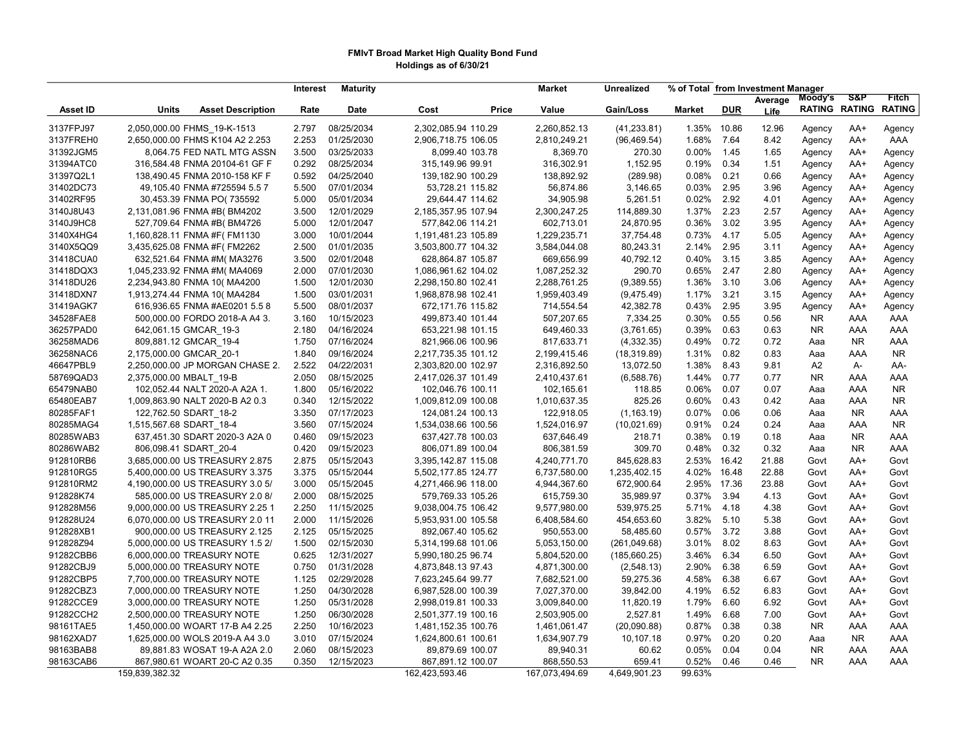### FMIvT Broad Market High Quality Bond Fund Holdings as of 6/30/21

|                                                                                                                                              | Moody's<br>Average     | -S&P                 | <b>Fitch</b>  |
|----------------------------------------------------------------------------------------------------------------------------------------------|------------------------|----------------------|---------------|
| <b>Units</b><br><b>Asset Description</b><br>Rate<br>Date<br>Cost<br>Price<br>Value<br>Gain/Loss<br>Market<br><b>DUR</b><br><b>Asset ID</b>   | Life                   | <b>RATING RATING</b> | <b>RATING</b> |
| 2,050,000.00 FHMS 19-K-1513<br>08/25/2034<br>2,302,085.94 110.29<br>3137FPJ97<br>2.797<br>2,260,852.13<br>(41, 233.81)<br>1.35%<br>10.86     | 12.96<br>Agency        | AA+                  | Agency        |
| 01/25/2030<br>3137FREH0<br>2,650,000.00 FHMS K104 A2 2.253<br>2.253<br>2,906,718.75 106.05<br>2,810,249.21<br>(96, 469.54)<br>1.68%<br>7.64  | 8.42<br>Agency         | AA+                  | AAA           |
| 31392JGM5<br>3.500<br>03/25/2033<br>8,369.70<br>0.00%<br>8,064.75 FED NATL MTG ASSN<br>8,099.40 103.78<br>270.30<br>1.45                     | 1.65<br>Agency         | AA+                  | Agency        |
| 0.292<br>08/25/2034<br>316,302.91<br>1,152.95<br>0.19%<br>0.34<br>31394ATC0<br>316,584.48 FNMA 20104-61 GF F<br>315,149.96 99.91             | 1.51<br>Agency         | AA+                  | Agency        |
| 31397Q2L1<br>0.592<br>04/25/2040<br>139,182.90 100.29<br>138,892.92<br>(289.98)<br>0.08%<br>0.21<br>138,490.45 FNMA 2010-158 KF F            | 0.66<br>Agency         | AA+                  | Agency        |
| 31402DC73<br>5.500<br>07/01/2034<br>53,728.21 115.82<br>56,874.86<br>0.03%<br>2.95<br>49,105.40 FNMA #725594 5.5 7<br>3,146.65               | 3.96<br>Agency         | AA+                  | Agency        |
| 31402RF95<br>30,453.39 FNMA PO(735592<br>5.000<br>05/01/2034<br>29,644.47 114.62<br>34,905.98<br>5,261.51<br>0.02%<br>2.92                   | 4.01<br>Agency         | $AA+$                | Agency        |
| 12/01/2029<br>2,300,247.25<br>1.37%<br>2.23<br>3140J8U43<br>2,131,081.96 FNMA #B(BM4202<br>3.500<br>2,185,357.95 107.94<br>114,889.30        | 2.57<br>Agency         | AA+                  | Agency        |
| 3140J9HC8<br>527,709.64 FNMA #B(BM4726<br>12/01/2047<br>577,842.06 114.21<br>602,713.01<br>0.36%<br>3.02<br>5.000<br>24,870.95               | 3.95<br>Agency         | AA+                  | Agency        |
| 3140X4HG4<br>1,160,828.11 FNMA #F(FM1130<br>10/01/2044<br>1,229,235.71<br>0.73%<br>4.17<br>3.000<br>1,191,481.23 105.89<br>37,754.48         | 5.05<br>Agency         | AA+                  | Agency        |
| 3140X5QQ9<br>3,435,625.08 FNMA #F(FM2262<br>2.500<br>01/01/2035<br>3,503,800.77 104.32<br>3,584,044.08<br>80,243.31<br>2.14%<br>2.95         | 3.11<br>Agency         | AA+                  | Agency        |
| 31418CUA0<br>632,521.64 FNMA #M( MA3276<br>3.500<br>02/01/2048<br>628,864.87 105.87<br>669,656.99<br>40,792.12<br>0.40%<br>3.15              | 3.85<br>Agency         | AA+                  | Agency        |
| 31418DQX3<br>1,045,233.92 FNMA #M(MA4069<br>2.000<br>07/01/2030<br>1,086,961.62 104.02<br>1,087,252.32<br>290.70<br>0.65%<br>2.47            | 2.80<br>Agency         | AA+                  | Agency        |
| 31418DU26<br>2,234,943.80 FNMA 10( MA4200<br>1.500<br>12/01/2030<br>2,298,150.80 102.41<br>2,288,761.25<br>(9,389.55)<br>1.36%<br>3.10       | 3.06<br>Agency         | AA+                  | Agency        |
| 3.21<br>31418DXN7<br>1,913,274.44 FNMA 10( MA4284<br>1.500<br>03/01/2031<br>1,968,878.98 102.41<br>1,959,403.49<br>(9,475.49)<br>1.17%       | 3.15<br>Agency         | AA+                  | Agency        |
| 2.95<br>31419AGK7<br>616,936.65 FNMA #AE0201 5.5 8<br>5.500<br>08/01/2037<br>672,171.76 115.82<br>714,554.54<br>42,382.78<br>0.43%           | 3.95<br>Agency         | AA+                  | Agency        |
| 34528FAE8<br>0.30%<br>0.55<br>500,000.00 FORDO 2018-A A4 3.<br>3.160<br>10/15/2023<br>499,873.40 101.44<br>507,207.65<br>7,334.25            | 0.56<br><b>NR</b>      | AAA                  | AAA           |
| 36257PAD0<br>04/16/2024<br>649,460.33<br>0.39%<br>0.63<br>2.180<br>653,221.98 101.15<br>(3,761.65)                                           | 0.63<br><b>NR</b>      | AAA                  | AAA           |
| 642,061.15 GMCAR_19-3                                                                                                                        |                        |                      |               |
| 36258MAD6<br>809,881.12 GMCAR 19-4<br>1.750<br>07/16/2024<br>817,633.71<br>0.49%<br>0.72<br>821,966.06 100.96<br>(4,332.35)                  | 0.72<br>Aaa            | NR.                  | AAA           |
| 36258NAC6<br>2,175,000.00 GMCAR 20-1<br>1.840<br>09/16/2024<br>1.31%<br>0.82<br>2,217,735.35 101.12<br>2,199,415.46<br>(18, 319.89)          | 0.83<br>Aaa            | AAA                  | <b>NR</b>     |
| 46647PBL9<br>2.522<br>2,250,000.00 JP MORGAN CHASE 2.<br>04/22/2031<br>2,303,820.00 102.97<br>2,316,892.50<br>1.38%<br>8.43<br>13,072.50     | 9.81<br>A <sub>2</sub> | A-                   | AA-           |
| 58769QAD3<br>2,375,000.00 MBALT 19-B<br>2.050<br>08/15/2025<br>2,417,026.37 101.49<br>1.44%<br>0.77<br>2,410,437.61<br>(6,588.76)            | <b>NR</b><br>0.77      | AAA                  | AAA           |
| 65479NAB0<br>05/16/2022<br>102,052.44 NALT 2020-A A2A 1.<br>1.800<br>102,046.76 100.11<br>102,165.61<br>118.85<br>0.06%<br>0.07              | 0.07<br>Aaa            | AAA                  | <b>NR</b>     |
| 12/15/2022<br>825.26<br>0.60%<br>0.43<br>65480EAB7<br>1,009,863.90 NALT 2020-B A2 0.3<br>0.340<br>1,009,812.09 100.08<br>1,010,637.35        | 0.42<br>Aaa            | AAA                  | <b>NR</b>     |
| 80285FAF1<br>3.350<br>07/17/2023<br>0.07%<br>0.06<br>122,762.50 SDART 18-2<br>124,081.24 100.13<br>122,918.05<br>(1, 163.19)                 | 0.06<br>Aaa            | <b>NR</b>            | AAA           |
| 80285MAG4<br>3.560<br>07/15/2024<br>1,534,038.66 100.56<br>1,524,016.97<br>0.91%<br>0.24<br>1,515,567.68 SDART 18-4<br>(10,021.69)           | 0.24<br>Aaa            | AAA                  | <b>NR</b>     |
| 80285WAB3<br>637,451.30 SDART 2020-3 A2A 0<br>0.460<br>09/15/2023<br>637,427.78 100.03<br>637,646.49<br>218.71<br>0.38%<br>0.19              | 0.18<br>Aaa            | <b>NR</b>            | AAA           |
| 80286WAB2<br>806,098.41 SDART 20-4<br>0.420<br>09/15/2023<br>806,071.89 100.04<br>309.70<br>0.48%<br>0.32<br>806,381.59                      | 0.32<br>Aaa            | <b>NR</b>            | AAA           |
| 912810RB6<br>3,685,000.00 US TREASURY 2.875<br>2.875<br>05/15/2043<br>3,395,142.87 115.08<br>4,240,771.70<br>845,628.83<br>2.53%<br>16.42    | 21.88<br>Govt          | AA+                  | Govt          |
| 4.02%<br>912810RG5<br>5,400,000.00 US TREASURY 3.375<br>3.375<br>05/15/2044<br>5,502,177.85 124.77<br>6,737,580.00<br>1,235,402.15<br>16.48  | 22.88<br>Govt          | AA+                  | Govt          |
| 912810RM2<br>4,190,000.00 US TREASURY 3.0 5/<br>3.000<br>05/15/2045<br>4,271,466.96 118.00<br>4,944,367.60<br>672,900.64<br>2.95%<br>17.36   | 23.88<br>Govt          | AA+                  | Govt          |
| 0.37%<br>3.94<br>912828K74<br>585,000.00 US TREASURY 2.0 8/<br>2.000<br>08/15/2025<br>579,769.33 105.26<br>615,759.30<br>35,989.97           | 4.13<br>Govt           | AA+                  | Govt          |
| 912828M56<br>9,000,000.00 US TREASURY 2.25 1<br>2.250<br>11/15/2025<br>9,038,004.75 106.42<br>9,577,980.00<br>539,975.25<br>5.71%<br>4.18    | 4.38<br>Govt           | AA+                  | Govt          |
| 11/15/2026<br>5.10<br>912828U24<br>6,070,000.00 US TREASURY 2.0 11<br>2.000<br>5,953,931.00 105.58<br>6,408,584.60<br>454,653.60<br>3.82%    | 5.38<br>Govt           | AA+                  | Govt          |
| 05/15/2025<br>3.72<br>912828XB1<br>900,000.00 US TREASURY 2.125<br>2.125<br>892,067.40 105.62<br>950,553.00<br>58,485.60<br>0.57%            | 3.88<br>Govt           | AA+                  | Govt          |
| 912828Z94<br>02/15/2030<br>3.01%<br>8.02<br>5,000,000.00 US TREASURY 1.5 2/<br>1.500<br>5,314,199.68 101.06<br>5,053,150.00<br>(261, 049.68) | 8.63<br>Govt           | $AA+$                | Govt          |
| 91282CBB6<br>12/31/2027<br>6.34<br>6,000,000.00 TREASURY NOTE<br>0.625<br>5,990,180.25 96.74<br>5,804,520.00<br>(185,660.25)<br>3.46%        | 6.50<br>Govt           | AA+                  | Govt          |
| 91282CBJ9<br>0.750<br>01/31/2028<br>4,871,300.00<br>2.90%<br>6.38<br>5,000,000.00 TREASURY NOTE<br>4,873,848.13 97.43<br>(2,548.13)          | 6.59<br>Govt           | $AA+$                | Govt          |
| 91282CBP5<br>7,700,000.00 TREASURY NOTE<br>1.125<br>02/29/2028<br>7,682,521.00<br>4.58%<br>6.38<br>7,623,245.64 99.77<br>59,275.36           | 6.67<br>Govt           | AA+                  | Govt          |
| 91282CBZ3<br>7,000,000.00 TREASURY NOTE<br>1.250<br>04/30/2028<br>6,987,528.00 100.39<br>7,027,370.00<br>39,842.00<br>4.19%<br>6.52          | 6.83<br>Govt           | AA+                  | Govt          |
| 91282CCE9<br>3,000,000.00 TREASURY NOTE<br>1.250<br>05/31/2028<br>2,998,019.81 100.33<br>3,009,840.00<br>11,820.19<br>1.79%<br>6.60          | 6.92<br>Govt           | AA+                  | Govt          |
| 91282CCH2<br>06/30/2028<br>2,527.81<br>1.49%<br>2,500,000.00 TREASURY NOTE<br>1.250<br>2,501,377.19 100.16<br>2,503,905.00<br>6.68           | 7.00<br>Govt           | AA+                  | Govt          |
| 98161TAE5<br>0.87%<br>1,450,000.00 WOART 17-B A4 2.25<br>2.250<br>10/16/2023<br>1,481,152.35 100.76<br>1,461,061.47<br>(20,090.88)<br>0.38   | 0.38<br><b>NR</b>      | AAA                  | AAA           |
| 98162XAD7<br>07/15/2024<br>0.97%<br>0.20<br>1,625,000.00 WOLS 2019-A A4 3.0<br>3.010<br>1,624,800.61 100.61<br>1,634,907.79<br>10,107.18     | 0.20<br>Aaa            | <b>NR</b>            | AAA           |
| 98163BAB8<br>08/15/2023<br>0.05%<br>0.04<br>89,881.83 WOSAT 19-A A2A 2.0<br>2.060<br>89,879.69 100.07<br>89,940.31<br>60.62                  | 0.04<br><b>NR</b>      | AAA                  | AAA           |
| 98163CAB6<br>0.350<br>12/15/2023<br>867,891.12 100.07<br>868,550.53<br>659.41<br>0.52%<br>0.46<br>867,980.61 WOART 20-C A2 0.35              | <b>NR</b><br>0.46      | AAA                  | AAA           |
| 159,839,382.32<br>162,423,593.46<br>167,073,494.69<br>4,649,901.23<br>99.63%                                                                 |                        |                      |               |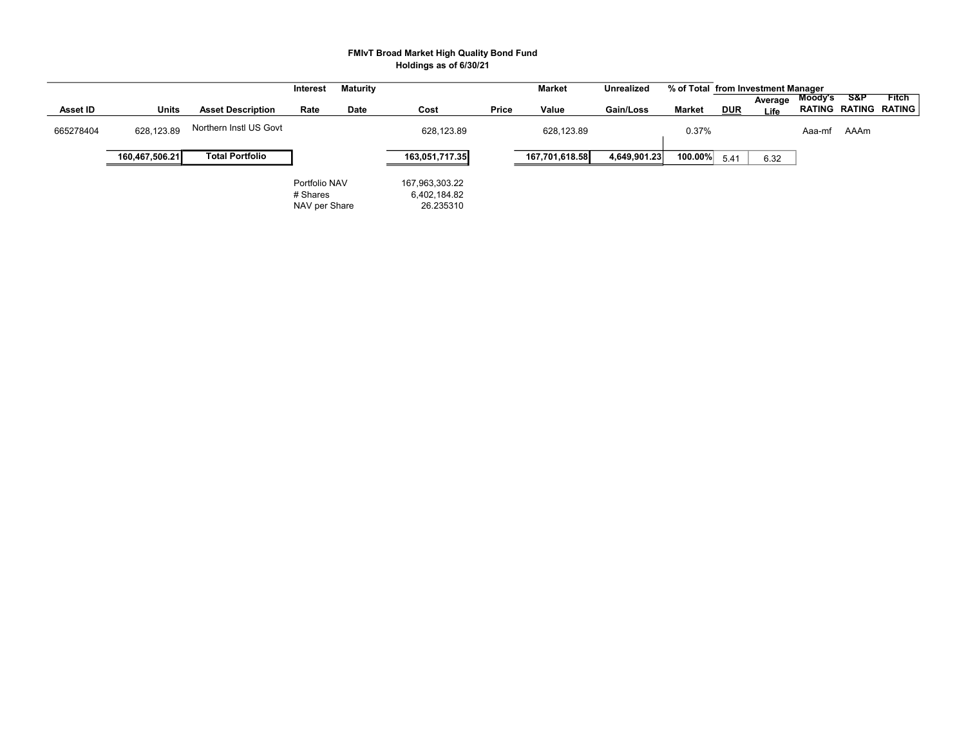### FMIvT Broad Market High Quality Bond Fund Holdings as of 6/30/21

|           |                |                          | Interest                                   | <b>Maturity</b> |                                             |       | Market         | <b>Unrealized</b> | % of Total from Investment Manager |            |                 |         |                |                               |
|-----------|----------------|--------------------------|--------------------------------------------|-----------------|---------------------------------------------|-------|----------------|-------------------|------------------------------------|------------|-----------------|---------|----------------|-------------------------------|
| Asset ID  | Units          | <b>Asset Description</b> | Rate                                       | Date            | Cost                                        | Price | Value          | Gain/Loss         | Market                             | <b>DUR</b> | Average<br>Life | Moody's | <b>S&amp;P</b> | Fitch<br>RATING RATING RATING |
| 665278404 | 628,123.89     | Northern Instl US Govt   |                                            |                 | 628,123.89                                  |       | 628,123.89     |                   | 0.37%                              |            |                 | Aaa-mf  | AAAm           |                               |
|           | 160,467,506.21 | <b>Total Portfolio</b>   |                                            |                 | 163,051,717.35                              |       | 167.701.618.58 | 4,649,901.23      | 100.00%                            | 5.41       | 6.32            |         |                |                               |
|           |                |                          | Portfolio NAV<br># Shares<br>NAV per Share |                 | 167,963,303.22<br>6,402,184.82<br>26.235310 |       |                |                   |                                    |            |                 |         |                |                               |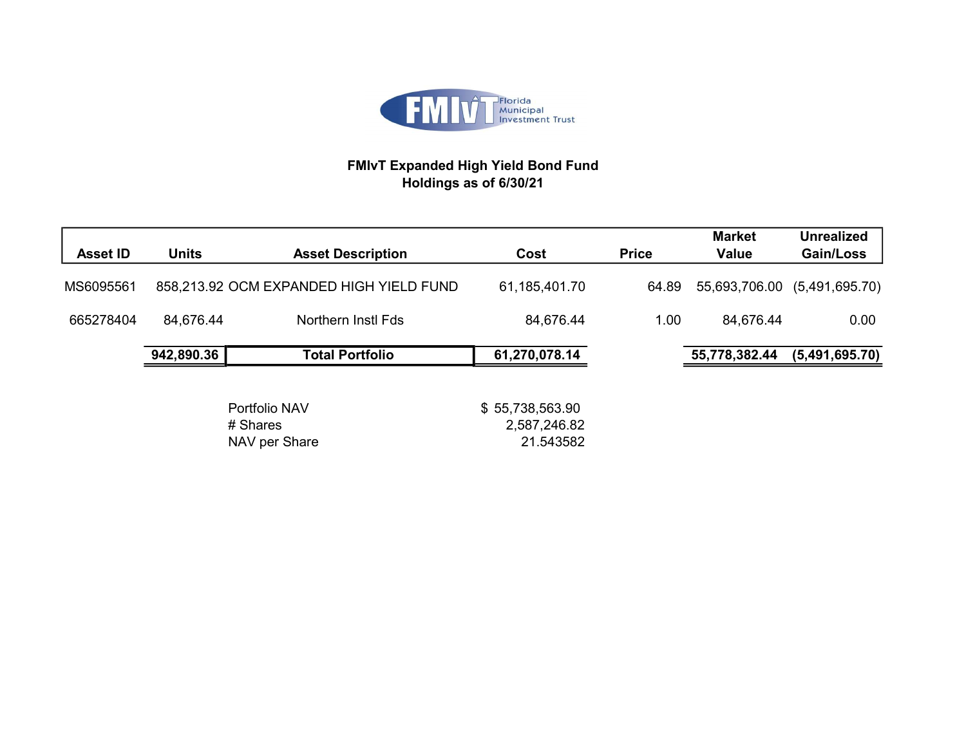

# FMIvT Expanded High Yield Bond Fund Holdings as of 6/30/21

| <b>Asset ID</b> | <b>Units</b> | <b>Asset Description</b>                   | Cost                                         | <b>Price</b> | <b>Market</b><br><b>Value</b> | <b>Unrealized</b><br>Gain/Loss |
|-----------------|--------------|--------------------------------------------|----------------------------------------------|--------------|-------------------------------|--------------------------------|
| MS6095561       |              | 858,213.92 OCM EXPANDED HIGH YIELD FUND    | 61,185,401.70                                | 64.89        | 55,693,706.00                 | (5,491,695.70)                 |
| 665278404       | 84,676.44    | Northern Instl Fds                         | 84,676.44                                    | 1.00         | 84,676.44                     | 0.00                           |
|                 | 942,890.36   | <b>Total Portfolio</b>                     | 61,270,078.14                                |              | 55,778,382.44                 | (5,491,695.70)                 |
|                 |              | Portfolio NAV<br># Shares<br>NAV per Share | \$55,738,563.90<br>2,587,246.82<br>21.543582 |              |                               |                                |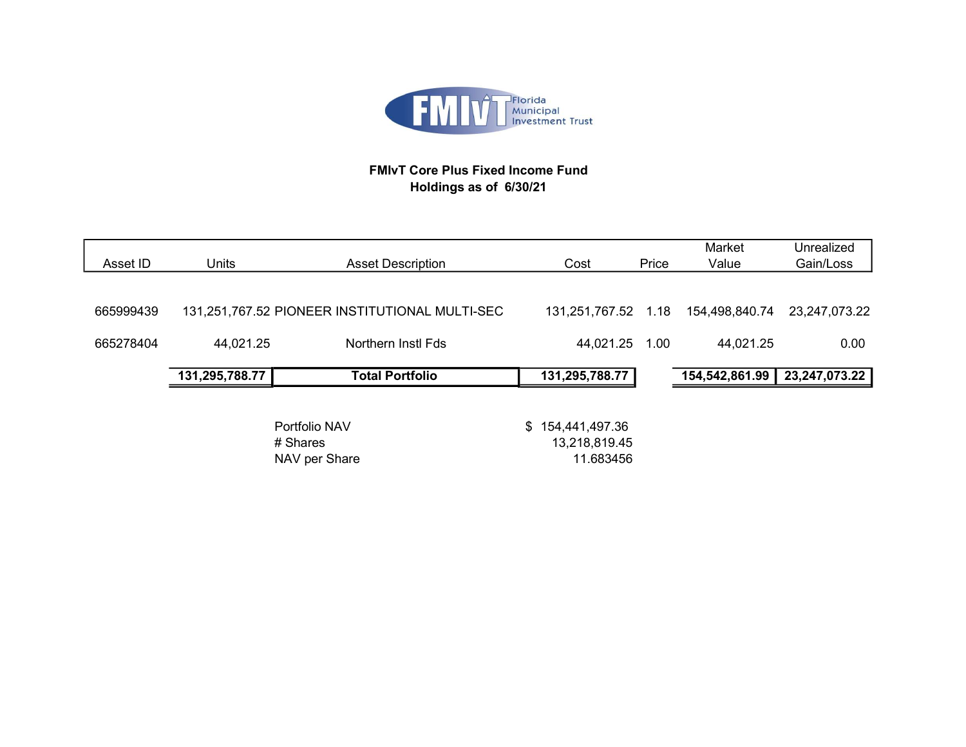

# FMIvT Core Plus Fixed Income Fund Holdings as of 6/30/21

|           |                |                                                |                     |       | Market         | Unrealized    |
|-----------|----------------|------------------------------------------------|---------------------|-------|----------------|---------------|
| Asset ID  | Units          | <b>Asset Description</b>                       | Cost                | Price | Value          | Gain/Loss     |
|           |                |                                                |                     |       |                |               |
| 665999439 |                | 131,251,767.52 PIONEER INSTITUTIONAL MULTI-SEC | 131,251,767.52 1.18 |       | 154,498,840.74 | 23,247,073.22 |
| 665278404 | 44,021.25      | Northern Instl Fds                             | 44,021.25           | 1.00  | 44,021.25      | 0.00          |
|           | 131,295,788.77 | <b>Total Portfolio</b>                         | 131,295,788.77      |       | 154,542,861.99 | 23,247,073.22 |
|           |                |                                                |                     |       |                |               |
|           |                | Portfolio NAV                                  | \$154,441,497.36    |       |                |               |
|           |                | # Shares                                       | 13,218,819.45       |       |                |               |
|           |                | NAV per Share                                  | 11.683456           |       |                |               |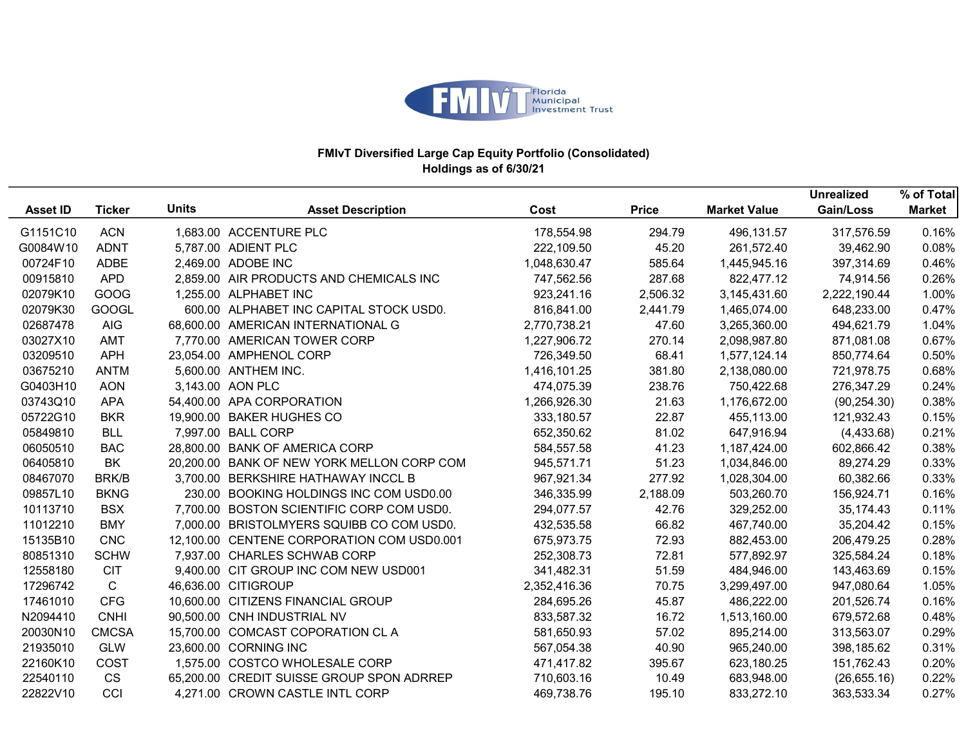

|                 |               |              |                                            |              |              |                     | <b>Unrealized</b> | % of Total    |
|-----------------|---------------|--------------|--------------------------------------------|--------------|--------------|---------------------|-------------------|---------------|
| <b>Asset ID</b> | <b>Ticker</b> | <b>Units</b> | <b>Asset Description</b>                   | Cost         | <b>Price</b> | <b>Market Value</b> | Gain/Loss         | <b>Market</b> |
| G1151C10        | <b>ACN</b>    |              | 1,683.00 ACCENTURE PLC                     | 178,554.98   | 294.79       | 496,131.57          | 317,576.59        | 0.16%         |
| G0084W10        | <b>ADNT</b>   |              | 5,787.00 ADIENT PLC                        | 222,109.50   | 45.20        | 261,572.40          | 39,462.90         | 0.08%         |
| 00724F10        | <b>ADBE</b>   |              | 2,469.00 ADOBE INC                         | 1,048,630.47 | 585.64       | 1,445,945.16        | 397,314.69        | 0.46%         |
| 00915810        | <b>APD</b>    |              | 2,859.00 AIR PRODUCTS AND CHEMICALS INC    | 747,562.56   | 287.68       | 822,477.12          | 74,914.56         | 0.26%         |
| 02079K10        | GOOG          |              | 1,255.00 ALPHABET INC                      | 923,241.16   | 2,506.32     | 3,145,431.60        | 2,222,190.44      | 1.00%         |
| 02079K30        | <b>GOOGL</b>  |              | 600.00 ALPHABET INC CAPITAL STOCK USD0.    | 816,841.00   | 2,441.79     | 1,465,074.00        | 648,233.00        | 0.47%         |
| 02687478        | <b>AIG</b>    |              | 68,600.00 AMERICAN INTERNATIONAL G         | 2,770,738.21 | 47.60        | 3,265,360.00        | 494,621.79        | 1.04%         |
| 03027X10        | AMT           |              | 7,770.00 AMERICAN TOWER CORP               | 1,227,906.72 | 270.14       | 2,098,987.80        | 871,081.08        | 0.67%         |
| 03209510        | <b>APH</b>    |              | 23,054.00 AMPHENOL CORP                    | 726,349.50   | 68.41        | 1,577,124.14        | 850,774.64        | 0.50%         |
| 03675210        | <b>ANTM</b>   |              | 5,600.00 ANTHEM INC.                       | 1,416,101.25 | 381.80       | 2,138,080.00        | 721,978.75        | 0.68%         |
| G0403H10        | <b>AON</b>    |              | 3,143.00 AON PLC                           | 474,075.39   | 238.76       | 750,422.68          | 276,347.29        | 0.24%         |
| 03743Q10        | <b>APA</b>    |              | 54,400.00 APA CORPORATION                  | 1,266,926.30 | 21.63        | 1,176,672.00        | (90, 254.30)      | 0.38%         |
| 05722G10        | <b>BKR</b>    |              | 19,900.00 BAKER HUGHES CO                  | 333,180.57   | 22.87        | 455,113.00          | 121,932.43        | 0.15%         |
| 05849810        | <b>BLL</b>    |              | 7,997.00 BALL CORP                         | 652,350.62   | 81.02        | 647,916.94          | (4,433.68)        | 0.21%         |
| 06050510        | <b>BAC</b>    |              | 28,800.00 BANK OF AMERICA CORP             | 584,557.58   | 41.23        | 1,187,424.00        | 602,866.42        | 0.38%         |
| 06405810        | <b>BK</b>     |              | 20,200.00 BANK OF NEW YORK MELLON CORP COM | 945,571.71   | 51.23        | 1,034,846.00        | 89,274.29         | 0.33%         |
| 08467070        | <b>BRK/B</b>  |              | 3,700.00 BERKSHIRE HATHAWAY INCCL B        | 967,921.34   | 277.92       | 1,028,304.00        | 60,382.66         | 0.33%         |
| 09857L10        | <b>BKNG</b>   |              | 230.00 BOOKING HOLDINGS INC COM USD0.00    | 346,335.99   | 2,188.09     | 503,260.70          | 156,924.71        | 0.16%         |
| 10113710        | <b>BSX</b>    |              | 7,700.00 BOSTON SCIENTIFIC CORP COM USD0.  | 294,077.57   | 42.76        | 329,252.00          | 35,174.43         | 0.11%         |
| 11012210        | <b>BMY</b>    |              | 7,000.00 BRISTOLMYERS SQUIBB CO COM USD0.  | 432,535.58   | 66.82        | 467,740.00          | 35,204.42         | 0.15%         |
| 15135B10        | <b>CNC</b>    |              | 12,100.00 CENTENE CORPORATION COM USD0.001 | 675,973.75   | 72.93        | 882,453.00          | 206,479.25        | 0.28%         |
| 80851310        | <b>SCHW</b>   |              | 7,937.00 CHARLES SCHWAB CORP               | 252,308.73   | 72.81        | 577,892.97          | 325,584.24        | 0.18%         |
| 12558180        | <b>CIT</b>    |              | 9,400.00 CIT GROUP INC COM NEW USD001      | 341,482.31   | 51.59        | 484,946.00          | 143,463.69        | 0.15%         |
| 17296742        | $\mathsf{C}$  |              | 46,636.00 CITIGROUP                        | 2,352,416.36 | 70.75        | 3,299,497.00        | 947,080.64        | 1.05%         |
| 17461010        | <b>CFG</b>    |              | 10,600.00 CITIZENS FINANCIAL GROUP         | 284,695.26   | 45.87        | 486,222.00          | 201,526.74        | 0.16%         |
| N2094410        | <b>CNHI</b>   |              | 90,500.00 CNH INDUSTRIAL NV                | 833,587.32   | 16.72        | 1,513,160.00        | 679,572.68        | 0.48%         |
| 20030N10        | <b>CMCSA</b>  |              | 15,700.00 COMCAST COPORATION CL A          | 581,650.93   | 57.02        | 895,214.00          | 313,563.07        | 0.29%         |
| 21935010        | <b>GLW</b>    |              | 23,600.00 CORNING INC                      | 567,054.38   | 40.90        | 965,240.00          | 398,185.62        | 0.31%         |
| 22160K10        | COST          |              | 1,575.00 COSTCO WHOLESALE CORP             | 471,417.82   | 395.67       | 623,180.25          | 151,762.43        | 0.20%         |
| 22540110        | <b>CS</b>     |              | 65,200.00 CREDIT SUISSE GROUP SPON ADRREP  | 710,603.16   | 10.49        | 683,948.00          | (26,655.16)       | 0.22%         |
| 22822V10        | CCI           |              | 4,271.00 CROWN CASTLE INTL CORP            | 469,738.76   | 195.10       | 833,272.10          | 363,533.34        | 0.27%         |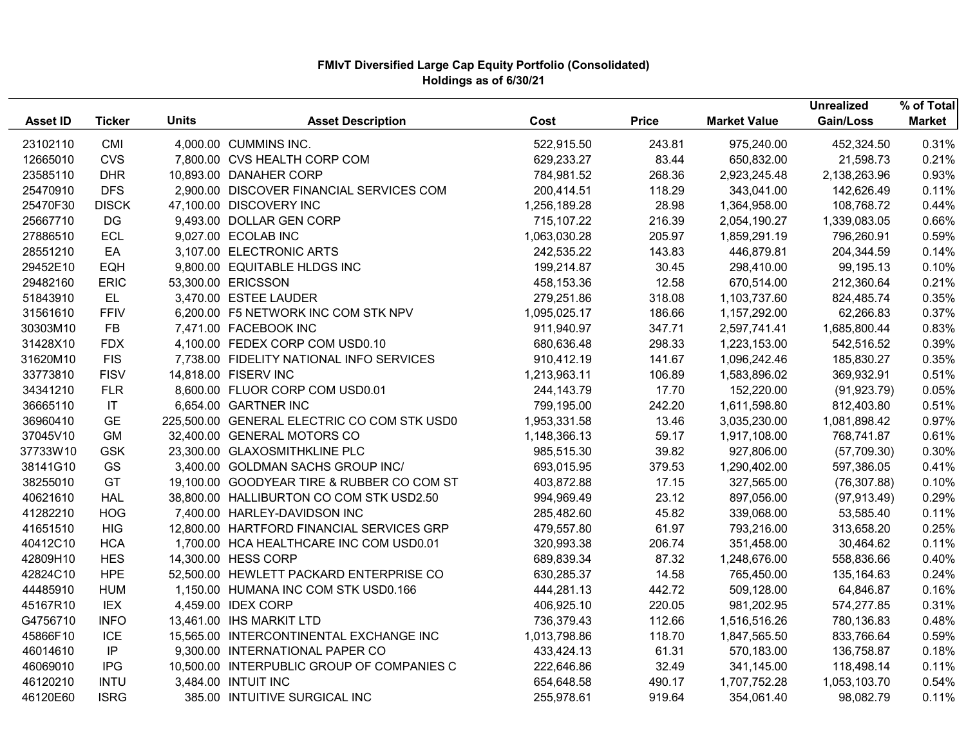|                 |                        |              |                                             |              |              |                     | <b>Unrealized</b> | % of Total    |
|-----------------|------------------------|--------------|---------------------------------------------|--------------|--------------|---------------------|-------------------|---------------|
| <b>Asset ID</b> | <b>Ticker</b>          | <b>Units</b> | <b>Asset Description</b>                    | Cost         | <b>Price</b> | <b>Market Value</b> | Gain/Loss         | <b>Market</b> |
| 23102110        | CMI                    |              | 4,000.00 CUMMINS INC.                       | 522,915.50   | 243.81       | 975,240.00          | 452,324.50        | 0.31%         |
| 12665010        | <b>CVS</b>             |              | 7,800.00 CVS HEALTH CORP COM                | 629,233.27   | 83.44        | 650,832.00          | 21,598.73         | 0.21%         |
| 23585110        | <b>DHR</b>             |              | 10,893.00 DANAHER CORP                      | 784,981.52   | 268.36       | 2,923,245.48        | 2,138,263.96      | 0.93%         |
| 25470910        | <b>DFS</b>             |              | 2,900.00 DISCOVER FINANCIAL SERVICES COM    | 200,414.51   | 118.29       | 343,041.00          | 142,626.49        | 0.11%         |
| 25470F30        | <b>DISCK</b>           |              | 47,100.00 DISCOVERY INC                     | 1,256,189.28 | 28.98        | 1,364,958.00        | 108,768.72        | 0.44%         |
| 25667710        | DG                     |              | 9,493.00 DOLLAR GEN CORP                    | 715,107.22   | 216.39       | 2,054,190.27        | 1,339,083.05      | 0.66%         |
| 27886510        | <b>ECL</b>             |              | 9,027.00 ECOLAB INC                         | 1,063,030.28 | 205.97       | 1,859,291.19        | 796,260.91        | 0.59%         |
| 28551210        | EA                     |              | 3,107.00 ELECTRONIC ARTS                    | 242,535.22   | 143.83       | 446,879.81          | 204,344.59        | 0.14%         |
| 29452E10        | EQH                    |              | 9,800.00 EQUITABLE HLDGS INC                | 199,214.87   | 30.45        | 298,410.00          | 99,195.13         | 0.10%         |
| 29482160        | <b>ERIC</b>            |              | 53,300.00 ERICSSON                          | 458,153.36   | 12.58        | 670,514.00          | 212,360.64        | 0.21%         |
| 51843910        | EL.                    |              | 3,470.00 ESTEE LAUDER                       | 279,251.86   | 318.08       | 1,103,737.60        | 824,485.74        | 0.35%         |
| 31561610        | <b>FFIV</b>            |              | 6,200.00 F5 NETWORK INC COM STK NPV         | 1,095,025.17 | 186.66       | 1,157,292.00        | 62,266.83         | 0.37%         |
| 30303M10        | <b>FB</b>              |              | 7,471.00 FACEBOOK INC                       | 911,940.97   | 347.71       | 2,597,741.41        | 1,685,800.44      | 0.83%         |
| 31428X10        | <b>FDX</b>             |              | 4,100.00 FEDEX CORP COM USD0.10             | 680,636.48   | 298.33       | 1,223,153.00        | 542,516.52        | 0.39%         |
| 31620M10        | <b>FIS</b>             |              | 7,738.00 FIDELITY NATIONAL INFO SERVICES    | 910,412.19   | 141.67       | 1,096,242.46        | 185,830.27        | 0.35%         |
| 33773810        | <b>FISV</b>            |              | 14,818.00 FISERV INC                        | 1,213,963.11 | 106.89       | 1,583,896.02        | 369,932.91        | 0.51%         |
| 34341210        | <b>FLR</b>             |              | 8,600.00 FLUOR CORP COM USD0.01             | 244,143.79   | 17.70        | 152,220.00          | (91, 923.79)      | 0.05%         |
| 36665110        | $\mathsf{I}\mathsf{T}$ |              | 6,654.00 GARTNER INC                        | 799,195.00   | 242.20       | 1,611,598.80        | 812,403.80        | 0.51%         |
| 36960410        | <b>GE</b>              |              | 225,500.00 GENERAL ELECTRIC CO COM STK USD0 | 1,953,331.58 | 13.46        | 3,035,230.00        | 1,081,898.42      | 0.97%         |
| 37045V10        | GM                     |              | 32,400.00 GENERAL MOTORS CO                 | 1,148,366.13 | 59.17        | 1,917,108.00        | 768,741.87        | 0.61%         |
| 37733W10        | <b>GSK</b>             |              | 23,300.00 GLAXOSMITHKLINE PLC               | 985,515.30   | 39.82        | 927,806.00          | (57,709.30)       | 0.30%         |
| 38141G10        | GS                     |              | 3,400.00 GOLDMAN SACHS GROUP INC/           | 693,015.95   | 379.53       | 1,290,402.00        | 597,386.05        | 0.41%         |
| 38255010        | GT                     |              | 19,100.00 GOODYEAR TIRE & RUBBER CO COM ST  | 403,872.88   | 17.15        | 327,565.00          | (76, 307.88)      | 0.10%         |
| 40621610        | <b>HAL</b>             |              | 38,800.00 HALLIBURTON CO COM STK USD2.50    | 994,969.49   | 23.12        | 897,056.00          | (97, 913.49)      | 0.29%         |
| 41282210        | <b>HOG</b>             |              | 7,400.00 HARLEY-DAVIDSON INC                | 285,482.60   | 45.82        | 339,068.00          | 53,585.40         | 0.11%         |
| 41651510        | <b>HIG</b>             |              | 12,800.00 HARTFORD FINANCIAL SERVICES GRP   | 479,557.80   | 61.97        | 793,216.00          | 313,658.20        | 0.25%         |
| 40412C10        | <b>HCA</b>             |              | 1,700.00 HCA HEALTHCARE INC COM USD0.01     | 320,993.38   | 206.74       | 351,458.00          | 30,464.62         | 0.11%         |
| 42809H10        | <b>HES</b>             |              | 14,300.00 HESS CORP                         | 689,839.34   | 87.32        | 1,248,676.00        | 558,836.66        | 0.40%         |
| 42824C10        | <b>HPE</b>             |              | 52,500.00 HEWLETT PACKARD ENTERPRISE CO     | 630,285.37   | 14.58        | 765,450.00          | 135,164.63        | 0.24%         |
| 44485910        | <b>HUM</b>             |              | 1,150.00 HUMANA INC COM STK USD0.166        | 444,281.13   | 442.72       | 509,128.00          | 64,846.87         | 0.16%         |
| 45167R10        | <b>IEX</b>             |              | 4,459.00 IDEX CORP                          | 406,925.10   | 220.05       | 981,202.95          | 574,277.85        | 0.31%         |
| G4756710        | <b>INFO</b>            |              | 13,461.00 IHS MARKIT LTD                    | 736,379.43   | 112.66       | 1,516,516.26        | 780,136.83        | 0.48%         |
| 45866F10        | ICE                    |              | 15,565.00 INTERCONTINENTAL EXCHANGE INC     | 1,013,798.86 | 118.70       | 1,847,565.50        | 833,766.64        | 0.59%         |
| 46014610        | IP                     |              | 9,300.00 INTERNATIONAL PAPER CO             | 433,424.13   | 61.31        | 570,183.00          | 136,758.87        | 0.18%         |
| 46069010        | <b>IPG</b>             |              | 10,500.00 INTERPUBLIC GROUP OF COMPANIES C  | 222,646.86   | 32.49        | 341,145.00          | 118,498.14        | 0.11%         |
| 46120210        | <b>INTU</b>            |              | 3,484.00 INTUIT INC                         | 654,648.58   | 490.17       | 1,707,752.28        | 1,053,103.70      | 0.54%         |
| 46120E60        | <b>ISRG</b>            |              | 385.00 INTUITIVE SURGICAL INC               | 255,978.61   | 919.64       | 354,061.40          | 98,082.79         | 0.11%         |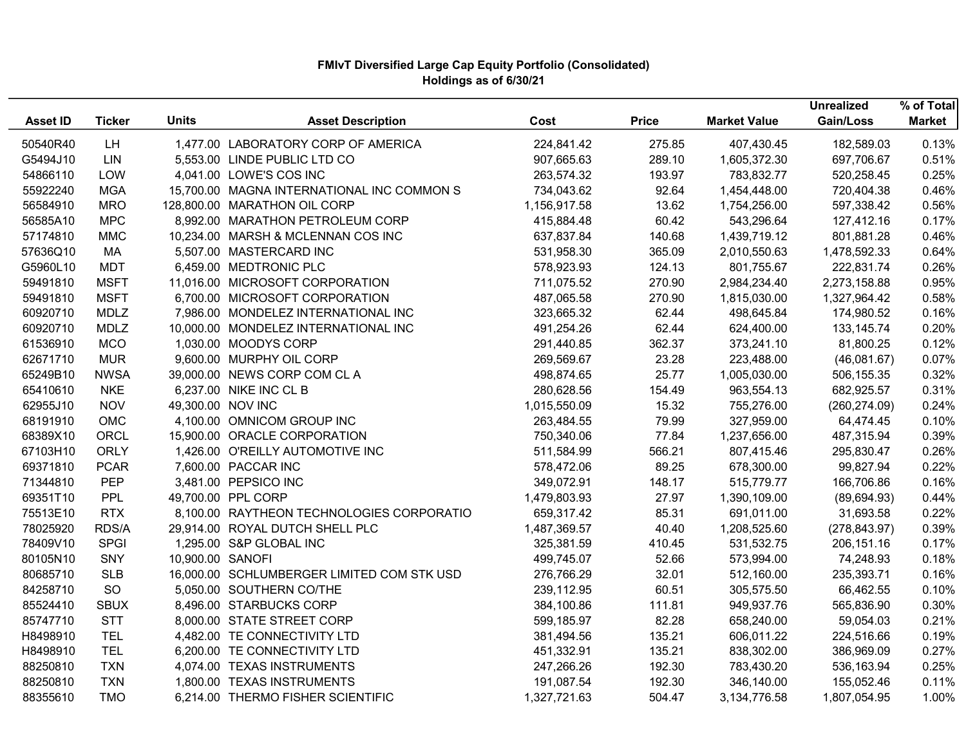|                 |               |                   |                                            |              |              |                     | <b>Unrealized</b> | % of Total    |
|-----------------|---------------|-------------------|--------------------------------------------|--------------|--------------|---------------------|-------------------|---------------|
| <b>Asset ID</b> | <b>Ticker</b> | <b>Units</b>      | <b>Asset Description</b>                   | Cost         | <b>Price</b> | <b>Market Value</b> | Gain/Loss         | <b>Market</b> |
| 50540R40        | LH            |                   | 1,477.00 LABORATORY CORP OF AMERICA        | 224,841.42   | 275.85       | 407,430.45          | 182,589.03        | 0.13%         |
| G5494J10        | LIN           |                   | 5,553.00 LINDE PUBLIC LTD CO               | 907,665.63   | 289.10       | 1,605,372.30        | 697,706.67        | 0.51%         |
| 54866110        | LOW           |                   | 4,041.00 LOWE'S COS INC                    | 263,574.32   | 193.97       | 783,832.77          | 520,258.45        | 0.25%         |
| 55922240        | <b>MGA</b>    |                   | 15,700.00 MAGNA INTERNATIONAL INC COMMON S | 734,043.62   | 92.64        | 1,454,448.00        | 720,404.38        | 0.46%         |
| 56584910        | <b>MRO</b>    |                   | 128,800.00 MARATHON OIL CORP               | 1,156,917.58 | 13.62        | 1,754,256.00        | 597,338.42        | 0.56%         |
| 56585A10        | <b>MPC</b>    |                   | 8,992.00 MARATHON PETROLEUM CORP           | 415,884.48   | 60.42        | 543,296.64          | 127,412.16        | 0.17%         |
| 57174810        | <b>MMC</b>    |                   | 10,234.00 MARSH & MCLENNAN COS INC         | 637,837.84   | 140.68       | 1,439,719.12        | 801,881.28        | 0.46%         |
| 57636Q10        | МA            |                   | 5,507.00 MASTERCARD INC                    | 531,958.30   | 365.09       | 2,010,550.63        | 1,478,592.33      | 0.64%         |
| G5960L10        | <b>MDT</b>    |                   | 6,459.00 MEDTRONIC PLC                     | 578,923.93   | 124.13       | 801,755.67          | 222,831.74        | 0.26%         |
| 59491810        | <b>MSFT</b>   |                   | 11,016.00 MICROSOFT CORPORATION            | 711,075.52   | 270.90       | 2,984,234.40        | 2,273,158.88      | 0.95%         |
| 59491810        | <b>MSFT</b>   |                   | 6,700.00 MICROSOFT CORPORATION             | 487,065.58   | 270.90       | 1,815,030.00        | 1,327,964.42      | 0.58%         |
| 60920710        | <b>MDLZ</b>   |                   | 7,986.00 MONDELEZ INTERNATIONAL INC        | 323,665.32   | 62.44        | 498,645.84          | 174,980.52        | 0.16%         |
| 60920710        | <b>MDLZ</b>   |                   | 10,000.00 MONDELEZ INTERNATIONAL INC       | 491,254.26   | 62.44        | 624,400.00          | 133, 145. 74      | 0.20%         |
| 61536910        | <b>MCO</b>    |                   | 1,030.00 MOODYS CORP                       | 291,440.85   | 362.37       | 373,241.10          | 81,800.25         | 0.12%         |
| 62671710        | <b>MUR</b>    |                   | 9,600.00 MURPHY OIL CORP                   | 269,569.67   | 23.28        | 223,488.00          | (46,081.67)       | 0.07%         |
| 65249B10        | <b>NWSA</b>   |                   | 39,000.00 NEWS CORP COM CLA                | 498,874.65   | 25.77        | 1,005,030.00        | 506,155.35        | 0.32%         |
| 65410610        | <b>NKE</b>    |                   | 6,237.00 NIKE INC CL B                     | 280,628.56   | 154.49       | 963,554.13          | 682,925.57        | 0.31%         |
| 62955J10        | <b>NOV</b>    | 49,300.00 NOV INC |                                            | 1,015,550.09 | 15.32        | 755,276.00          | (260, 274.09)     | 0.24%         |
| 68191910        | OMC           |                   | 4,100.00 OMNICOM GROUP INC                 | 263,484.55   | 79.99        | 327,959.00          | 64,474.45         | 0.10%         |
| 68389X10        | ORCL          |                   | 15,900.00 ORACLE CORPORATION               | 750,340.06   | 77.84        | 1,237,656.00        | 487,315.94        | 0.39%         |
| 67103H10        | <b>ORLY</b>   |                   | 1,426.00 O'REILLY AUTOMOTIVE INC           | 511,584.99   | 566.21       | 807,415.46          | 295,830.47        | 0.26%         |
| 69371810        | <b>PCAR</b>   |                   | 7,600.00 PACCAR INC                        | 578,472.06   | 89.25        | 678,300.00          | 99,827.94         | 0.22%         |
| 71344810        | <b>PEP</b>    |                   | 3,481.00 PEPSICO INC                       | 349,072.91   | 148.17       | 515,779.77          | 166,706.86        | 0.16%         |
| 69351T10        | PPL           |                   | 49,700.00 PPL CORP                         | 1,479,803.93 | 27.97        | 1,390,109.00        | (89, 694.93)      | 0.44%         |
| 75513E10        | <b>RTX</b>    |                   | 8,100.00 RAYTHEON TECHNOLOGIES CORPORATIO  | 659,317.42   | 85.31        | 691,011.00          | 31,693.58         | 0.22%         |
| 78025920        | RDS/A         |                   | 29,914.00 ROYAL DUTCH SHELL PLC            | 1,487,369.57 | 40.40        | 1,208,525.60        | (278, 843.97)     | 0.39%         |
| 78409V10        | <b>SPGI</b>   |                   | 1,295.00 S&P GLOBAL INC                    | 325,381.59   | 410.45       | 531,532.75          | 206,151.16        | 0.17%         |
| 80105N10        | SNY           | 10,900.00 SANOFI  |                                            | 499,745.07   | 52.66        | 573,994.00          | 74,248.93         | 0.18%         |
| 80685710        | <b>SLB</b>    |                   | 16,000.00 SCHLUMBERGER LIMITED COM STK USD | 276,766.29   | 32.01        | 512,160.00          | 235,393.71        | 0.16%         |
| 84258710        | SO            |                   | 5,050.00 SOUTHERN CO/THE                   | 239,112.95   | 60.51        | 305,575.50          | 66,462.55         | 0.10%         |
| 85524410        | <b>SBUX</b>   |                   | 8,496.00 STARBUCKS CORP                    | 384,100.86   | 111.81       | 949,937.76          | 565,836.90        | 0.30%         |
| 85747710        | <b>STT</b>    |                   | 8,000.00 STATE STREET CORP                 | 599,185.97   | 82.28        | 658,240.00          | 59,054.03         | 0.21%         |
| H8498910        | <b>TEL</b>    |                   | 4,482.00 TE CONNECTIVITY LTD               | 381,494.56   | 135.21       | 606,011.22          | 224,516.66        | 0.19%         |
| H8498910        | <b>TEL</b>    |                   | 6,200.00 TE CONNECTIVITY LTD               | 451,332.91   | 135.21       | 838,302.00          | 386,969.09        | 0.27%         |
| 88250810        | <b>TXN</b>    |                   | 4,074.00 TEXAS INSTRUMENTS                 | 247,266.26   | 192.30       | 783,430.20          | 536,163.94        | 0.25%         |
| 88250810        | <b>TXN</b>    |                   | 1,800.00 TEXAS INSTRUMENTS                 | 191,087.54   | 192.30       | 346,140.00          | 155,052.46        | 0.11%         |
| 88355610        | <b>TMO</b>    |                   | 6,214.00 THERMO FISHER SCIENTIFIC          | 1,327,721.63 | 504.47       | 3,134,776.58        | 1,807,054.95      | 1.00%         |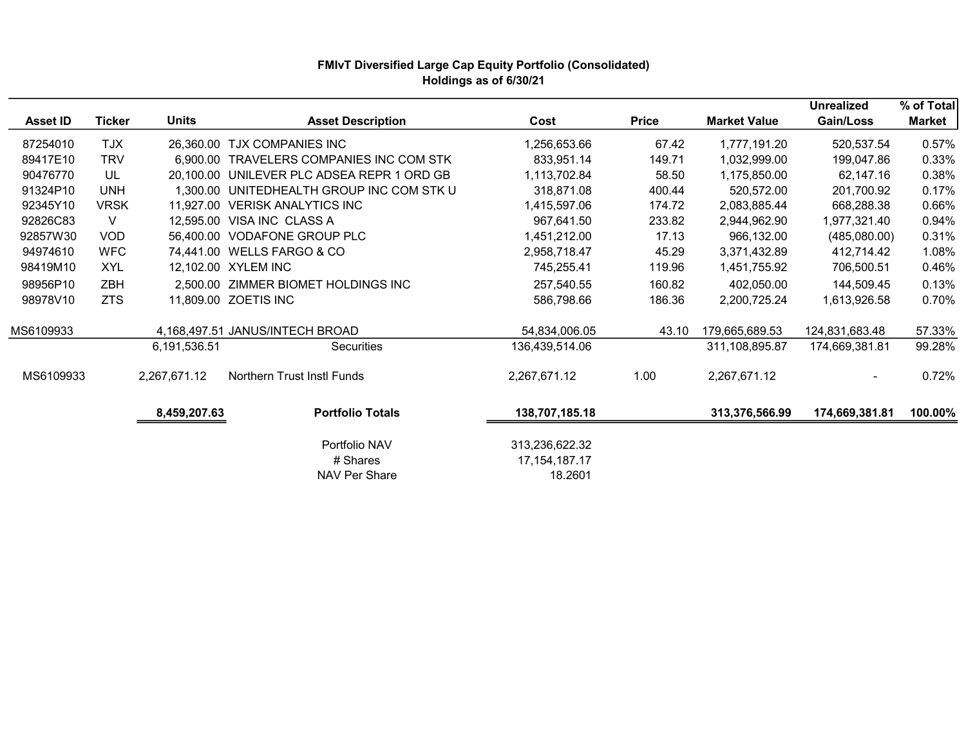|                 |               |              |                                            |                                               |              |                     | <b>Unrealized</b> | % of Total    |
|-----------------|---------------|--------------|--------------------------------------------|-----------------------------------------------|--------------|---------------------|-------------------|---------------|
| <b>Asset ID</b> | <b>Ticker</b> | <b>Units</b> | <b>Asset Description</b>                   | Cost                                          | <b>Price</b> | <b>Market Value</b> | Gain/Loss         | <b>Market</b> |
| 87254010        | <b>TJX</b>    |              | 26,360.00 TJX COMPANIES INC                | 1,256,653.66                                  | 67.42        | 1,777,191.20        | 520,537.54        | 0.57%         |
| 89417E10        | <b>TRV</b>    | 6.900.00     | TRAVELERS COMPANIES INC COM STK            | 833,951.14                                    | 149.71       | 1,032,999.00        | 199,047.86        | 0.33%         |
| 90476770        | UL            |              | 20,100.00 UNILEVER PLC ADSEA REPR 1 ORD GB | 1,113,702.84                                  | 58.50        | 1,175,850.00        | 62,147.16         | 0.38%         |
| 91324P10        | <b>UNH</b>    |              | 1,300.00 UNITEDHEALTH GROUP INC COM STK U  | 318,871.08                                    | 400.44       | 520,572.00          | 201,700.92        | 0.17%         |
| 92345Y10        | <b>VRSK</b>   |              | 11,927.00 VERISK ANALYTICS INC             | 1,415,597.06                                  | 174.72       | 2,083,885.44        | 668,288.38        | 0.66%         |
| 92826C83        | V             |              | 12,595.00 VISA INC CLASS A                 | 967,641.50                                    | 233.82       | 2,944,962.90        | 1,977,321.40      | 0.94%         |
| 92857W30        | <b>VOD</b>    |              | 56,400.00 VODAFONE GROUP PLC               | 1,451,212.00                                  | 17.13        | 966,132.00          | (485,080.00)      | 0.31%         |
| 94974610        | <b>WFC</b>    |              | 74,441.00 WELLS FARGO & CO                 | 2,958,718.47                                  | 45.29        | 3,371,432.89        | 412,714.42        | 1.08%         |
| 98419M10        | XYL           |              | 12,102.00 XYLEM INC                        | 745,255.41                                    | 119.96       | 1,451,755.92        | 706,500.51        | 0.46%         |
| 98956P10        | <b>ZBH</b>    |              | 2.500.00 ZIMMER BIOMET HOLDINGS INC        | 257,540.55                                    | 160.82       | 402,050.00          | 144,509.45        | 0.13%         |
| 98978V10        | <b>ZTS</b>    |              | 11,809.00 ZOETIS INC                       | 586,798.66                                    | 186.36       | 2,200,725.24        | 1,613,926.58      | 0.70%         |
|                 |               |              |                                            |                                               |              |                     |                   |               |
| MS6109933       |               |              | 4,168,497.51 JANUS/INTECH BROAD            | 54,834,006.05                                 | 43.10        | 179,665,689.53      | 124,831,683.48    | 57.33%        |
|                 |               | 6,191,536.51 | <b>Securities</b>                          | 136,439,514.06                                |              | 311,108,895.87      | 174,669,381.81    | 99.28%        |
| MS6109933       |               | 2,267,671.12 | Northern Trust Instl Funds                 | 2,267,671.12                                  | 1.00         | 2,267,671.12        |                   | 0.72%         |
|                 |               | 8,459,207.63 | <b>Portfolio Totals</b>                    | 138,707,185.18                                |              | 313,376,566.99      | 174,669,381.81    | 100.00%       |
|                 |               |              | Portfolio NAV<br># Shares<br>NAV Per Share | 313,236,622.32<br>17, 154, 187. 17<br>18.2601 |              |                     |                   |               |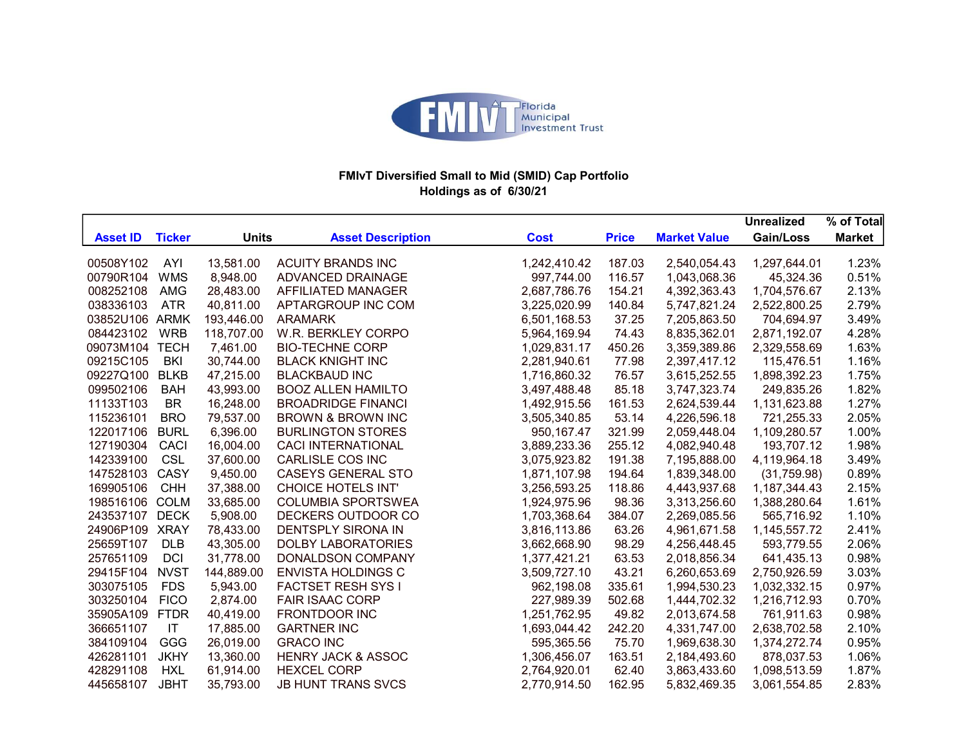

## FMIvT Diversified Small to Mid (SMID) Cap Portfolio Holdings as of 6/30/21

|                 |               |              |                               |              |              |                     | <b>Unrealized</b> | % of Total    |
|-----------------|---------------|--------------|-------------------------------|--------------|--------------|---------------------|-------------------|---------------|
| <b>Asset ID</b> | <b>Ticker</b> | <b>Units</b> | <b>Asset Description</b>      | <b>Cost</b>  | <b>Price</b> | <b>Market Value</b> | Gain/Loss         | <b>Market</b> |
| 00508Y102       | AYI           | 13,581.00    | <b>ACUITY BRANDS INC</b>      | 1,242,410.42 | 187.03       | 2,540,054.43        | 1,297,644.01      | 1.23%         |
| 00790R104       | <b>WMS</b>    | 8,948.00     | ADVANCED DRAINAGE             | 997,744.00   | 116.57       | 1,043,068.36        | 45,324.36         | 0.51%         |
| 008252108       | <b>AMG</b>    | 28,483.00    | AFFILIATED MANAGER            | 2,687,786.76 | 154.21       | 4,392,363.43        | 1,704,576.67      | 2.13%         |
| 038336103       | <b>ATR</b>    | 40,811.00    | APTARGROUP INC COM            | 3,225,020.99 | 140.84       | 5,747,821.24        | 2,522,800.25      | 2.79%         |
| 03852U106       | ARMK          | 193,446.00   | <b>ARAMARK</b>                | 6,501,168.53 | 37.25        | 7,205,863.50        | 704,694.97        | 3.49%         |
| 084423102       | <b>WRB</b>    | 118,707.00   | W.R. BERKLEY CORPO            | 5,964,169.94 | 74.43        | 8,835,362.01        | 2,871,192.07      | 4.28%         |
| 09073M104       | <b>TECH</b>   | 7,461.00     | <b>BIO-TECHNE CORP</b>        | 1,029,831.17 | 450.26       | 3,359,389.86        | 2,329,558.69      | 1.63%         |
| 09215C105       | <b>BKI</b>    | 30,744.00    | <b>BLACK KNIGHT INC</b>       | 2,281,940.61 | 77.98        | 2,397,417.12        | 115,476.51        | 1.16%         |
| 09227Q100       | <b>BLKB</b>   | 47,215.00    | <b>BLACKBAUD INC</b>          | 1,716,860.32 | 76.57        | 3,615,252.55        | 1,898,392.23      | 1.75%         |
| 099502106       | <b>BAH</b>    | 43,993.00    | <b>BOOZ ALLEN HAMILTO</b>     | 3,497,488.48 | 85.18        | 3,747,323.74        | 249,835.26        | 1.82%         |
| 11133T103       | <b>BR</b>     | 16,248.00    | <b>BROADRIDGE FINANCI</b>     | 1,492,915.56 | 161.53       | 2,624,539.44        | 1,131,623.88      | 1.27%         |
| 115236101       | <b>BRO</b>    | 79,537.00    | <b>BROWN &amp; BROWN INC</b>  | 3,505,340.85 | 53.14        | 4,226,596.18        | 721,255.33        | 2.05%         |
| 122017106       | <b>BURL</b>   | 6,396.00     | <b>BURLINGTON STORES</b>      | 950,167.47   | 321.99       | 2,059,448.04        | 1,109,280.57      | 1.00%         |
| 127190304       | <b>CACI</b>   | 16,004.00    | <b>CACI INTERNATIONAL</b>     | 3,889,233.36 | 255.12       | 4,082,940.48        | 193,707.12        | 1.98%         |
| 142339100       | <b>CSL</b>    | 37,600.00    | CARLISLE COS INC              | 3,075,923.82 | 191.38       | 7,195,888.00        | 4,119,964.18      | 3.49%         |
| 147528103       | CASY          | 9,450.00     | <b>CASEYS GENERAL STO</b>     | 1,871,107.98 | 194.64       | 1,839,348.00        | (31,759.98)       | 0.89%         |
| 169905106       | CHH           | 37,388.00    | <b>CHOICE HOTELS INT'</b>     | 3,256,593.25 | 118.86       | 4,443,937.68        | 1,187,344.43      | 2.15%         |
| 198516106       | <b>COLM</b>   | 33,685.00    | <b>COLUMBIA SPORTSWEA</b>     | 1,924,975.96 | 98.36        | 3,313,256.60        | 1,388,280.64      | 1.61%         |
| 243537107       | <b>DECK</b>   | 5,908.00     | DECKERS OUTDOOR CO            | 1,703,368.64 | 384.07       | 2,269,085.56        | 565,716.92        | 1.10%         |
| 24906P109       | <b>XRAY</b>   | 78,433.00    | <b>DENTSPLY SIRONA IN</b>     | 3,816,113.86 | 63.26        | 4,961,671.58        | 1,145,557.72      | 2.41%         |
| 25659T107       | <b>DLB</b>    | 43,305.00    | <b>DOLBY LABORATORIES</b>     | 3,662,668.90 | 98.29        | 4,256,448.45        | 593,779.55        | 2.06%         |
| 257651109       | <b>DCI</b>    | 31,778.00    | <b>DONALDSON COMPANY</b>      | 1,377,421.21 | 63.53        | 2,018,856.34        | 641,435.13        | 0.98%         |
| 29415F104       | <b>NVST</b>   | 144,889.00   | <b>ENVISTA HOLDINGS C</b>     | 3,509,727.10 | 43.21        | 6,260,653.69        | 2,750,926.59      | 3.03%         |
| 303075105       | <b>FDS</b>    | 5,943.00     | <b>FACTSET RESH SYS I</b>     | 962,198.08   | 335.61       | 1,994,530.23        | 1,032,332.15      | 0.97%         |
| 303250104       | <b>FICO</b>   | 2,874.00     | <b>FAIR ISAAC CORP</b>        | 227,989.39   | 502.68       | 1,444,702.32        | 1,216,712.93      | 0.70%         |
| 35905A109       | <b>FTDR</b>   | 40,419.00    | <b>FRONTDOOR INC</b>          | 1,251,762.95 | 49.82        | 2,013,674.58        | 761,911.63        | 0.98%         |
| 366651107       | IT            | 17,885.00    | <b>GARTNER INC</b>            | 1,693,044.42 | 242.20       | 4,331,747.00        | 2,638,702.58      | 2.10%         |
| 384109104       | GGG           | 26,019.00    | <b>GRACO INC</b>              | 595,365.56   | 75.70        | 1,969,638.30        | 1,374,272.74      | 0.95%         |
| 426281101       | <b>JKHY</b>   | 13,360.00    | <b>HENRY JACK &amp; ASSOC</b> | 1,306,456.07 | 163.51       | 2,184,493.60        | 878,037.53        | 1.06%         |
| 428291108       | <b>HXL</b>    | 61,914.00    | <b>HEXCEL CORP</b>            | 2,764,920.01 | 62.40        | 3,863,433.60        | 1,098,513.59      | 1.87%         |
| 445658107       | <b>JBHT</b>   | 35,793.00    | <b>JB HUNT TRANS SVCS</b>     | 2,770,914.50 | 162.95       | 5,832,469.35        | 3,061,554.85      | 2.83%         |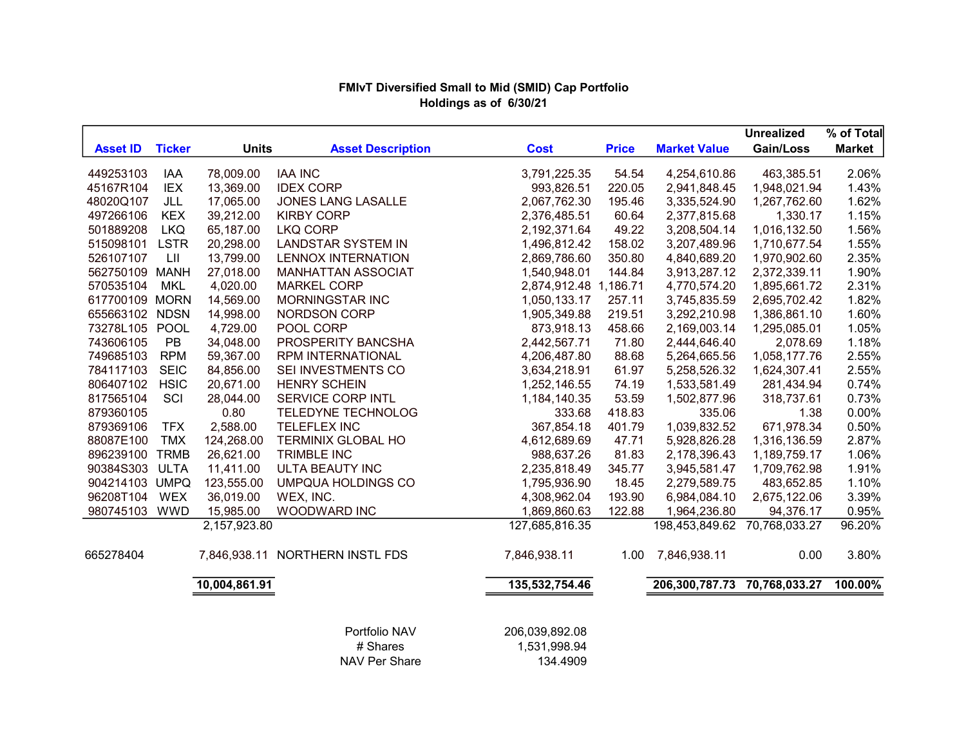# FMIvT Diversified Small to Mid (SMID) Cap Portfolio Holdings as of 6/30/21

|                 |               |               |                                 |                       |              |                              | <b>Unrealized</b> | % of Total    |
|-----------------|---------------|---------------|---------------------------------|-----------------------|--------------|------------------------------|-------------------|---------------|
| <b>Asset ID</b> | <b>Ticker</b> | <b>Units</b>  | <b>Asset Description</b>        | <b>Cost</b>           | <b>Price</b> | <b>Market Value</b>          | Gain/Loss         | <b>Market</b> |
| 449253103       | <b>IAA</b>    | 78,009.00     | <b>IAA INC</b>                  | 3,791,225.35          | 54.54        | 4,254,610.86                 | 463,385.51        | 2.06%         |
| 45167R104       | <b>IEX</b>    | 13,369.00     | <b>IDEX CORP</b>                | 993,826.51            | 220.05       | 2,941,848.45                 | 1,948,021.94      | 1.43%         |
| 48020Q107       | JLL           | 17,065.00     | <b>JONES LANG LASALLE</b>       | 2,067,762.30          | 195.46       | 3,335,524.90                 | 1,267,762.60      | 1.62%         |
| 497266106       | <b>KEX</b>    | 39,212.00     | <b>KIRBY CORP</b>               | 2,376,485.51          | 60.64        | 2,377,815.68                 | 1,330.17          | 1.15%         |
| 501889208       | <b>LKQ</b>    | 65,187.00     | <b>LKQ CORP</b>                 | 2,192,371.64          | 49.22        | 3,208,504.14                 | 1,016,132.50      | 1.56%         |
| 515098101       | <b>LSTR</b>   | 20,298.00     | <b>LANDSTAR SYSTEM IN</b>       | 1,496,812.42          | 158.02       | 3,207,489.96                 | 1,710,677.54      | 1.55%         |
| 526107107       | LII           | 13,799.00     | <b>LENNOX INTERNATION</b>       | 2,869,786.60          | 350.80       | 4,840,689.20                 | 1,970,902.60      | 2.35%         |
| 562750109       | <b>MANH</b>   | 27,018.00     | <b>MANHATTAN ASSOCIAT</b>       | 1,540,948.01          | 144.84       | 3,913,287.12                 | 2,372,339.11      | 1.90%         |
| 570535104       | <b>MKL</b>    | 4,020.00      | <b>MARKEL CORP</b>              | 2,874,912.48 1,186.71 |              | 4,770,574.20                 | 1,895,661.72      | 2.31%         |
| 617700109 MORN  |               | 14,569.00     | MORNINGSTAR INC                 | 1,050,133.17          | 257.11       | 3,745,835.59                 | 2,695,702.42      | 1.82%         |
| 655663102       | <b>NDSN</b>   | 14,998.00     | <b>NORDSON CORP</b>             | 1,905,349.88          | 219.51       | 3,292,210.98                 | 1,386,861.10      | 1.60%         |
| 73278L105       | POOL          | 4,729.00      | POOL CORP                       | 873,918.13            | 458.66       | 2,169,003.14                 | 1,295,085.01      | 1.05%         |
| 743606105       | PB            | 34,048.00     | PROSPERITY BANCSHA              | 2,442,567.71          | 71.80        | 2,444,646.40                 | 2,078.69          | 1.18%         |
| 749685103       | <b>RPM</b>    | 59,367.00     | <b>RPM INTERNATIONAL</b>        | 4,206,487.80          | 88.68        | 5,264,665.56                 | 1,058,177.76      | 2.55%         |
| 784117103       | <b>SEIC</b>   | 84,856.00     | SEI INVESTMENTS CO              | 3,634,218.91          | 61.97        | 5,258,526.32                 | 1,624,307.41      | 2.55%         |
| 806407102       | <b>HSIC</b>   | 20,671.00     | <b>HENRY SCHEIN</b>             | 1,252,146.55          | 74.19        | 1,533,581.49                 | 281,434.94        | 0.74%         |
| 817565104       | SCI           | 28,044.00     | SERVICE CORP INTL               | 1,184,140.35          | 53.59        | 1,502,877.96                 | 318,737.61        | 0.73%         |
| 879360105       |               | 0.80          | <b>TELEDYNE TECHNOLOG</b>       | 333.68                | 418.83       | 335.06                       | 1.38              | 0.00%         |
| 879369106       | <b>TFX</b>    | 2,588.00      | <b>TELEFLEX INC</b>             | 367,854.18            | 401.79       | 1,039,832.52                 | 671,978.34        | 0.50%         |
| 88087E100       | <b>TMX</b>    | 124,268.00    | <b>TERMINIX GLOBAL HO</b>       | 4,612,689.69          | 47.71        | 5,928,826.28                 | 1,316,136.59      | 2.87%         |
| 896239100       | <b>TRMB</b>   | 26,621.00     | <b>TRIMBLE INC</b>              | 988,637.26            | 81.83        | 2,178,396.43                 | 1,189,759.17      | 1.06%         |
| 90384S303       | <b>ULTA</b>   | 11,411.00     | ULTA BEAUTY INC                 | 2,235,818.49          | 345.77       | 3,945,581.47                 | 1,709,762.98      | 1.91%         |
| 904214103 UMPQ  |               | 123,555.00    | <b>UMPQUA HOLDINGS CO</b>       | 1,795,936.90          | 18.45        | 2,279,589.75                 | 483,652.85        | 1.10%         |
| 96208T104       | <b>WEX</b>    | 36,019.00     | WEX, INC.                       | 4,308,962.04          | 193.90       | 6,984,084.10                 | 2,675,122.06      | 3.39%         |
| 980745103       | <b>WWD</b>    | 15,985.00     | WOODWARD INC                    | 1,869,860.63          | 122.88       | 1,964,236.80                 | 94,376.17         | 0.95%         |
|                 |               | 2,157,923.80  |                                 | 127,685,816.35        |              | 198,453,849.62               | 70,768,033.27     | 96.20%        |
| 665278404       |               |               | 7,846,938.11 NORTHERN INSTL FDS | 7,846,938.11          | 1.00         | 7,846,938.11                 | 0.00              | 3.80%         |
|                 |               | 10,004,861.91 |                                 | 135,532,754.46        |              | 206,300,787.73 70,768,033.27 |                   | 100.00%       |
|                 |               |               | Portfolio NAV                   | 206,039,892.08        |              |                              |                   |               |
|                 |               |               | # Shares                        | 1,531,998.94          |              |                              |                   |               |

NAV Per Share 134.4909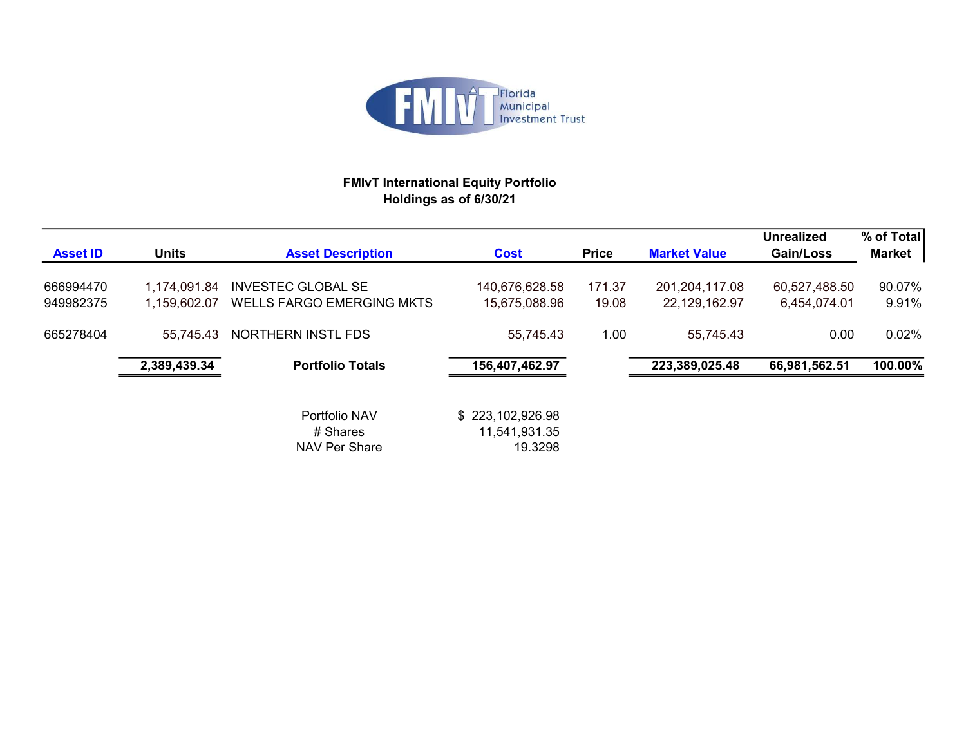

# FMIvT International Equity Portfolio Holdings as of 6/30/21

| <b>Asset ID</b>        | <b>Units</b>                 | <b>Asset Description</b>                                      | <b>Cost</b>                                  | <b>Price</b>    | <b>Market Value</b>               | Unrealized<br>Gain/Loss       | % of Total<br><b>Market</b> |
|------------------------|------------------------------|---------------------------------------------------------------|----------------------------------------------|-----------------|-----------------------------------|-------------------------------|-----------------------------|
| 666994470<br>949982375 | 1,174,091.84<br>1,159,602.07 | <b>INVESTEC GLOBAL SE</b><br><b>WELLS FARGO EMERGING MKTS</b> | 140,676,628.58<br>15,675,088.96              | 171.37<br>19.08 | 201, 204, 117.08<br>22,129,162.97 | 60,527,488.50<br>6,454,074.01 | 90.07%<br>9.91%             |
| 665278404              | 55.745.43                    | NORTHERN INSTL FDS                                            | 55,745.43                                    | 1.00            | 55,745.43                         | 0.00                          | 0.02%                       |
|                        | 2,389,439.34                 | <b>Portfolio Totals</b>                                       | 156,407,462.97                               |                 | 223,389,025.48                    | 66,981,562.51                 | 100.00%                     |
|                        |                              | Portfolio NAV<br># Shares<br>NAV Per Share                    | \$223,102,926.98<br>11,541,931.35<br>19.3298 |                 |                                   |                               |                             |